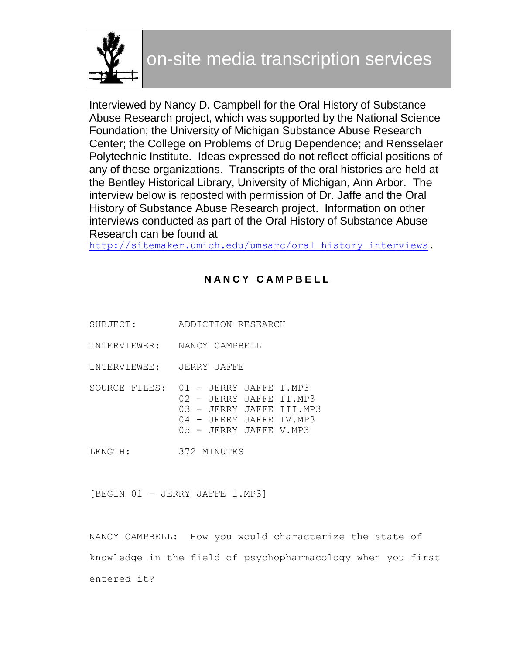

Interviewed by Nancy D. Campbell for the Oral History of Substance Abuse Research project, which was supported by the National Science Foundation; the University of Michigan Substance Abuse Research Center; the College on Problems of Drug Dependence; and Rensselaer Polytechnic Institute. Ideas expressed do not reflect official positions of any of these organizations. Transcripts of the oral histories are held at the Bentley Historical Library, University of Michigan, Ann Arbor. The interview below is reposted with permission of Dr. Jaffe and the Oral History of Substance Abuse Research project. Information on other interviews conducted as part of the Oral History of Substance Abuse Research can be found at

http://sitemaker.umich.edu/umsarc/oral history interviews.

# **N A N C Y C A M P B E L L**

- SUBJECT: ADDICTION RESEARCH
- INTERVIEWER: NANCY CAMPBELL
- INTERVIEWEE: JERRY JAFFE
- SOURCE FILES: 01 JERRY JAFFE I.MP3 02 - JERRY JAFFE II.MP3 03 - JERRY JAFFE III.MP3 04 - JERRY JAFFE IV.MP3 05 - JERRY JAFFE V.MP3
- LENGTH: 372 MINUTES

[BEGIN 01 - JERRY JAFFE I.MP3]

NANCY CAMPBELL: How you would characterize the state of knowledge in the field of psychopharmacology when you first entered it?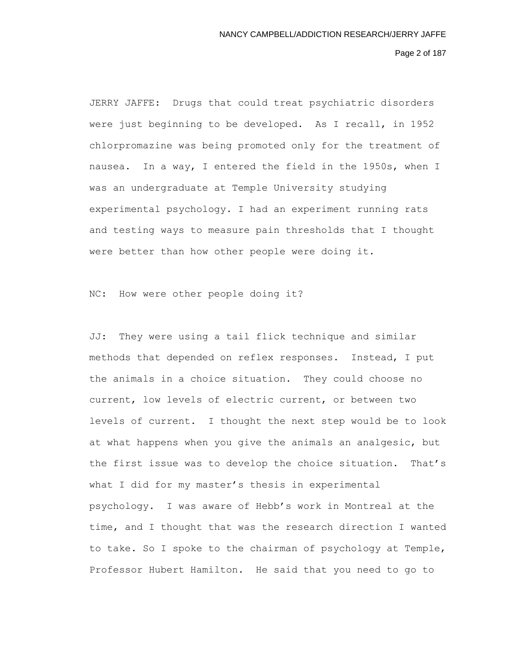Page 2 of 187

JERRY JAFFE: Drugs that could treat psychiatric disorders were just beginning to be developed. As I recall, in 1952 chlorpromazine was being promoted only for the treatment of nausea. In a way, I entered the field in the 1950s, when I was an undergraduate at Temple University studying experimental psychology. I had an experiment running rats and testing ways to measure pain thresholds that I thought were better than how other people were doing it.

NC: How were other people doing it?

JJ: They were using a tail flick technique and similar methods that depended on reflex responses. Instead, I put the animals in a choice situation. They could choose no current, low levels of electric current, or between two levels of current. I thought the next step would be to look at what happens when you give the animals an analgesic, but the first issue was to develop the choice situation. That's what I did for my master's thesis in experimental psychology. I was aware of Hebb's work in Montreal at the time, and I thought that was the research direction I wanted to take. So I spoke to the chairman of psychology at Temple, Professor Hubert Hamilton. He said that you need to go to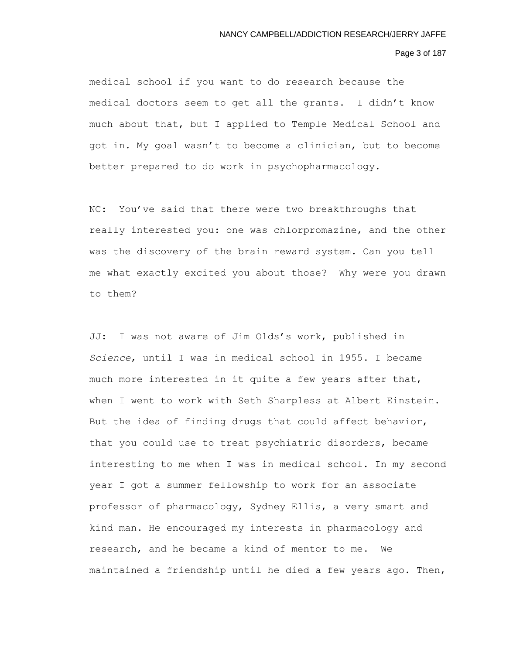#### Page 3 of 187

medical school if you want to do research because the medical doctors seem to get all the grants. I didn't know much about that, but I applied to Temple Medical School and got in. My goal wasn't to become a clinician, but to become better prepared to do work in psychopharmacology.

NC: You've said that there were two breakthroughs that really interested you: one was chlorpromazine, and the other was the discovery of the brain reward system. Can you tell me what exactly excited you about those? Why were you drawn to them?

JJ: I was not aware of Jim Olds's work, published in *Science*, until I was in medical school in 1955. I became much more interested in it quite a few years after that, when I went to work with Seth Sharpless at Albert Einstein. But the idea of finding drugs that could affect behavior, that you could use to treat psychiatric disorders, became interesting to me when I was in medical school. In my second year I got a summer fellowship to work for an associate professor of pharmacology, Sydney Ellis, a very smart and kind man. He encouraged my interests in pharmacology and research, and he became a kind of mentor to me. We maintained a friendship until he died a few years ago. Then,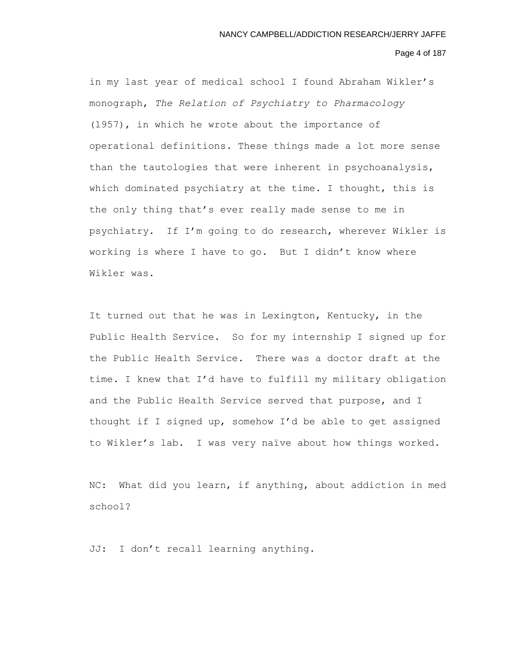# Page 4 of 187

in my last year of medical school I found Abraham Wikler's monograph, *The Relation of Psychiatry to Pharmacology*  (1957), in which he wrote about the importance of operational definitions. These things made a lot more sense than the tautologies that were inherent in psychoanalysis, which dominated psychiatry at the time. I thought, this is the only thing that's ever really made sense to me in psychiatry. If I'm going to do research, wherever Wikler is working is where I have to go. But I didn't know where Wikler was.

It turned out that he was in Lexington, Kentucky, in the Public Health Service. So for my internship I signed up for the Public Health Service. There was a doctor draft at the time. I knew that I'd have to fulfill my military obligation and the Public Health Service served that purpose, and I thought if I signed up, somehow I'd be able to get assigned to Wikler's lab. I was very naïve about how things worked.

NC: What did you learn, if anything, about addiction in med school?

JJ: I don't recall learning anything.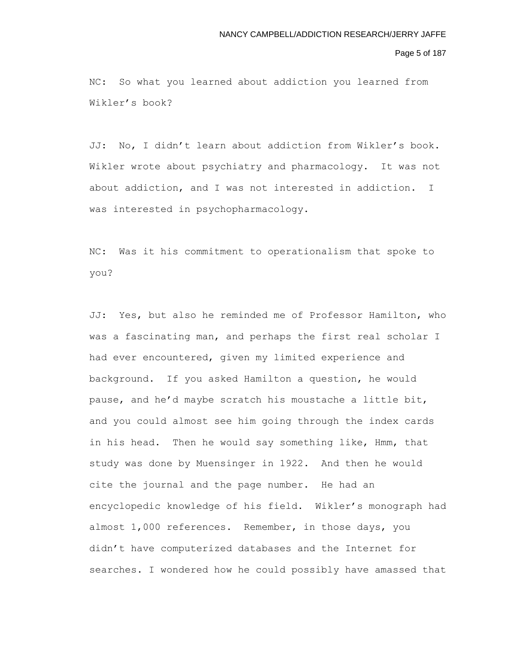# Page 5 of 187

NC: So what you learned about addiction you learned from Wikler's book?

JJ: No, I didn't learn about addiction from Wikler's book. Wikler wrote about psychiatry and pharmacology. It was not about addiction, and I was not interested in addiction. I was interested in psychopharmacology.

NC: Was it his commitment to operationalism that spoke to you?

JJ: Yes, but also he reminded me of Professor Hamilton, who was a fascinating man, and perhaps the first real scholar I had ever encountered, given my limited experience and background. If you asked Hamilton a question, he would pause, and he'd maybe scratch his moustache a little bit, and you could almost see him going through the index cards in his head. Then he would say something like, Hmm, that study was done by Muensinger in 1922. And then he would cite the journal and the page number. He had an encyclopedic knowledge of his field. Wikler's monograph had almost 1,000 references. Remember, in those days, you didn't have computerized databases and the Internet for searches. I wondered how he could possibly have amassed that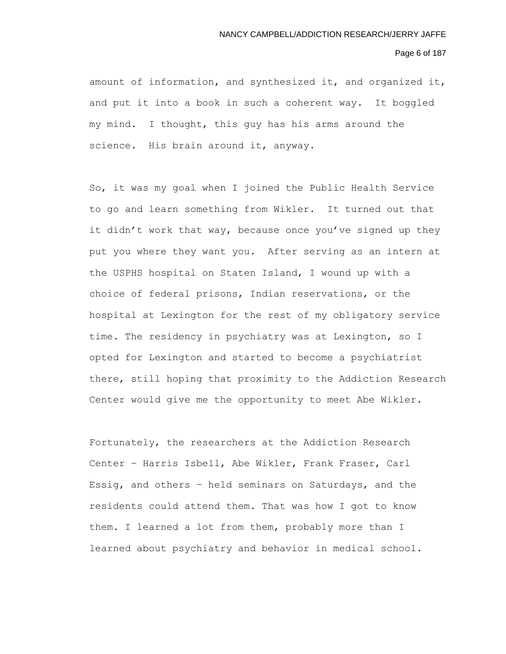#### Page 6 of 187

amount of information, and synthesized it, and organized it, and put it into a book in such a coherent way. It boggled my mind. I thought, this guy has his arms around the science. His brain around it, anyway.

So, it was my goal when I joined the Public Health Service to go and learn something from Wikler. It turned out that it didn't work that way, because once you've signed up they put you where they want you. After serving as an intern at the USPHS hospital on Staten Island, I wound up with a choice of federal prisons, Indian reservations, or the hospital at Lexington for the rest of my obligatory service time. The residency in psychiatry was at Lexington, so I opted for Lexington and started to become a psychiatrist there, still hoping that proximity to the Addiction Research Center would give me the opportunity to meet Abe Wikler.

Fortunately, the researchers at the Addiction Research Center – Harris Isbell, Abe Wikler, Frank Fraser, Carl Essig, and others – held seminars on Saturdays, and the residents could attend them. That was how I got to know them. I learned a lot from them, probably more than I learned about psychiatry and behavior in medical school.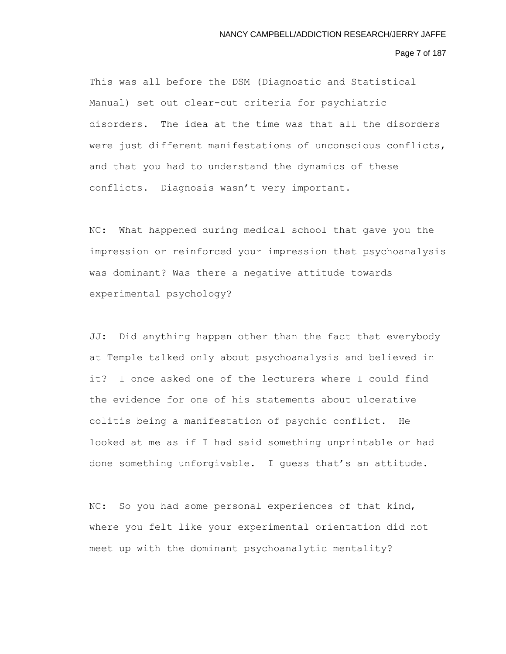# Page 7 of 187

This was all before the DSM (Diagnostic and Statistical Manual) set out clear-cut criteria for psychiatric disorders. The idea at the time was that all the disorders were just different manifestations of unconscious conflicts, and that you had to understand the dynamics of these conflicts. Diagnosis wasn't very important.

NC: What happened during medical school that gave you the impression or reinforced your impression that psychoanalysis was dominant? Was there a negative attitude towards experimental psychology?

JJ: Did anything happen other than the fact that everybody at Temple talked only about psychoanalysis and believed in it? I once asked one of the lecturers where I could find the evidence for one of his statements about ulcerative colitis being a manifestation of psychic conflict. He looked at me as if I had said something unprintable or had done something unforgivable. I guess that's an attitude.

NC: So you had some personal experiences of that kind, where you felt like your experimental orientation did not meet up with the dominant psychoanalytic mentality?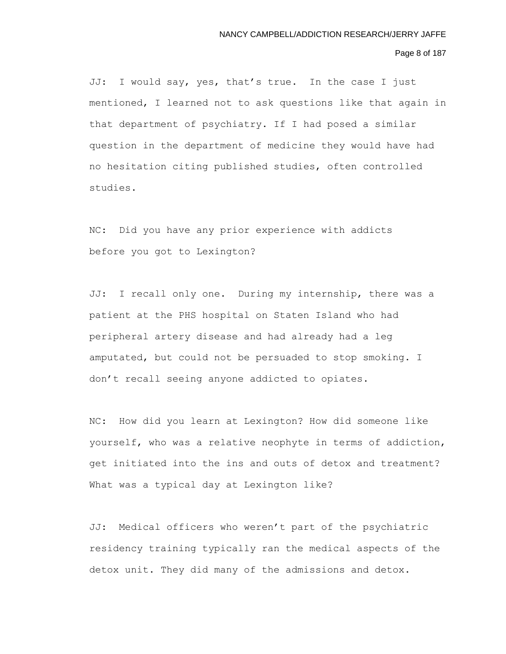# Page 8 of 187

JJ: I would say, yes, that's true. In the case I just mentioned, I learned not to ask questions like that again in that department of psychiatry. If I had posed a similar question in the department of medicine they would have had no hesitation citing published studies, often controlled studies.

NC: Did you have any prior experience with addicts before you got to Lexington?

JJ: I recall only one. During my internship, there was a patient at the PHS hospital on Staten Island who had peripheral artery disease and had already had a leg amputated, but could not be persuaded to stop smoking. I don't recall seeing anyone addicted to opiates.

NC: How did you learn at Lexington? How did someone like yourself, who was a relative neophyte in terms of addiction, get initiated into the ins and outs of detox and treatment? What was a typical day at Lexington like?

JJ: Medical officers who weren't part of the psychiatric residency training typically ran the medical aspects of the detox unit. They did many of the admissions and detox.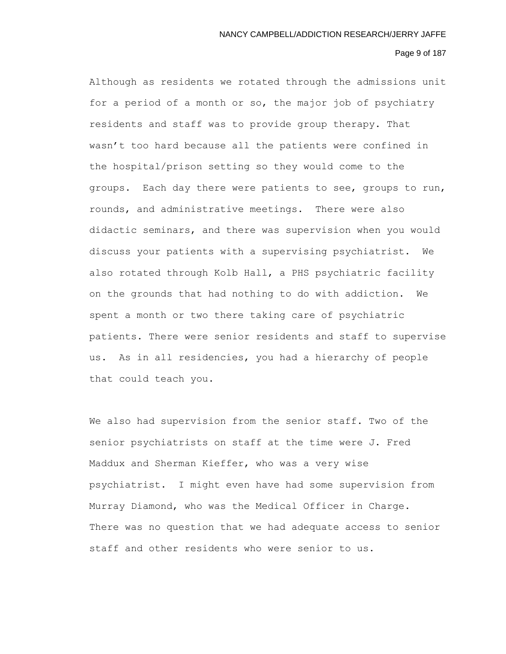# Page 9 of 187

Although as residents we rotated through the admissions unit for a period of a month or so, the major job of psychiatry residents and staff was to provide group therapy. That wasn't too hard because all the patients were confined in the hospital/prison setting so they would come to the groups. Each day there were patients to see, groups to run, rounds, and administrative meetings. There were also didactic seminars, and there was supervision when you would discuss your patients with a supervising psychiatrist. We also rotated through Kolb Hall, a PHS psychiatric facility on the grounds that had nothing to do with addiction. We spent a month or two there taking care of psychiatric patients. There were senior residents and staff to supervise us. As in all residencies, you had a hierarchy of people that could teach you.

We also had supervision from the senior staff. Two of the senior psychiatrists on staff at the time were J. Fred Maddux and Sherman Kieffer, who was a very wise psychiatrist. I might even have had some supervision from Murray Diamond, who was the Medical Officer in Charge. There was no question that we had adequate access to senior staff and other residents who were senior to us.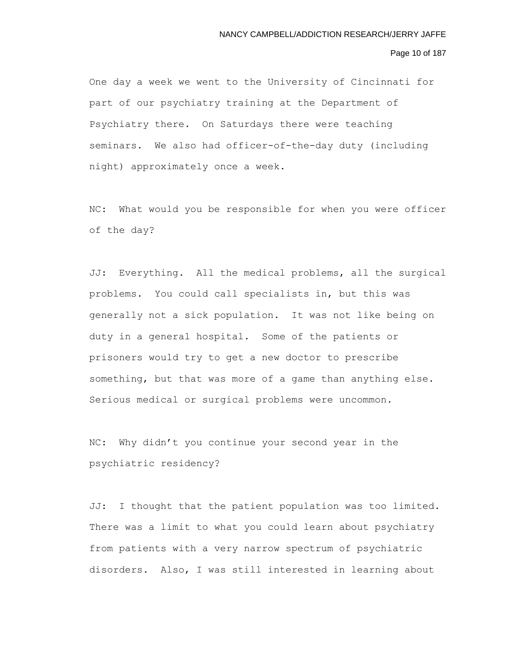# Page 10 of 187

One day a week we went to the University of Cincinnati for part of our psychiatry training at the Department of Psychiatry there. On Saturdays there were teaching seminars. We also had officer-of-the-day duty (including night) approximately once a week.

NC: What would you be responsible for when you were officer of the day?

JJ: Everything. All the medical problems, all the surgical problems. You could call specialists in, but this was generally not a sick population. It was not like being on duty in a general hospital. Some of the patients or prisoners would try to get a new doctor to prescribe something, but that was more of a game than anything else. Serious medical or surgical problems were uncommon.

NC: Why didn't you continue your second year in the psychiatric residency?

JJ: I thought that the patient population was too limited. There was a limit to what you could learn about psychiatry from patients with a very narrow spectrum of psychiatric disorders. Also, I was still interested in learning about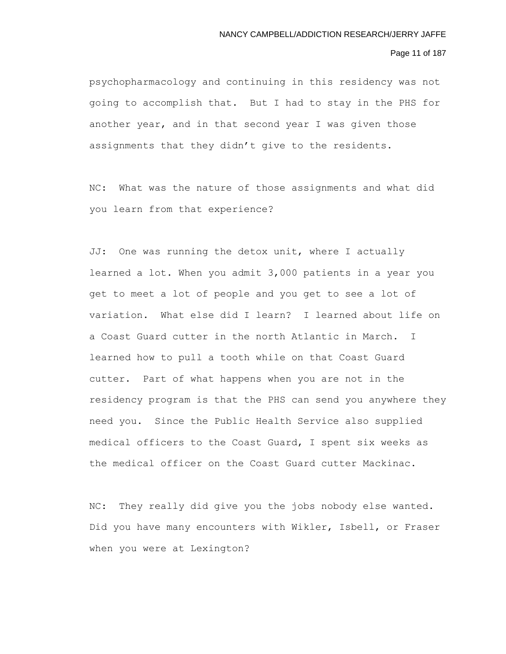# Page 11 of 187

psychopharmacology and continuing in this residency was not going to accomplish that. But I had to stay in the PHS for another year, and in that second year I was given those assignments that they didn't give to the residents.

NC: What was the nature of those assignments and what did you learn from that experience?

JJ: One was running the detox unit, where I actually learned a lot. When you admit 3,000 patients in a year you get to meet a lot of people and you get to see a lot of variation. What else did I learn? I learned about life on a Coast Guard cutter in the north Atlantic in March. I learned how to pull a tooth while on that Coast Guard cutter. Part of what happens when you are not in the residency program is that the PHS can send you anywhere they need you. Since the Public Health Service also supplied medical officers to the Coast Guard, I spent six weeks as the medical officer on the Coast Guard cutter Mackinac.

NC: They really did give you the jobs nobody else wanted. Did you have many encounters with Wikler, Isbell, or Fraser when you were at Lexington?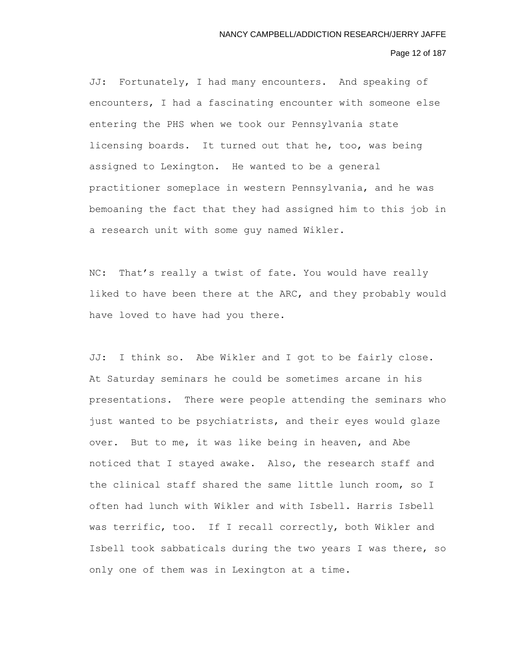# Page 12 of 187

JJ: Fortunately, I had many encounters. And speaking of encounters, I had a fascinating encounter with someone else entering the PHS when we took our Pennsylvania state licensing boards. It turned out that he, too, was being assigned to Lexington. He wanted to be a general practitioner someplace in western Pennsylvania, and he was bemoaning the fact that they had assigned him to this job in a research unit with some guy named Wikler.

NC: That's really a twist of fate. You would have really liked to have been there at the ARC, and they probably would have loved to have had you there.

JJ: I think so. Abe Wikler and I got to be fairly close. At Saturday seminars he could be sometimes arcane in his presentations. There were people attending the seminars who just wanted to be psychiatrists, and their eyes would glaze over. But to me, it was like being in heaven, and Abe noticed that I stayed awake. Also, the research staff and the clinical staff shared the same little lunch room, so I often had lunch with Wikler and with Isbell. Harris Isbell was terrific, too. If I recall correctly, both Wikler and Isbell took sabbaticals during the two years I was there, so only one of them was in Lexington at a time.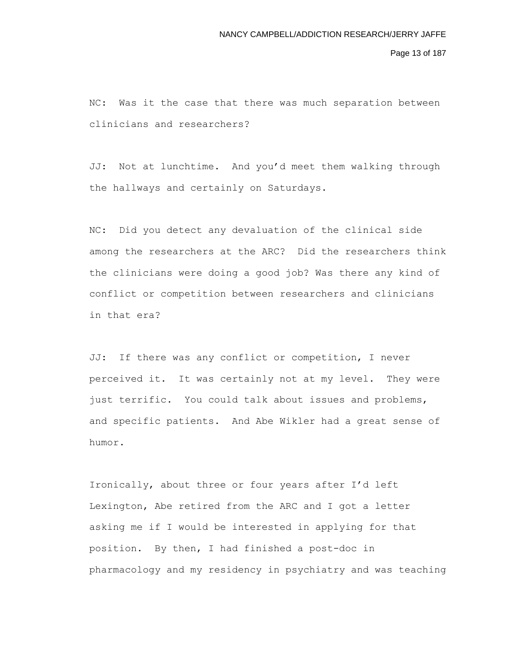Page 13 of 187

NC: Was it the case that there was much separation between clinicians and researchers?

JJ: Not at lunchtime. And you'd meet them walking through the hallways and certainly on Saturdays.

NC: Did you detect any devaluation of the clinical side among the researchers at the ARC? Did the researchers think the clinicians were doing a good job? Was there any kind of conflict or competition between researchers and clinicians in that era?

JJ: If there was any conflict or competition, I never perceived it. It was certainly not at my level. They were just terrific. You could talk about issues and problems, and specific patients. And Abe Wikler had a great sense of humor.

Ironically, about three or four years after I'd left Lexington, Abe retired from the ARC and I got a letter asking me if I would be interested in applying for that position. By then, I had finished a post-doc in pharmacology and my residency in psychiatry and was teaching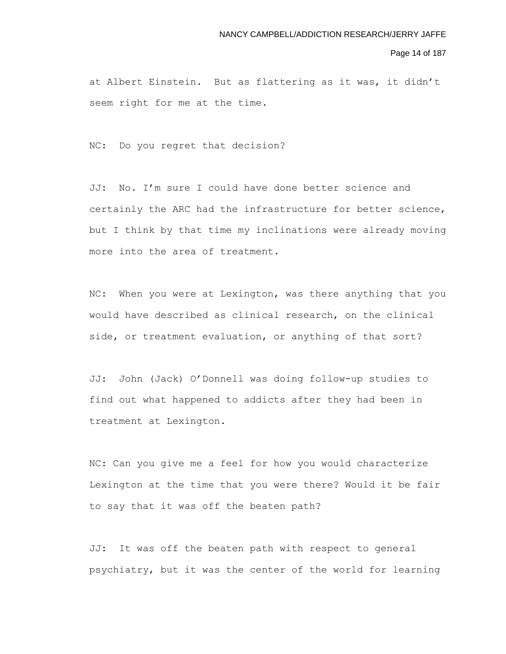#### Page 14 of 187

at Albert Einstein. But as flattering as it was, it didn't seem right for me at the time.

NC: Do you regret that decision?

JJ: No. I'm sure I could have done better science and certainly the ARC had the infrastructure for better science, but I think by that time my inclinations were already moving more into the area of treatment.

NC: When you were at Lexington, was there anything that you would have described as clinical research, on the clinical side, or treatment evaluation, or anything of that sort?

JJ: John (Jack) O'Donnell was doing follow-up studies to find out what happened to addicts after they had been in treatment at Lexington.

NC: Can you give me a feel for how you would characterize Lexington at the time that you were there? Would it be fair to say that it was off the beaten path?

JJ: It was off the beaten path with respect to general psychiatry, but it was the center of the world for learning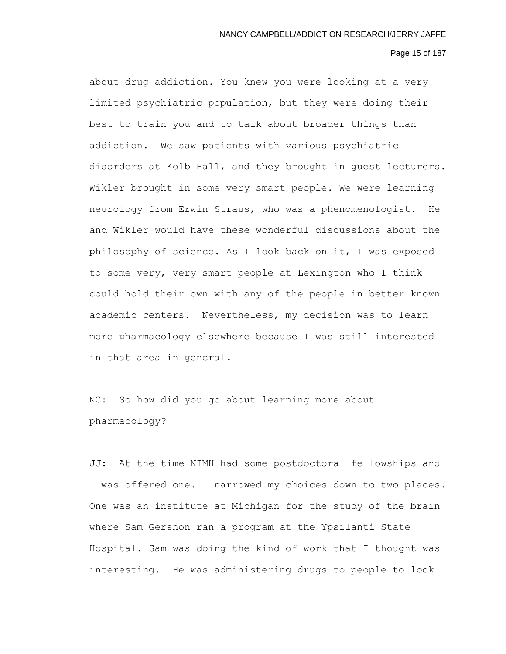## Page 15 of 187

about drug addiction. You knew you were looking at a very limited psychiatric population, but they were doing their best to train you and to talk about broader things than addiction. We saw patients with various psychiatric disorders at Kolb Hall, and they brought in guest lecturers. Wikler brought in some very smart people. We were learning neurology from Erwin Straus, who was a phenomenologist. He and Wikler would have these wonderful discussions about the philosophy of science. As I look back on it, I was exposed to some very, very smart people at Lexington who I think could hold their own with any of the people in better known academic centers. Nevertheless, my decision was to learn more pharmacology elsewhere because I was still interested in that area in general.

NC: So how did you go about learning more about pharmacology?

JJ: At the time NIMH had some postdoctoral fellowships and I was offered one. I narrowed my choices down to two places. One was an institute at Michigan for the study of the brain where Sam Gershon ran a program at the Ypsilanti State Hospital. Sam was doing the kind of work that I thought was interesting. He was administering drugs to people to look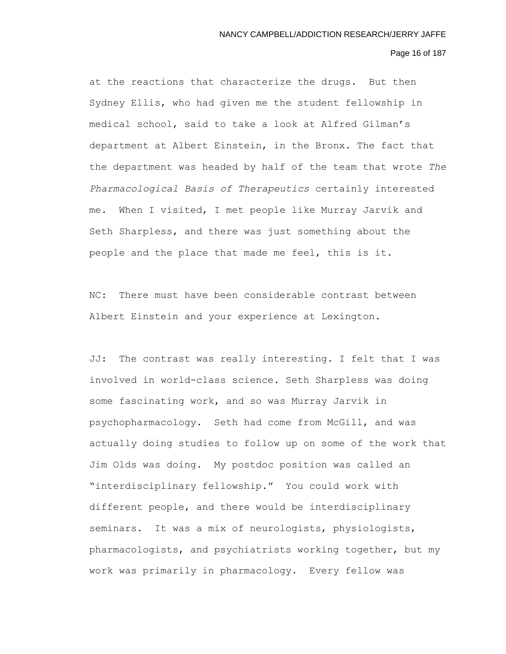# Page 16 of 187

at the reactions that characterize the drugs. But then Sydney Ellis, who had given me the student fellowship in medical school, said to take a look at Alfred Gilman's department at Albert Einstein, in the Bronx. The fact that the department was headed by half of the team that wrote *The Pharmacological Basis of Therapeutics* certainly interested me. When I visited, I met people like Murray Jarvik and Seth Sharpless, and there was just something about the people and the place that made me feel, this is it.

NC: There must have been considerable contrast between Albert Einstein and your experience at Lexington.

JJ: The contrast was really interesting. I felt that I was involved in world-class science. Seth Sharpless was doing some fascinating work, and so was Murray Jarvik in psychopharmacology. Seth had come from McGill, and was actually doing studies to follow up on some of the work that Jim Olds was doing. My postdoc position was called an "interdisciplinary fellowship." You could work with different people, and there would be interdisciplinary seminars. It was a mix of neurologists, physiologists, pharmacologists, and psychiatrists working together, but my work was primarily in pharmacology. Every fellow was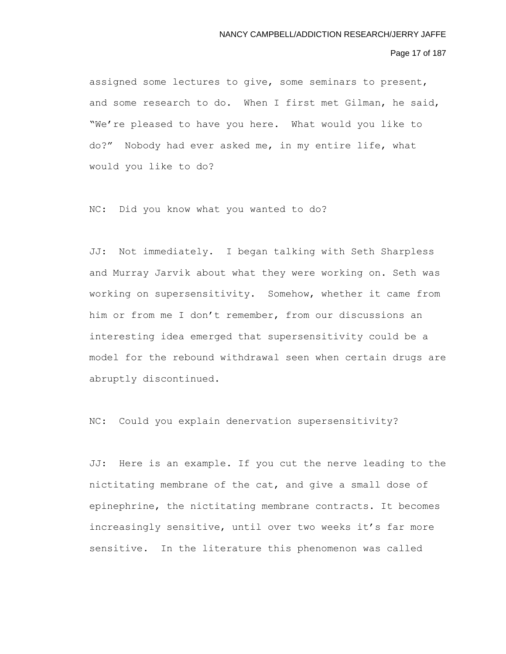# Page 17 of 187

assigned some lectures to give, some seminars to present, and some research to do. When I first met Gilman, he said, "We're pleased to have you here. What would you like to do?" Nobody had ever asked me, in my entire life, what would you like to do?

NC: Did you know what you wanted to do?

JJ: Not immediately. I began talking with Seth Sharpless and Murray Jarvik about what they were working on. Seth was working on supersensitivity. Somehow, whether it came from him or from me I don't remember, from our discussions an interesting idea emerged that supersensitivity could be a model for the rebound withdrawal seen when certain drugs are abruptly discontinued.

NC: Could you explain denervation supersensitivity?

JJ: Here is an example. If you cut the nerve leading to the nictitating membrane of the cat, and give a small dose of epinephrine, the nictitating membrane contracts. It becomes increasingly sensitive, until over two weeks it's far more sensitive. In the literature this phenomenon was called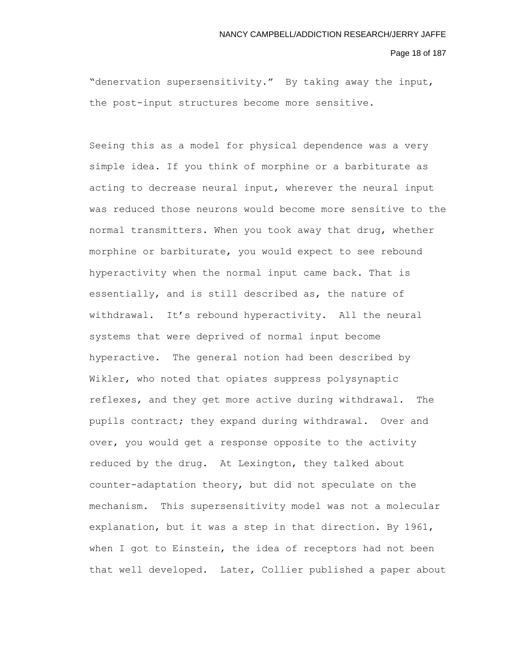#### Page 18 of 187

"denervation supersensitivity." By taking away the input, the post-input structures become more sensitive.

Seeing this as a model for physical dependence was a very simple idea. If you think of morphine or a barbiturate as acting to decrease neural input, wherever the neural input was reduced those neurons would become more sensitive to the normal transmitters. When you took away that drug, whether morphine or barbiturate, you would expect to see rebound hyperactivity when the normal input came back. That is essentially, and is still described as, the nature of withdrawal. It's rebound hyperactivity. All the neural systems that were deprived of normal input become hyperactive. The general notion had been described by Wikler, who noted that opiates suppress polysynaptic reflexes, and they get more active during withdrawal. The pupils contract; they expand during withdrawal. Over and over, you would get a response opposite to the activity reduced by the drug. At Lexington, they talked about counter-adaptation theory, but did not speculate on the mechanism. This supersensitivity model was not a molecular explanation, but it was a step in that direction. By 1961, when I got to Einstein, the idea of receptors had not been that well developed. Later, Collier published a paper about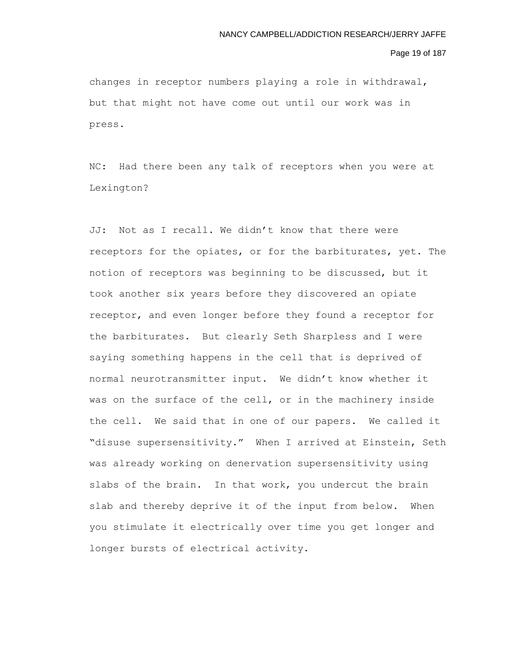#### Page 19 of 187

changes in receptor numbers playing a role in withdrawal, but that might not have come out until our work was in press.

NC: Had there been any talk of receptors when you were at Lexington?

JJ: Not as I recall. We didn't know that there were receptors for the opiates, or for the barbiturates, yet. The notion of receptors was beginning to be discussed, but it took another six years before they discovered an opiate receptor, and even longer before they found a receptor for the barbiturates. But clearly Seth Sharpless and I were saying something happens in the cell that is deprived of normal neurotransmitter input. We didn't know whether it was on the surface of the cell, or in the machinery inside the cell. We said that in one of our papers. We called it "disuse supersensitivity." When I arrived at Einstein, Seth was already working on denervation supersensitivity using slabs of the brain. In that work, you undercut the brain slab and thereby deprive it of the input from below. When you stimulate it electrically over time you get longer and longer bursts of electrical activity.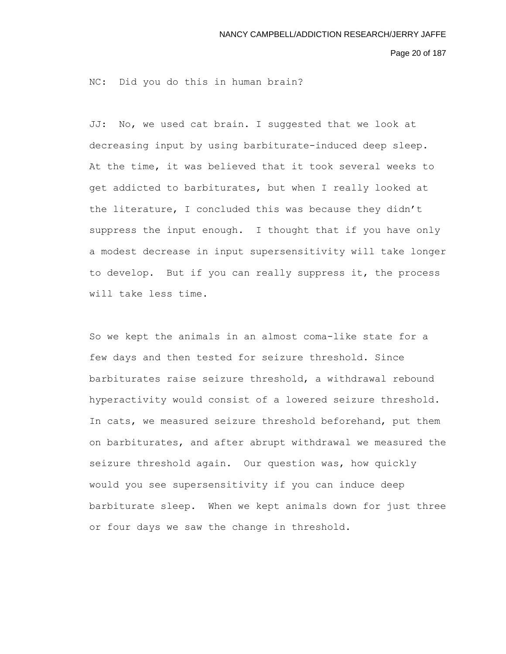Page 20 of 187

NC: Did you do this in human brain?

JJ: No, we used cat brain. I suggested that we look at decreasing input by using barbiturate-induced deep sleep. At the time, it was believed that it took several weeks to get addicted to barbiturates, but when I really looked at the literature, I concluded this was because they didn't suppress the input enough. I thought that if you have only a modest decrease in input supersensitivity will take longer to develop. But if you can really suppress it, the process will take less time.

So we kept the animals in an almost coma-like state for a few days and then tested for seizure threshold. Since barbiturates raise seizure threshold, a withdrawal rebound hyperactivity would consist of a lowered seizure threshold. In cats, we measured seizure threshold beforehand, put them on barbiturates, and after abrupt withdrawal we measured the seizure threshold again. Our question was, how quickly would you see supersensitivity if you can induce deep barbiturate sleep. When we kept animals down for just three or four days we saw the change in threshold.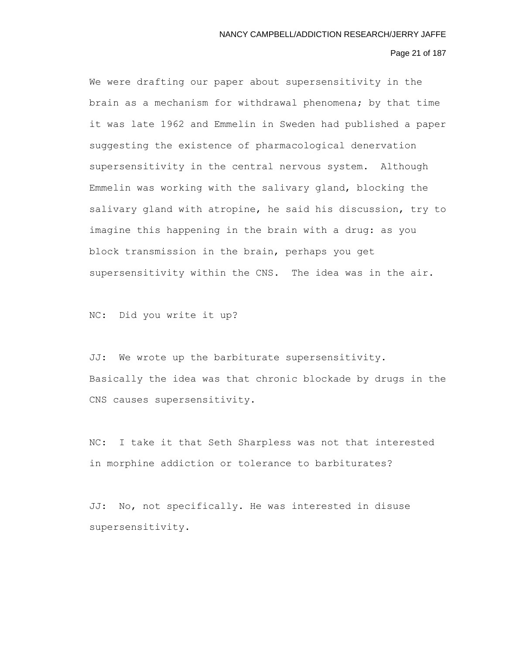# Page 21 of 187

We were drafting our paper about supersensitivity in the brain as a mechanism for withdrawal phenomena; by that time it was late 1962 and Emmelin in Sweden had published a paper suggesting the existence of pharmacological denervation supersensitivity in the central nervous system. Although Emmelin was working with the salivary gland, blocking the salivary gland with atropine, he said his discussion, try to imagine this happening in the brain with a drug: as you block transmission in the brain, perhaps you get supersensitivity within the CNS. The idea was in the air.

NC: Did you write it up?

JJ: We wrote up the barbiturate supersensitivity. Basically the idea was that chronic blockade by drugs in the CNS causes supersensitivity.

NC: I take it that Seth Sharpless was not that interested in morphine addiction or tolerance to barbiturates?

JJ: No, not specifically. He was interested in disuse supersensitivity.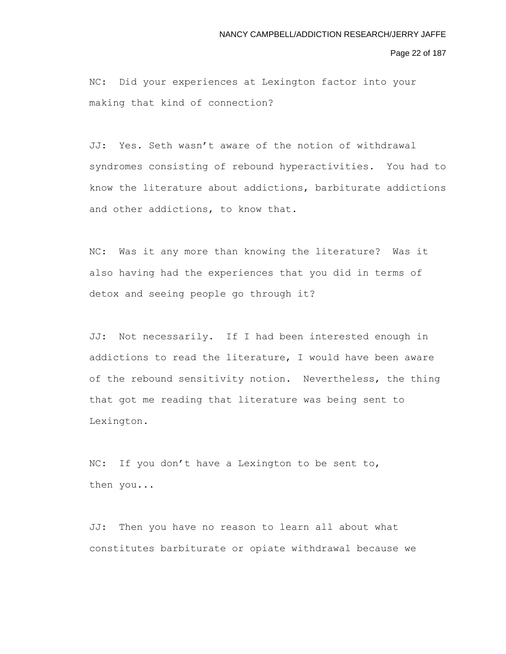Page 22 of 187

NC: Did your experiences at Lexington factor into your making that kind of connection?

JJ: Yes. Seth wasn't aware of the notion of withdrawal syndromes consisting of rebound hyperactivities. You had to know the literature about addictions, barbiturate addictions and other addictions, to know that.

NC: Was it any more than knowing the literature? Was it also having had the experiences that you did in terms of detox and seeing people go through it?

JJ: Not necessarily. If I had been interested enough in addictions to read the literature, I would have been aware of the rebound sensitivity notion. Nevertheless, the thing that got me reading that literature was being sent to Lexington.

NC: If you don't have a Lexington to be sent to, then you...

JJ: Then you have no reason to learn all about what constitutes barbiturate or opiate withdrawal because we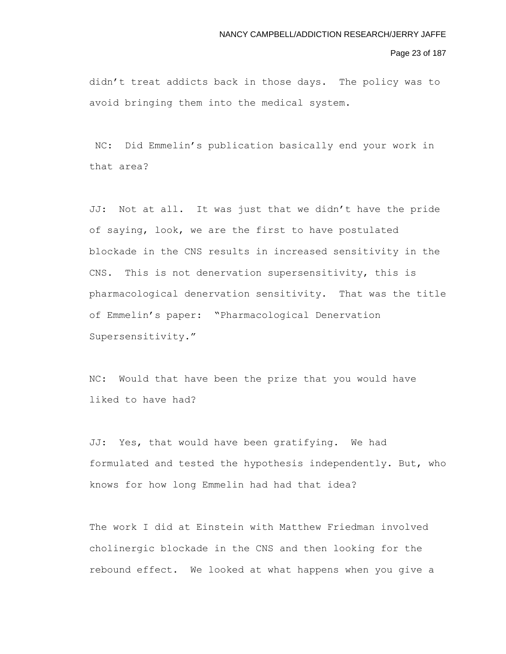# Page 23 of 187

didn't treat addicts back in those days. The policy was to avoid bringing them into the medical system.

NC: Did Emmelin's publication basically end your work in that area?

JJ: Not at all. It was just that we didn't have the pride of saying, look, we are the first to have postulated blockade in the CNS results in increased sensitivity in the CNS. This is not denervation supersensitivity, this is pharmacological denervation sensitivity. That was the title of Emmelin's paper: "Pharmacological Denervation Supersensitivity."

NC: Would that have been the prize that you would have liked to have had?

JJ: Yes, that would have been gratifying. We had formulated and tested the hypothesis independently. But, who knows for how long Emmelin had had that idea?

The work I did at Einstein with Matthew Friedman involved cholinergic blockade in the CNS and then looking for the rebound effect. We looked at what happens when you give a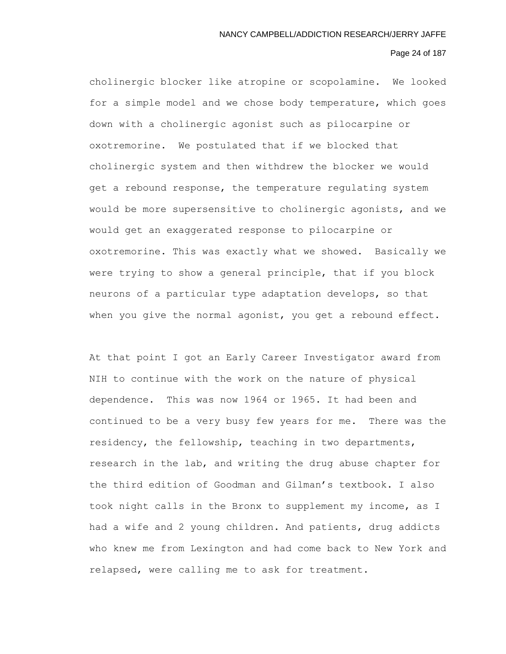# Page 24 of 187

cholinergic blocker like atropine or scopolamine. We looked for a simple model and we chose body temperature, which goes down with a cholinergic agonist such as pilocarpine or oxotremorine. We postulated that if we blocked that cholinergic system and then withdrew the blocker we would get a rebound response, the temperature regulating system would be more supersensitive to cholinergic agonists, and we would get an exaggerated response to pilocarpine or oxotremorine. This was exactly what we showed. Basically we were trying to show a general principle, that if you block neurons of a particular type adaptation develops, so that when you give the normal agonist, you get a rebound effect.

At that point I got an Early Career Investigator award from NIH to continue with the work on the nature of physical dependence. This was now 1964 or 1965. It had been and continued to be a very busy few years for me. There was the residency, the fellowship, teaching in two departments, research in the lab, and writing the drug abuse chapter for the third edition of Goodman and Gilman's textbook. I also took night calls in the Bronx to supplement my income, as I had a wife and 2 young children. And patients, drug addicts who knew me from Lexington and had come back to New York and relapsed, were calling me to ask for treatment.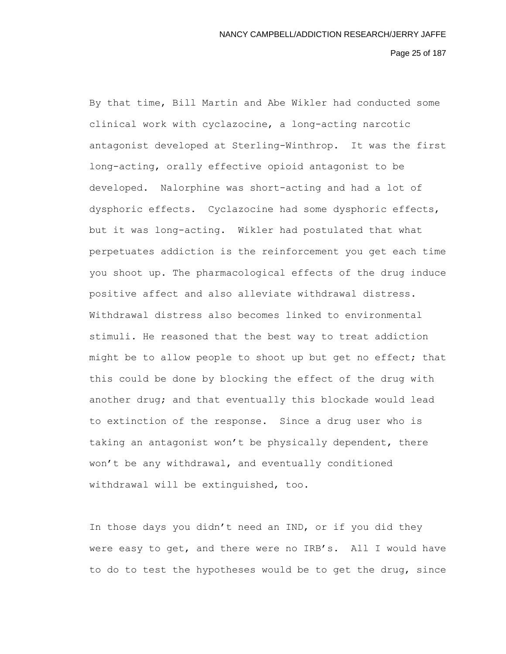# Page 25 of 187

By that time, Bill Martin and Abe Wikler had conducted some clinical work with cyclazocine, a long-acting narcotic antagonist developed at Sterling-Winthrop. It was the first long-acting, orally effective opioid antagonist to be developed. Nalorphine was short-acting and had a lot of dysphoric effects. Cyclazocine had some dysphoric effects, but it was long-acting. Wikler had postulated that what perpetuates addiction is the reinforcement you get each time you shoot up. The pharmacological effects of the drug induce positive affect and also alleviate withdrawal distress. Withdrawal distress also becomes linked to environmental stimuli. He reasoned that the best way to treat addiction might be to allow people to shoot up but get no effect; that this could be done by blocking the effect of the drug with another drug; and that eventually this blockade would lead to extinction of the response. Since a drug user who is taking an antagonist won't be physically dependent, there won't be any withdrawal, and eventually conditioned withdrawal will be extinguished, too.

In those days you didn't need an IND, or if you did they were easy to get, and there were no IRB's. All I would have to do to test the hypotheses would be to get the drug, since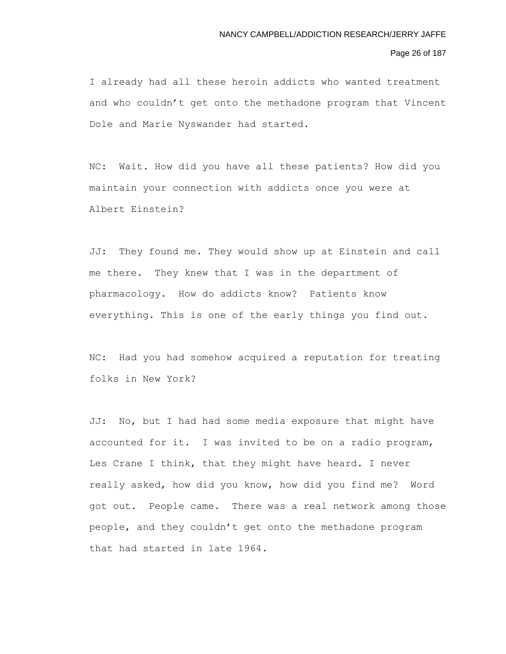# Page 26 of 187

I already had all these heroin addicts who wanted treatment and who couldn't get onto the methadone program that Vincent Dole and Marie Nyswander had started.

NC: Wait. How did you have all these patients? How did you maintain your connection with addicts once you were at Albert Einstein?

JJ: They found me. They would show up at Einstein and call me there. They knew that I was in the department of pharmacology. How do addicts know? Patients know everything. This is one of the early things you find out.

NC: Had you had somehow acquired a reputation for treating folks in New York?

JJ: No, but I had had some media exposure that might have accounted for it. I was invited to be on a radio program, Les Crane I think, that they might have heard. I never really asked, how did you know, how did you find me? Word got out. People came. There was a real network among those people, and they couldn't get onto the methadone program that had started in late 1964.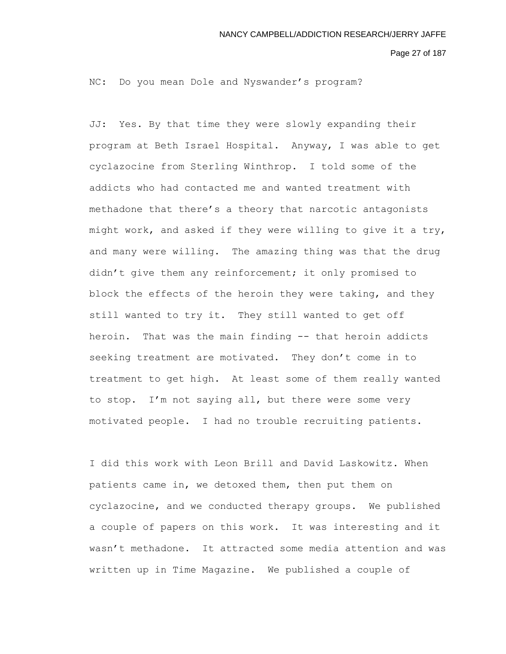Page 27 of 187

NC: Do you mean Dole and Nyswander's program?

JJ: Yes. By that time they were slowly expanding their program at Beth Israel Hospital. Anyway, I was able to get cyclazocine from Sterling Winthrop. I told some of the addicts who had contacted me and wanted treatment with methadone that there's a theory that narcotic antagonists might work, and asked if they were willing to give it a try, and many were willing. The amazing thing was that the drug didn't give them any reinforcement; it only promised to block the effects of the heroin they were taking, and they still wanted to try it. They still wanted to get off heroin. That was the main finding -- that heroin addicts seeking treatment are motivated. They don't come in to treatment to get high. At least some of them really wanted to stop. I'm not saying all, but there were some very motivated people. I had no trouble recruiting patients.

I did this work with Leon Brill and David Laskowitz. When patients came in, we detoxed them, then put them on cyclazocine, and we conducted therapy groups. We published a couple of papers on this work. It was interesting and it wasn't methadone. It attracted some media attention and was written up in Time Magazine. We published a couple of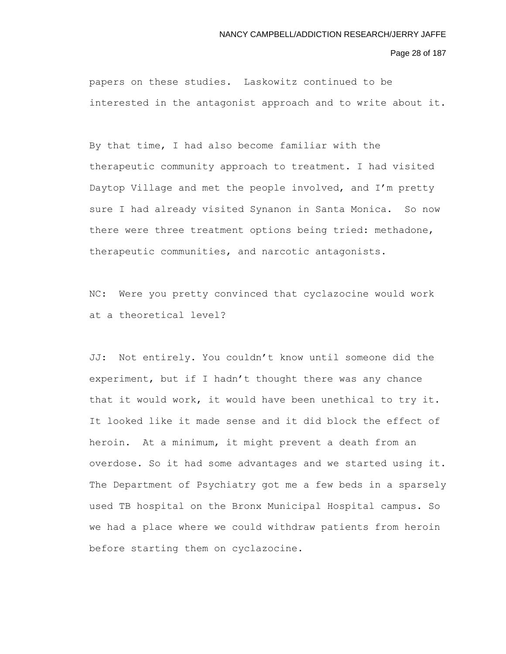Page 28 of 187

papers on these studies. Laskowitz continued to be interested in the antagonist approach and to write about it.

By that time, I had also become familiar with the therapeutic community approach to treatment. I had visited Daytop Village and met the people involved, and I'm pretty sure I had already visited Synanon in Santa Monica. So now there were three treatment options being tried: methadone, therapeutic communities, and narcotic antagonists.

NC: Were you pretty convinced that cyclazocine would work at a theoretical level?

JJ: Not entirely. You couldn't know until someone did the experiment, but if I hadn't thought there was any chance that it would work, it would have been unethical to try it. It looked like it made sense and it did block the effect of heroin. At a minimum, it might prevent a death from an overdose. So it had some advantages and we started using it. The Department of Psychiatry got me a few beds in a sparsely used TB hospital on the Bronx Municipal Hospital campus. So we had a place where we could withdraw patients from heroin before starting them on cyclazocine.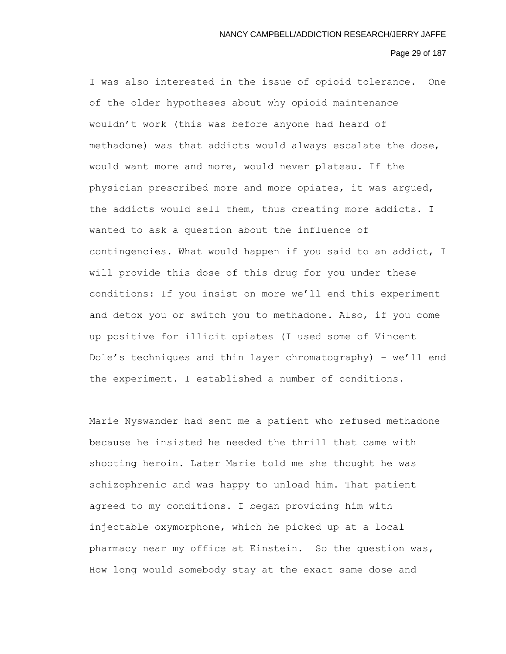# Page 29 of 187

I was also interested in the issue of opioid tolerance. One of the older hypotheses about why opioid maintenance wouldn't work (this was before anyone had heard of methadone) was that addicts would always escalate the dose, would want more and more, would never plateau. If the physician prescribed more and more opiates, it was argued, the addicts would sell them, thus creating more addicts. I wanted to ask a question about the influence of contingencies. What would happen if you said to an addict, I will provide this dose of this drug for you under these conditions: If you insist on more we'll end this experiment and detox you or switch you to methadone. Also, if you come up positive for illicit opiates (I used some of Vincent Dole's techniques and thin layer chromatography) – we'll end the experiment. I established a number of conditions.

Marie Nyswander had sent me a patient who refused methadone because he insisted he needed the thrill that came with shooting heroin. Later Marie told me she thought he was schizophrenic and was happy to unload him. That patient agreed to my conditions. I began providing him with injectable oxymorphone, which he picked up at a local pharmacy near my office at Einstein. So the question was, How long would somebody stay at the exact same dose and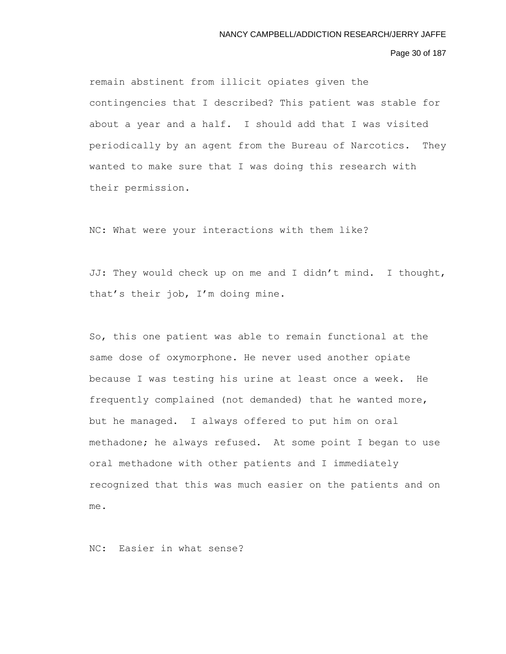Page 30 of 187

remain abstinent from illicit opiates given the contingencies that I described? This patient was stable for about a year and a half. I should add that I was visited periodically by an agent from the Bureau of Narcotics. They wanted to make sure that I was doing this research with their permission.

NC: What were your interactions with them like?

JJ: They would check up on me and I didn't mind. I thought, that's their job, I'm doing mine.

So, this one patient was able to remain functional at the same dose of oxymorphone. He never used another opiate because I was testing his urine at least once a week. He frequently complained (not demanded) that he wanted more, but he managed. I always offered to put him on oral methadone; he always refused. At some point I began to use oral methadone with other patients and I immediately recognized that this was much easier on the patients and on me.

NC: Easier in what sense?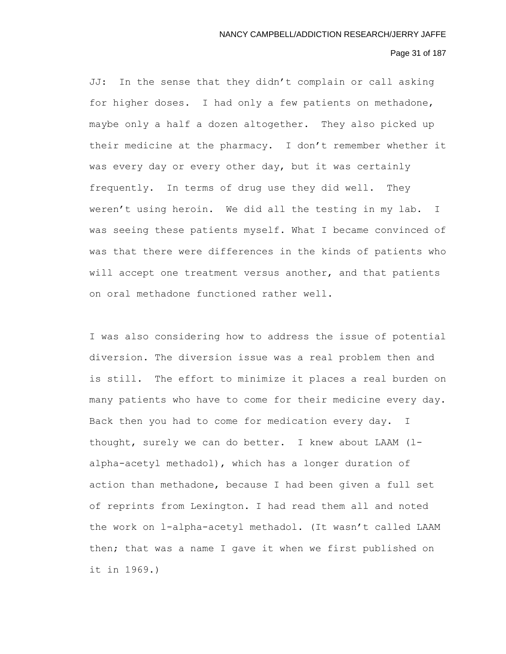# Page 31 of 187

JJ: In the sense that they didn't complain or call asking for higher doses. I had only a few patients on methadone, maybe only a half a dozen altogether. They also picked up their medicine at the pharmacy. I don't remember whether it was every day or every other day, but it was certainly frequently. In terms of drug use they did well. They weren't using heroin. We did all the testing in my lab. I was seeing these patients myself. What I became convinced of was that there were differences in the kinds of patients who will accept one treatment versus another, and that patients on oral methadone functioned rather well.

I was also considering how to address the issue of potential diversion. The diversion issue was a real problem then and is still. The effort to minimize it places a real burden on many patients who have to come for their medicine every day. Back then you had to come for medication every day. I thought, surely we can do better. I knew about LAAM (lalpha-acetyl methadol), which has a longer duration of action than methadone, because I had been given a full set of reprints from Lexington. I had read them all and noted the work on l-alpha-acetyl methadol. (It wasn't called LAAM then; that was a name I gave it when we first published on it in 1969.)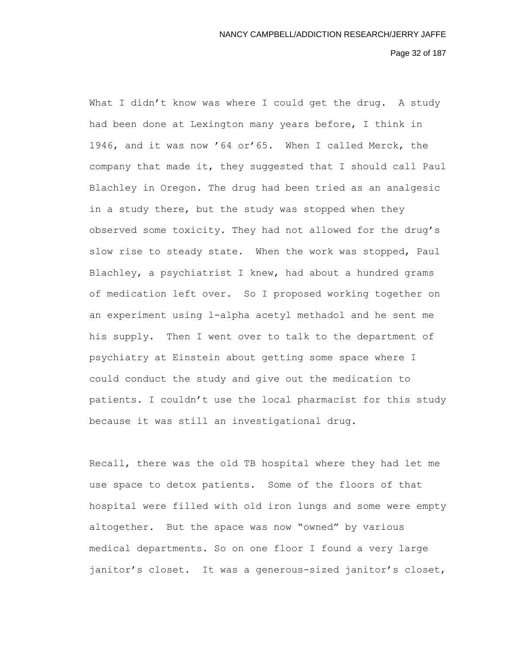Page 32 of 187

What I didn't know was where I could get the drug. A study had been done at Lexington many years before, I think in 1946, and it was now '64 or'65. When I called Merck, the company that made it, they suggested that I should call Paul Blachley in Oregon. The drug had been tried as an analgesic in a study there, but the study was stopped when they observed some toxicity. They had not allowed for the drug's slow rise to steady state. When the work was stopped, Paul Blachley, a psychiatrist I knew, had about a hundred grams of medication left over. So I proposed working together on an experiment using l-alpha acetyl methadol and he sent me his supply. Then I went over to talk to the department of psychiatry at Einstein about getting some space where I could conduct the study and give out the medication to patients. I couldn't use the local pharmacist for this study because it was still an investigational drug.

Recall, there was the old TB hospital where they had let me use space to detox patients. Some of the floors of that hospital were filled with old iron lungs and some were empty altogether. But the space was now "owned" by various medical departments. So on one floor I found a very large janitor's closet. It was a generous-sized janitor's closet,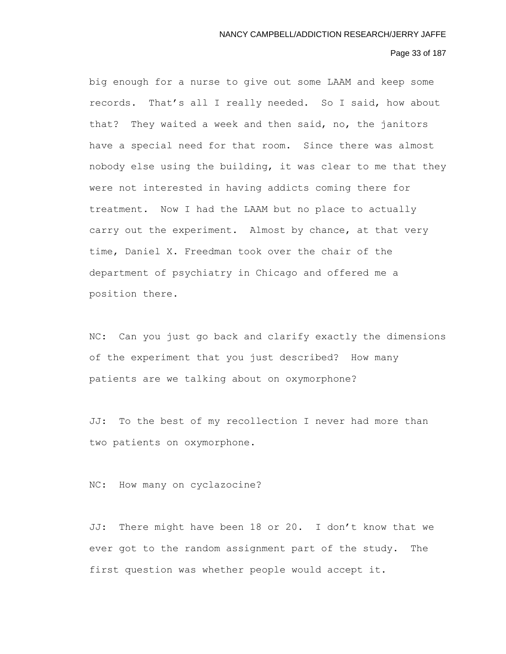# Page 33 of 187

big enough for a nurse to give out some LAAM and keep some records. That's all I really needed. So I said, how about that? They waited a week and then said, no, the janitors have a special need for that room. Since there was almost nobody else using the building, it was clear to me that they were not interested in having addicts coming there for treatment. Now I had the LAAM but no place to actually carry out the experiment. Almost by chance, at that very time, Daniel X. Freedman took over the chair of the department of psychiatry in Chicago and offered me a position there.

NC: Can you just go back and clarify exactly the dimensions of the experiment that you just described? How many patients are we talking about on oxymorphone?

JJ: To the best of my recollection I never had more than two patients on oxymorphone.

NC: How many on cyclazocine?

JJ: There might have been 18 or 20. I don't know that we ever got to the random assignment part of the study. The first question was whether people would accept it.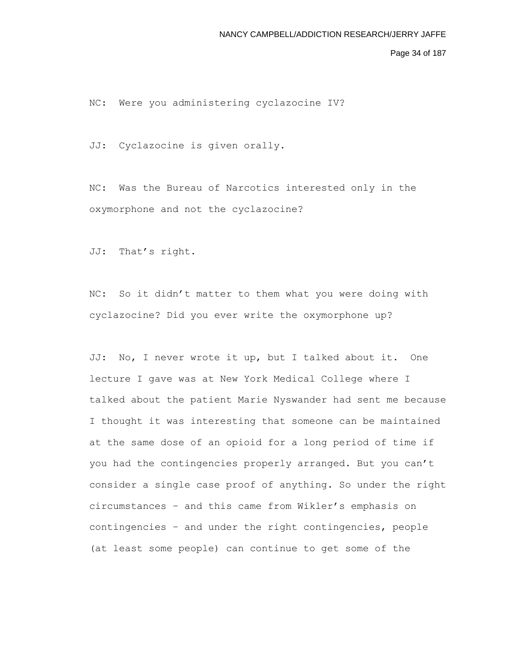Page 34 of 187

NC: Were you administering cyclazocine IV?

JJ: Cyclazocine is given orally.

NC: Was the Bureau of Narcotics interested only in the oxymorphone and not the cyclazocine?

JJ: That's right.

NC: So it didn't matter to them what you were doing with cyclazocine? Did you ever write the oxymorphone up?

JJ: No, I never wrote it up, but I talked about it. One lecture I gave was at New York Medical College where I talked about the patient Marie Nyswander had sent me because I thought it was interesting that someone can be maintained at the same dose of an opioid for a long period of time if you had the contingencies properly arranged. But you can't consider a single case proof of anything. So under the right circumstances – and this came from Wikler's emphasis on contingencies – and under the right contingencies, people (at least some people) can continue to get some of the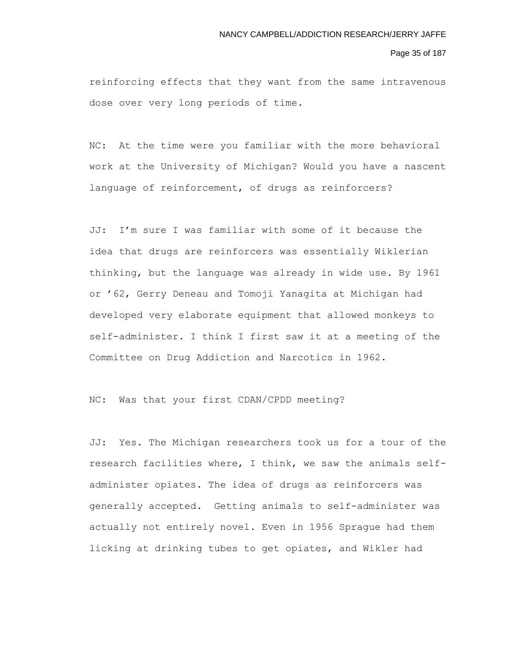#### Page 35 of 187

reinforcing effects that they want from the same intravenous dose over very long periods of time.

NC: At the time were you familiar with the more behavioral work at the University of Michigan? Would you have a nascent language of reinforcement, of drugs as reinforcers?

JJ: I'm sure I was familiar with some of it because the idea that drugs are reinforcers was essentially Wiklerian thinking, but the language was already in wide use. By 1961 or '62, Gerry Deneau and Tomoji Yanagita at Michigan had developed very elaborate equipment that allowed monkeys to self-administer. I think I first saw it at a meeting of the Committee on Drug Addiction and Narcotics in 1962.

# NC: Was that your first CDAN/CPDD meeting?

JJ: Yes. The Michigan researchers took us for a tour of the research facilities where, I think, we saw the animals selfadminister opiates. The idea of drugs as reinforcers was generally accepted. Getting animals to self-administer was actually not entirely novel. Even in 1956 Sprague had them licking at drinking tubes to get opiates, and Wikler had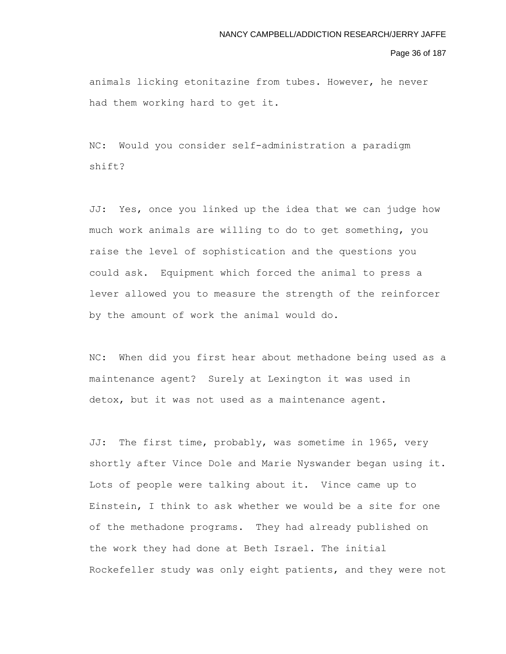#### Page 36 of 187

animals licking etonitazine from tubes. However, he never had them working hard to get it.

NC: Would you consider self-administration a paradigm shift?

JJ: Yes, once you linked up the idea that we can judge how much work animals are willing to do to get something, you raise the level of sophistication and the questions you could ask. Equipment which forced the animal to press a lever allowed you to measure the strength of the reinforcer by the amount of work the animal would do.

NC: When did you first hear about methadone being used as a maintenance agent? Surely at Lexington it was used in detox, but it was not used as a maintenance agent.

JJ: The first time, probably, was sometime in 1965, very shortly after Vince Dole and Marie Nyswander began using it. Lots of people were talking about it. Vince came up to Einstein, I think to ask whether we would be a site for one of the methadone programs. They had already published on the work they had done at Beth Israel. The initial Rockefeller study was only eight patients, and they were not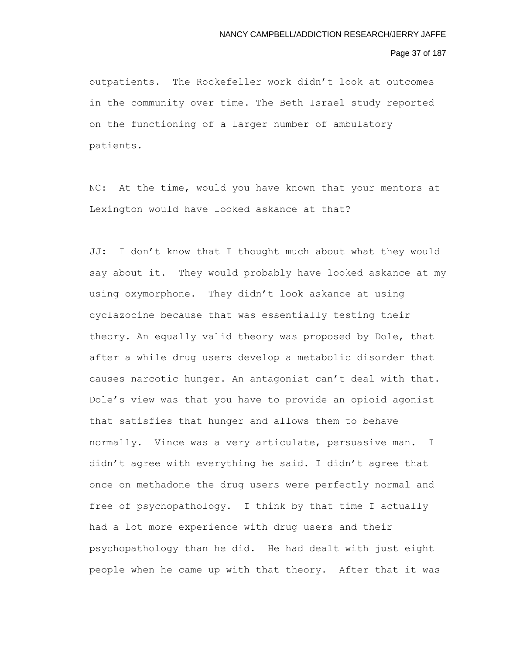## Page 37 of 187

outpatients. The Rockefeller work didn't look at outcomes in the community over time. The Beth Israel study reported on the functioning of a larger number of ambulatory patients.

NC: At the time, would you have known that your mentors at Lexington would have looked askance at that?

JJ: I don't know that I thought much about what they would say about it. They would probably have looked askance at my using oxymorphone. They didn't look askance at using cyclazocine because that was essentially testing their theory. An equally valid theory was proposed by Dole, that after a while drug users develop a metabolic disorder that causes narcotic hunger. An antagonist can't deal with that. Dole's view was that you have to provide an opioid agonist that satisfies that hunger and allows them to behave normally. Vince was a very articulate, persuasive man. I didn't agree with everything he said. I didn't agree that once on methadone the drug users were perfectly normal and free of psychopathology. I think by that time I actually had a lot more experience with drug users and their psychopathology than he did. He had dealt with just eight people when he came up with that theory. After that it was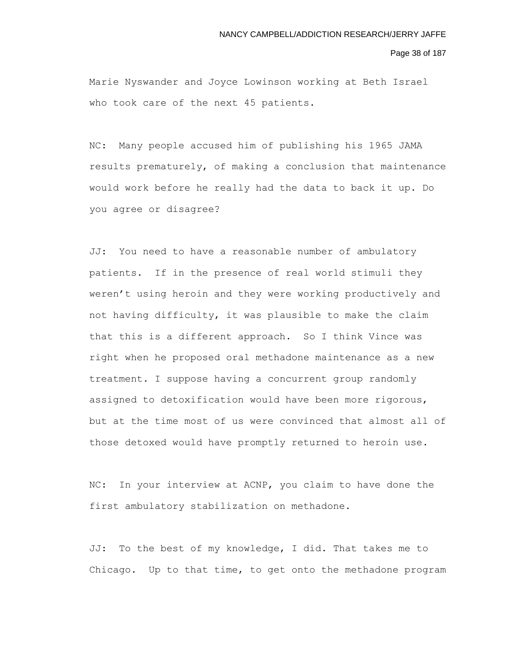Page 38 of 187

Marie Nyswander and Joyce Lowinson working at Beth Israel who took care of the next 45 patients.

NC: Many people accused him of publishing his 1965 JAMA results prematurely, of making a conclusion that maintenance would work before he really had the data to back it up. Do you agree or disagree?

JJ: You need to have a reasonable number of ambulatory patients. If in the presence of real world stimuli they weren't using heroin and they were working productively and not having difficulty, it was plausible to make the claim that this is a different approach. So I think Vince was right when he proposed oral methadone maintenance as a new treatment. I suppose having a concurrent group randomly assigned to detoxification would have been more rigorous, but at the time most of us were convinced that almost all of those detoxed would have promptly returned to heroin use.

NC: In your interview at ACNP, you claim to have done the first ambulatory stabilization on methadone.

JJ: To the best of my knowledge, I did. That takes me to Chicago. Up to that time, to get onto the methadone program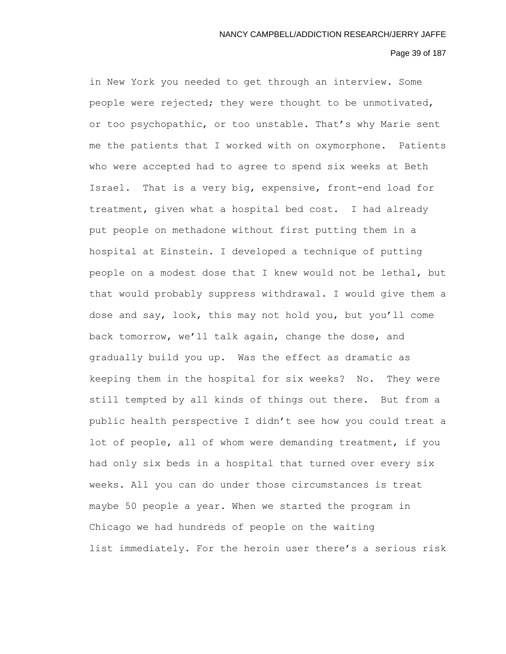#### Page 39 of 187

in New York you needed to get through an interview. Some people were rejected; they were thought to be unmotivated, or too psychopathic, or too unstable. That's why Marie sent me the patients that I worked with on oxymorphone. Patients who were accepted had to agree to spend six weeks at Beth Israel. That is a very big, expensive, front-end load for treatment, given what a hospital bed cost. I had already put people on methadone without first putting them in a hospital at Einstein. I developed a technique of putting people on a modest dose that I knew would not be lethal, but that would probably suppress withdrawal. I would give them a dose and say, look, this may not hold you, but you'll come back tomorrow, we'll talk again, change the dose, and gradually build you up. Was the effect as dramatic as keeping them in the hospital for six weeks? No. They were still tempted by all kinds of things out there. But from a public health perspective I didn't see how you could treat a lot of people, all of whom were demanding treatment, if you had only six beds in a hospital that turned over every six weeks. All you can do under those circumstances is treat maybe 50 people a year. When we started the program in Chicago we had hundreds of people on the waiting list immediately. For the heroin user there's a serious risk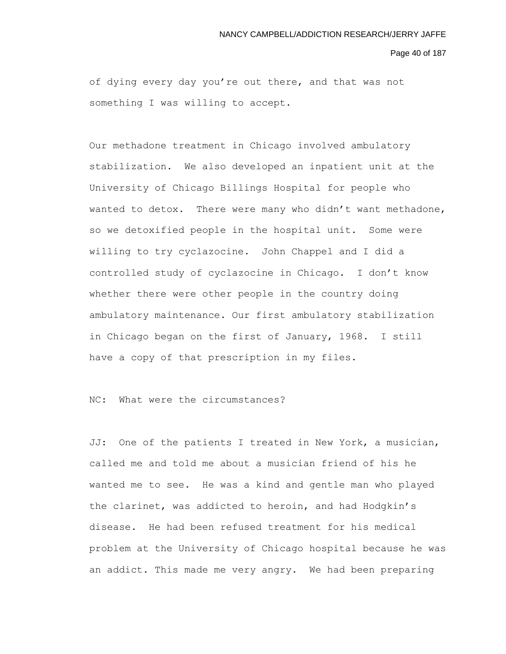#### Page 40 of 187

of dying every day you're out there, and that was not something I was willing to accept.

Our methadone treatment in Chicago involved ambulatory stabilization. We also developed an inpatient unit at the University of Chicago Billings Hospital for people who wanted to detox. There were many who didn't want methadone, so we detoxified people in the hospital unit. Some were willing to try cyclazocine. John Chappel and I did a controlled study of cyclazocine in Chicago. I don't know whether there were other people in the country doing ambulatory maintenance. Our first ambulatory stabilization in Chicago began on the first of January, 1968. I still have a copy of that prescription in my files.

NC: What were the circumstances?

JJ: One of the patients I treated in New York, a musician, called me and told me about a musician friend of his he wanted me to see. He was a kind and gentle man who played the clarinet, was addicted to heroin, and had Hodgkin's disease. He had been refused treatment for his medical problem at the University of Chicago hospital because he was an addict. This made me very angry. We had been preparing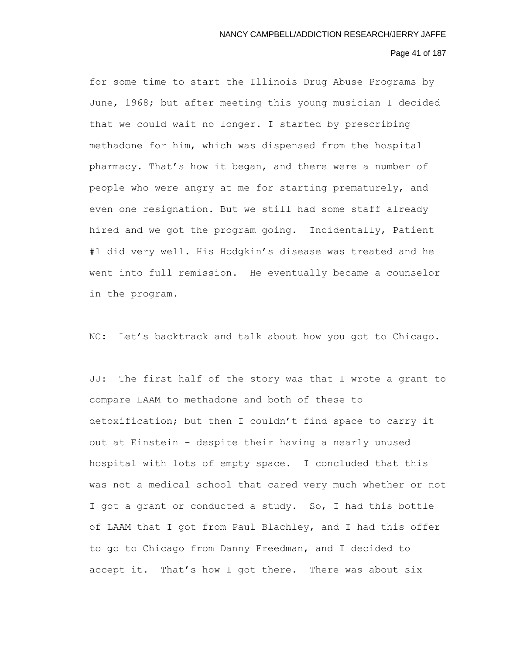# Page 41 of 187

for some time to start the Illinois Drug Abuse Programs by June, 1968; but after meeting this young musician I decided that we could wait no longer. I started by prescribing methadone for him, which was dispensed from the hospital pharmacy. That's how it began, and there were a number of people who were angry at me for starting prematurely, and even one resignation. But we still had some staff already hired and we got the program going. Incidentally, Patient #1 did very well. His Hodgkin's disease was treated and he went into full remission. He eventually became a counselor in the program.

NC: Let's backtrack and talk about how you got to Chicago.

JJ: The first half of the story was that I wrote a grant to compare LAAM to methadone and both of these to detoxification; but then I couldn't find space to carry it out at Einstein - despite their having a nearly unused hospital with lots of empty space. I concluded that this was not a medical school that cared very much whether or not I got a grant or conducted a study. So, I had this bottle of LAAM that I got from Paul Blachley, and I had this offer to go to Chicago from Danny Freedman, and I decided to accept it. That's how I got there. There was about six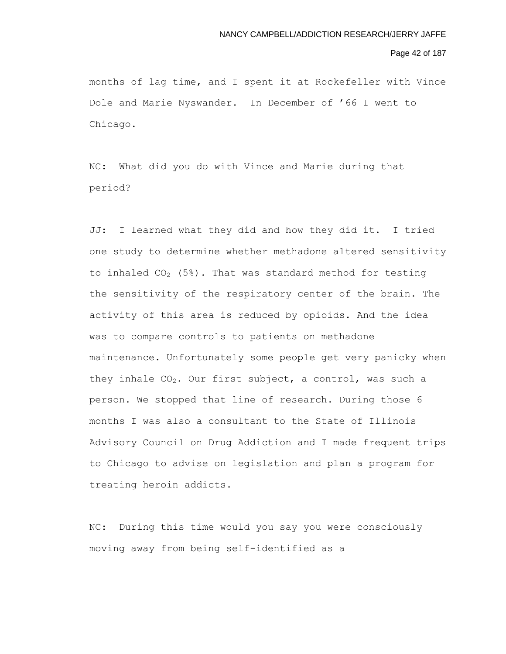### Page 42 of 187

months of lag time, and I spent it at Rockefeller with Vince Dole and Marie Nyswander. In December of '66 I went to Chicago.

NC: What did you do with Vince and Marie during that period?

JJ: I learned what they did and how they did it. I tried one study to determine whether methadone altered sensitivity to inhaled  $CO<sub>2</sub>$  (5%). That was standard method for testing the sensitivity of the respiratory center of the brain. The activity of this area is reduced by opioids. And the idea was to compare controls to patients on methadone maintenance. Unfortunately some people get very panicky when they inhale  $CO<sub>2</sub>$ . Our first subject, a control, was such a person. We stopped that line of research. During those 6 months I was also a consultant to the State of Illinois Advisory Council on Drug Addiction and I made frequent trips to Chicago to advise on legislation and plan a program for treating heroin addicts.

NC: During this time would you say you were consciously moving away from being self-identified as a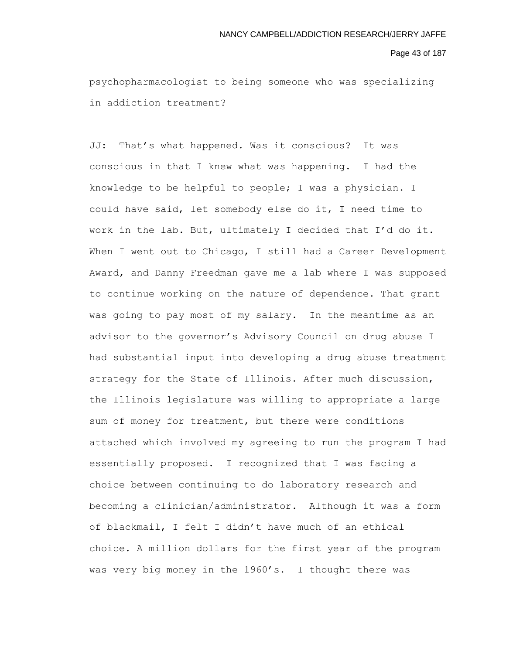Page 43 of 187

psychopharmacologist to being someone who was specializing in addiction treatment?

JJ: That's what happened. Was it conscious? It was conscious in that I knew what was happening. I had the knowledge to be helpful to people; I was a physician. I could have said, let somebody else do it, I need time to work in the lab. But, ultimately I decided that I'd do it. When I went out to Chicago, I still had a Career Development Award, and Danny Freedman gave me a lab where I was supposed to continue working on the nature of dependence. That grant was going to pay most of my salary. In the meantime as an advisor to the governor's Advisory Council on drug abuse I had substantial input into developing a drug abuse treatment strategy for the State of Illinois. After much discussion, the Illinois legislature was willing to appropriate a large sum of money for treatment, but there were conditions attached which involved my agreeing to run the program I had essentially proposed. I recognized that I was facing a choice between continuing to do laboratory research and becoming a clinician/administrator. Although it was a form of blackmail, I felt I didn't have much of an ethical choice. A million dollars for the first year of the program was very big money in the 1960's. I thought there was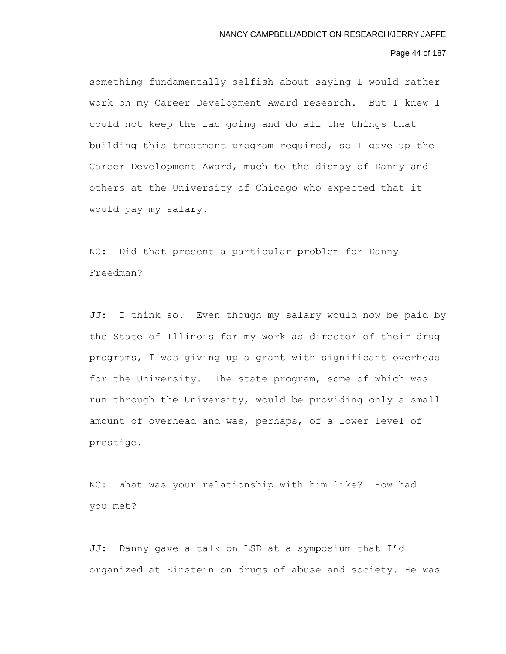# Page 44 of 187

something fundamentally selfish about saying I would rather work on my Career Development Award research. But I knew I could not keep the lab going and do all the things that building this treatment program required, so I gave up the Career Development Award, much to the dismay of Danny and others at the University of Chicago who expected that it would pay my salary.

NC: Did that present a particular problem for Danny Freedman?

JJ: I think so. Even though my salary would now be paid by the State of Illinois for my work as director of their drug programs, I was giving up a grant with significant overhead for the University. The state program, some of which was run through the University, would be providing only a small amount of overhead and was, perhaps, of a lower level of prestige.

NC: What was your relationship with him like? How had you met?

JJ: Danny gave a talk on LSD at a symposium that I'd organized at Einstein on drugs of abuse and society. He was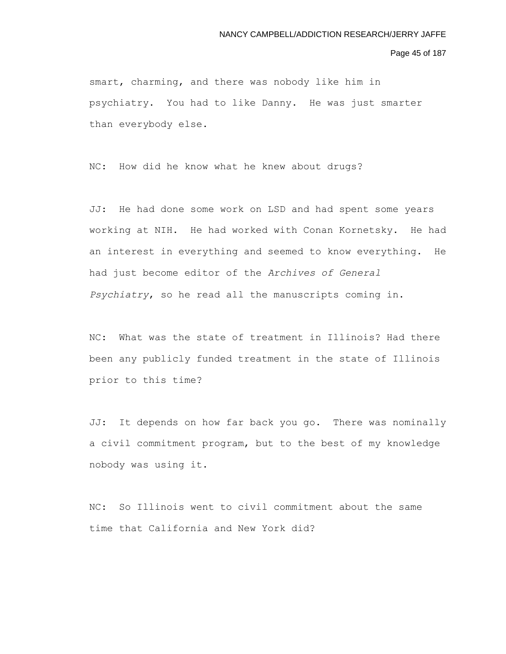Page 45 of 187

smart, charming, and there was nobody like him in psychiatry. You had to like Danny. He was just smarter than everybody else.

NC: How did he know what he knew about drugs?

JJ: He had done some work on LSD and had spent some years working at NIH. He had worked with Conan Kornetsky. He had an interest in everything and seemed to know everything. He had just become editor of the *Archives of General Psychiatry*, so he read all the manuscripts coming in.

NC: What was the state of treatment in Illinois? Had there been any publicly funded treatment in the state of Illinois prior to this time?

JJ: It depends on how far back you go. There was nominally a civil commitment program, but to the best of my knowledge nobody was using it.

NC: So Illinois went to civil commitment about the same time that California and New York did?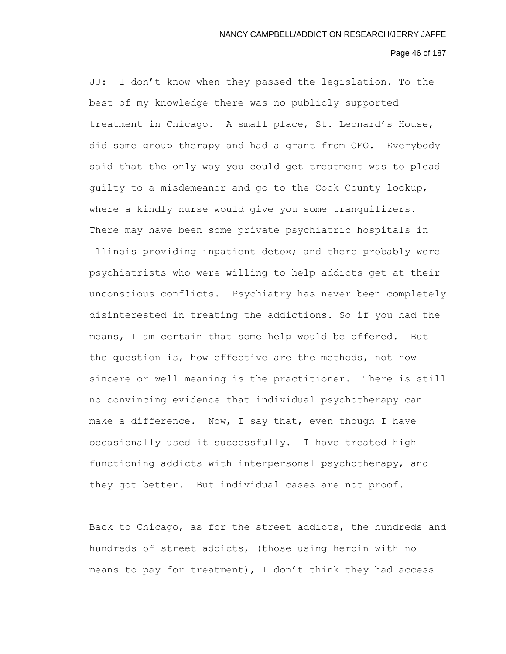### Page 46 of 187

JJ: I don't know when they passed the legislation. To the best of my knowledge there was no publicly supported treatment in Chicago. A small place, St. Leonard's House, did some group therapy and had a grant from OEO. Everybody said that the only way you could get treatment was to plead guilty to a misdemeanor and go to the Cook County lockup, where a kindly nurse would give you some tranquilizers. There may have been some private psychiatric hospitals in Illinois providing inpatient detox; and there probably were psychiatrists who were willing to help addicts get at their unconscious conflicts. Psychiatry has never been completely disinterested in treating the addictions. So if you had the means, I am certain that some help would be offered. But the question is, how effective are the methods, not how sincere or well meaning is the practitioner. There is still no convincing evidence that individual psychotherapy can make a difference. Now, I say that, even though I have occasionally used it successfully. I have treated high functioning addicts with interpersonal psychotherapy, and they got better. But individual cases are not proof.

Back to Chicago, as for the street addicts, the hundreds and hundreds of street addicts, (those using heroin with no means to pay for treatment), I don't think they had access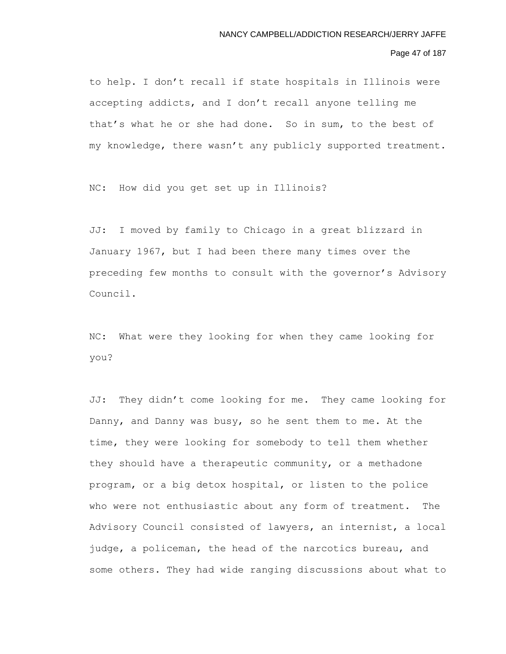# Page 47 of 187

to help. I don't recall if state hospitals in Illinois were accepting addicts, and I don't recall anyone telling me that's what he or she had done. So in sum, to the best of my knowledge, there wasn't any publicly supported treatment.

NC: How did you get set up in Illinois?

JJ: I moved by family to Chicago in a great blizzard in January 1967, but I had been there many times over the preceding few months to consult with the governor's Advisory Council.

NC: What were they looking for when they came looking for you?

JJ: They didn't come looking for me. They came looking for Danny, and Danny was busy, so he sent them to me. At the time, they were looking for somebody to tell them whether they should have a therapeutic community, or a methadone program, or a big detox hospital, or listen to the police who were not enthusiastic about any form of treatment. The Advisory Council consisted of lawyers, an internist, a local judge, a policeman, the head of the narcotics bureau, and some others. They had wide ranging discussions about what to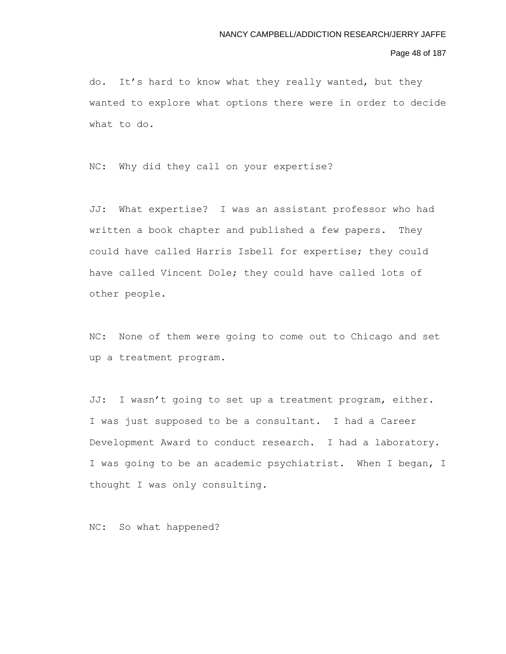### Page 48 of 187

do. It's hard to know what they really wanted, but they wanted to explore what options there were in order to decide what to do.

NC: Why did they call on your expertise?

JJ: What expertise? I was an assistant professor who had written a book chapter and published a few papers. They could have called Harris Isbell for expertise; they could have called Vincent Dole; they could have called lots of other people.

NC: None of them were going to come out to Chicago and set up a treatment program.

JJ: I wasn't going to set up a treatment program, either. I was just supposed to be a consultant. I had a Career Development Award to conduct research. I had a laboratory. I was going to be an academic psychiatrist. When I began, I thought I was only consulting.

NC: So what happened?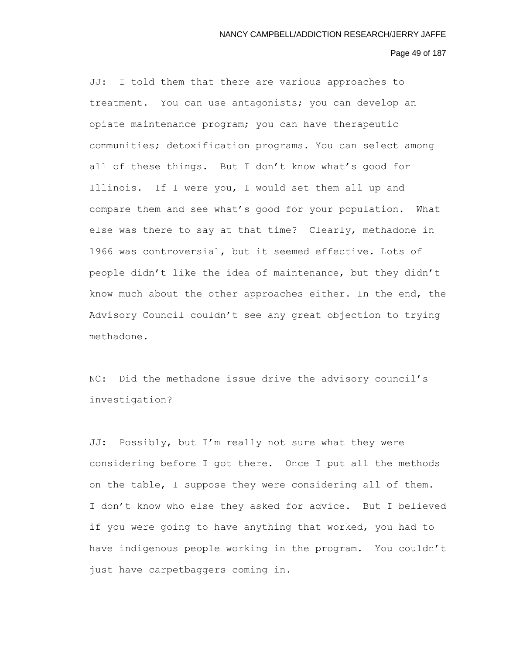### Page 49 of 187

JJ: I told them that there are various approaches to treatment. You can use antagonists; you can develop an opiate maintenance program; you can have therapeutic communities; detoxification programs. You can select among all of these things. But I don't know what's good for Illinois. If I were you, I would set them all up and compare them and see what's good for your population. What else was there to say at that time? Clearly, methadone in 1966 was controversial, but it seemed effective. Lots of people didn't like the idea of maintenance, but they didn't know much about the other approaches either. In the end, the Advisory Council couldn't see any great objection to trying methadone.

NC: Did the methadone issue drive the advisory council's investigation?

JJ: Possibly, but I'm really not sure what they were considering before I got there. Once I put all the methods on the table, I suppose they were considering all of them. I don't know who else they asked for advice. But I believed if you were going to have anything that worked, you had to have indigenous people working in the program. You couldn't just have carpetbaggers coming in.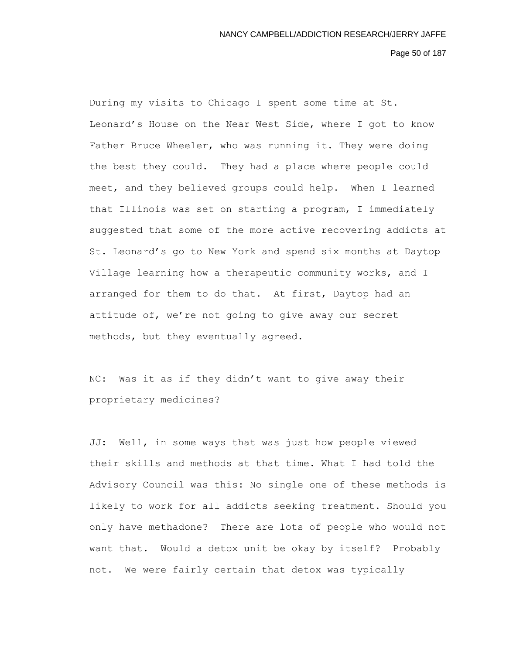Page 50 of 187

During my visits to Chicago I spent some time at St. Leonard's House on the Near West Side, where I got to know Father Bruce Wheeler, who was running it. They were doing the best they could. They had a place where people could meet, and they believed groups could help. When I learned that Illinois was set on starting a program, I immediately suggested that some of the more active recovering addicts at St. Leonard's go to New York and spend six months at Daytop Village learning how a therapeutic community works, and I arranged for them to do that. At first, Daytop had an attitude of, we're not going to give away our secret methods, but they eventually agreed.

NC: Was it as if they didn't want to give away their proprietary medicines?

JJ: Well, in some ways that was just how people viewed their skills and methods at that time. What I had told the Advisory Council was this: No single one of these methods is likely to work for all addicts seeking treatment. Should you only have methadone? There are lots of people who would not want that. Would a detox unit be okay by itself? Probably not. We were fairly certain that detox was typically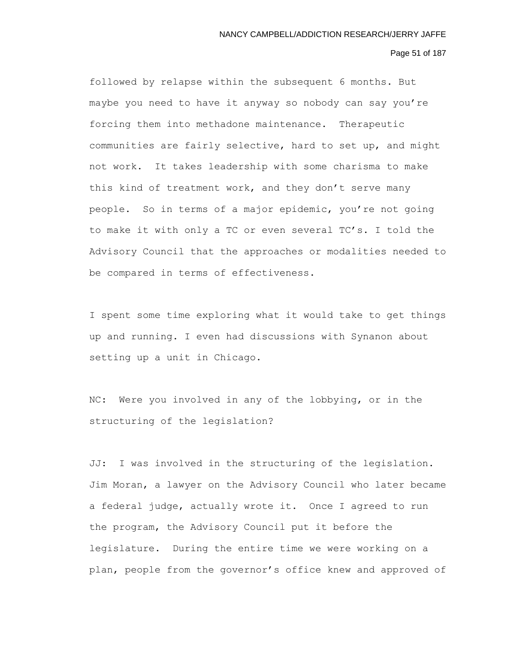### Page 51 of 187

followed by relapse within the subsequent 6 months. But maybe you need to have it anyway so nobody can say you're forcing them into methadone maintenance. Therapeutic communities are fairly selective, hard to set up, and might not work. It takes leadership with some charisma to make this kind of treatment work, and they don't serve many people. So in terms of a major epidemic, you're not going to make it with only a TC or even several TC's. I told the Advisory Council that the approaches or modalities needed to be compared in terms of effectiveness.

I spent some time exploring what it would take to get things up and running. I even had discussions with Synanon about setting up a unit in Chicago.

NC: Were you involved in any of the lobbying, or in the structuring of the legislation?

JJ: I was involved in the structuring of the legislation. Jim Moran, a lawyer on the Advisory Council who later became a federal judge, actually wrote it. Once I agreed to run the program, the Advisory Council put it before the legislature. During the entire time we were working on a plan, people from the governor's office knew and approved of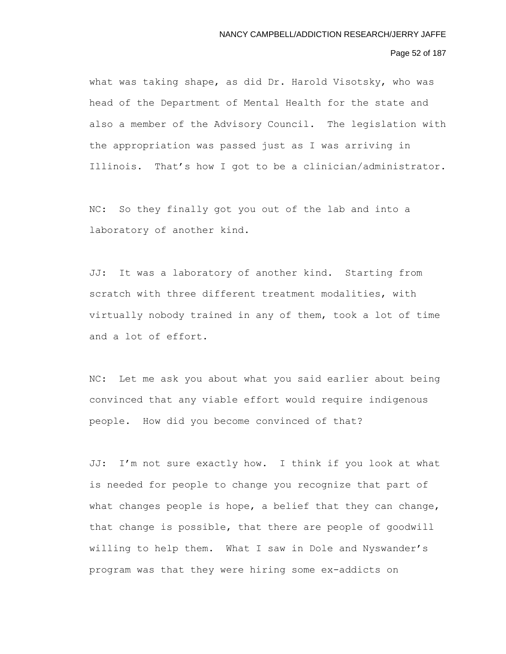## Page 52 of 187

what was taking shape, as did Dr. Harold Visotsky, who was head of the Department of Mental Health for the state and also a member of the Advisory Council. The legislation with the appropriation was passed just as I was arriving in Illinois. That's how I got to be a clinician/administrator.

NC: So they finally got you out of the lab and into a laboratory of another kind.

JJ: It was a laboratory of another kind. Starting from scratch with three different treatment modalities, with virtually nobody trained in any of them, took a lot of time and a lot of effort.

NC: Let me ask you about what you said earlier about being convinced that any viable effort would require indigenous people. How did you become convinced of that?

JJ: I'm not sure exactly how. I think if you look at what is needed for people to change you recognize that part of what changes people is hope, a belief that they can change, that change is possible, that there are people of goodwill willing to help them. What I saw in Dole and Nyswander's program was that they were hiring some ex-addicts on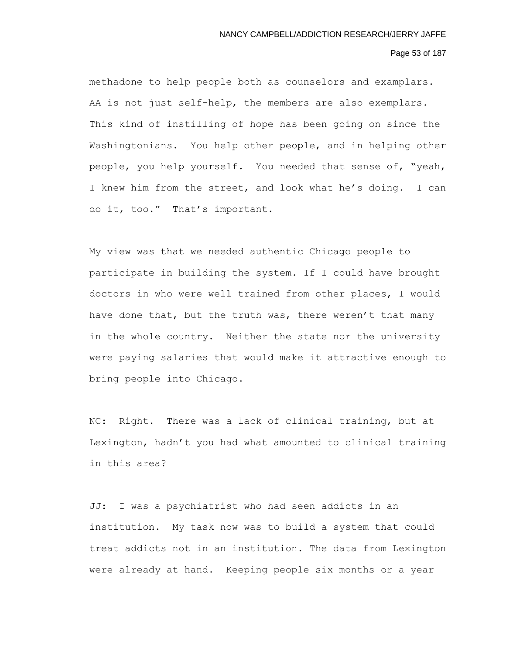# Page 53 of 187

methadone to help people both as counselors and examplars. AA is not just self-help, the members are also exemplars. This kind of instilling of hope has been going on since the Washingtonians. You help other people, and in helping other people, you help yourself. You needed that sense of, "yeah, I knew him from the street, and look what he's doing. I can do it, too." That's important.

My view was that we needed authentic Chicago people to participate in building the system. If I could have brought doctors in who were well trained from other places, I would have done that, but the truth was, there weren't that many in the whole country. Neither the state nor the university were paying salaries that would make it attractive enough to bring people into Chicago.

NC: Right. There was a lack of clinical training, but at Lexington, hadn't you had what amounted to clinical training in this area?

JJ: I was a psychiatrist who had seen addicts in an institution. My task now was to build a system that could treat addicts not in an institution. The data from Lexington were already at hand. Keeping people six months or a year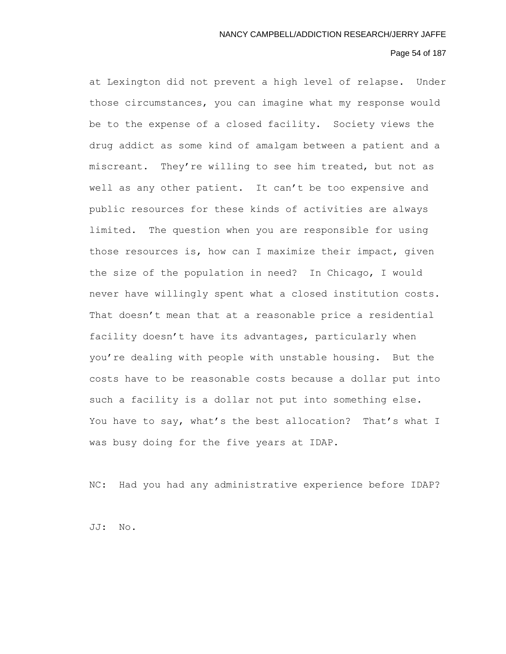### Page 54 of 187

at Lexington did not prevent a high level of relapse. Under those circumstances, you can imagine what my response would be to the expense of a closed facility. Society views the drug addict as some kind of amalgam between a patient and a miscreant. They're willing to see him treated, but not as well as any other patient. It can't be too expensive and public resources for these kinds of activities are always limited. The question when you are responsible for using those resources is, how can I maximize their impact, given the size of the population in need? In Chicago, I would never have willingly spent what a closed institution costs. That doesn't mean that at a reasonable price a residential facility doesn't have its advantages, particularly when you're dealing with people with unstable housing. But the costs have to be reasonable costs because a dollar put into such a facility is a dollar not put into something else. You have to say, what's the best allocation? That's what I was busy doing for the five years at IDAP.

NC: Had you had any administrative experience before IDAP?

JJ: No.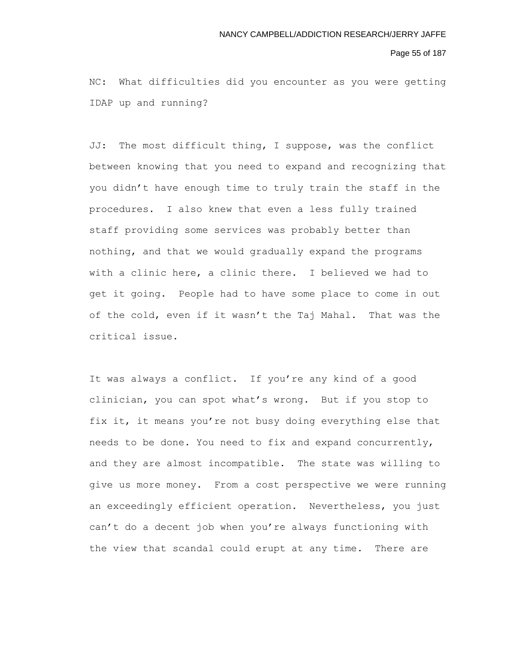#### Page 55 of 187

NC: What difficulties did you encounter as you were getting IDAP up and running?

JJ: The most difficult thing, I suppose, was the conflict between knowing that you need to expand and recognizing that you didn't have enough time to truly train the staff in the procedures. I also knew that even a less fully trained staff providing some services was probably better than nothing, and that we would gradually expand the programs with a clinic here, a clinic there. I believed we had to get it going. People had to have some place to come in out of the cold, even if it wasn't the Taj Mahal. That was the critical issue.

It was always a conflict. If you're any kind of a good clinician, you can spot what's wrong. But if you stop to fix it, it means you're not busy doing everything else that needs to be done. You need to fix and expand concurrently, and they are almost incompatible. The state was willing to give us more money. From a cost perspective we were running an exceedingly efficient operation. Nevertheless, you just can't do a decent job when you're always functioning with the view that scandal could erupt at any time. There are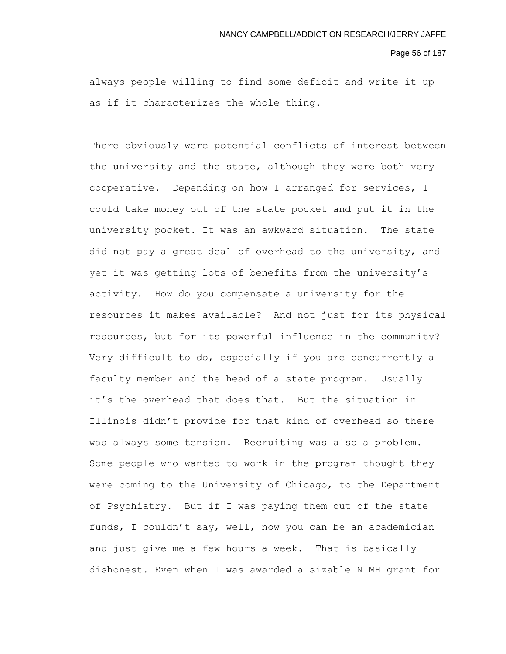#### Page 56 of 187

always people willing to find some deficit and write it up as if it characterizes the whole thing.

There obviously were potential conflicts of interest between the university and the state, although they were both very cooperative. Depending on how I arranged for services, I could take money out of the state pocket and put it in the university pocket. It was an awkward situation. The state did not pay a great deal of overhead to the university, and yet it was getting lots of benefits from the university's activity. How do you compensate a university for the resources it makes available? And not just for its physical resources, but for its powerful influence in the community? Very difficult to do, especially if you are concurrently a faculty member and the head of a state program. Usually it's the overhead that does that. But the situation in Illinois didn't provide for that kind of overhead so there was always some tension. Recruiting was also a problem. Some people who wanted to work in the program thought they were coming to the University of Chicago, to the Department of Psychiatry. But if I was paying them out of the state funds, I couldn't say, well, now you can be an academician and just give me a few hours a week. That is basically dishonest. Even when I was awarded a sizable NIMH grant for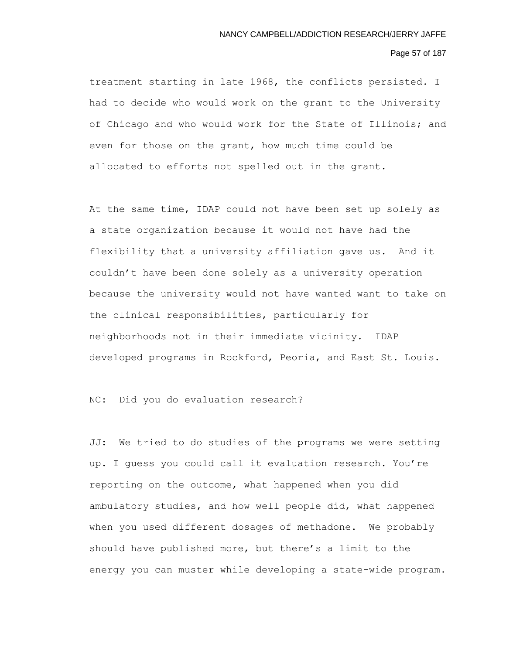## Page 57 of 187

treatment starting in late 1968, the conflicts persisted. I had to decide who would work on the grant to the University of Chicago and who would work for the State of Illinois; and even for those on the grant, how much time could be allocated to efforts not spelled out in the grant.

At the same time, IDAP could not have been set up solely as a state organization because it would not have had the flexibility that a university affiliation gave us. And it couldn't have been done solely as a university operation because the university would not have wanted want to take on the clinical responsibilities, particularly for neighborhoods not in their immediate vicinity. IDAP developed programs in Rockford, Peoria, and East St. Louis.

NC: Did you do evaluation research?

JJ: We tried to do studies of the programs we were setting up. I guess you could call it evaluation research. You're reporting on the outcome, what happened when you did ambulatory studies, and how well people did, what happened when you used different dosages of methadone. We probably should have published more, but there's a limit to the energy you can muster while developing a state-wide program.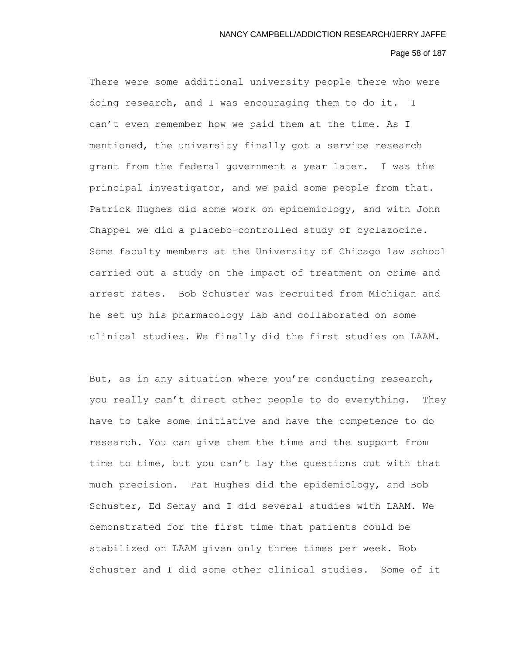#### Page 58 of 187

There were some additional university people there who were doing research, and I was encouraging them to do it. I can't even remember how we paid them at the time. As I mentioned, the university finally got a service research grant from the federal government a year later. I was the principal investigator, and we paid some people from that. Patrick Hughes did some work on epidemiology, and with John Chappel we did a placebo-controlled study of cyclazocine. Some faculty members at the University of Chicago law school carried out a study on the impact of treatment on crime and arrest rates. Bob Schuster was recruited from Michigan and he set up his pharmacology lab and collaborated on some clinical studies. We finally did the first studies on LAAM.

But, as in any situation where you're conducting research, you really can't direct other people to do everything. They have to take some initiative and have the competence to do research. You can give them the time and the support from time to time, but you can't lay the questions out with that much precision. Pat Hughes did the epidemiology, and Bob Schuster, Ed Senay and I did several studies with LAAM. We demonstrated for the first time that patients could be stabilized on LAAM given only three times per week. Bob Schuster and I did some other clinical studies. Some of it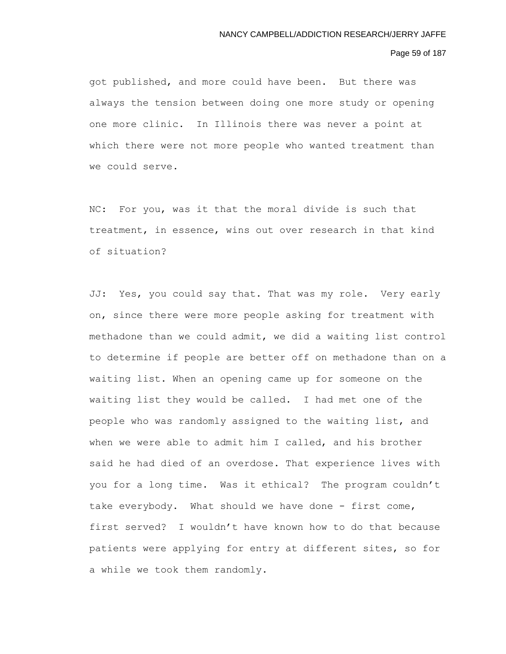### Page 59 of 187

got published, and more could have been. But there was always the tension between doing one more study or opening one more clinic. In Illinois there was never a point at which there were not more people who wanted treatment than we could serve.

NC: For you, was it that the moral divide is such that treatment, in essence, wins out over research in that kind of situation?

JJ: Yes, you could say that. That was my role. Very early on, since there were more people asking for treatment with methadone than we could admit, we did a waiting list control to determine if people are better off on methadone than on a waiting list. When an opening came up for someone on the waiting list they would be called. I had met one of the people who was randomly assigned to the waiting list, and when we were able to admit him I called, and his brother said he had died of an overdose. That experience lives with you for a long time. Was it ethical? The program couldn't take everybody. What should we have done - first come, first served? I wouldn't have known how to do that because patients were applying for entry at different sites, so for a while we took them randomly.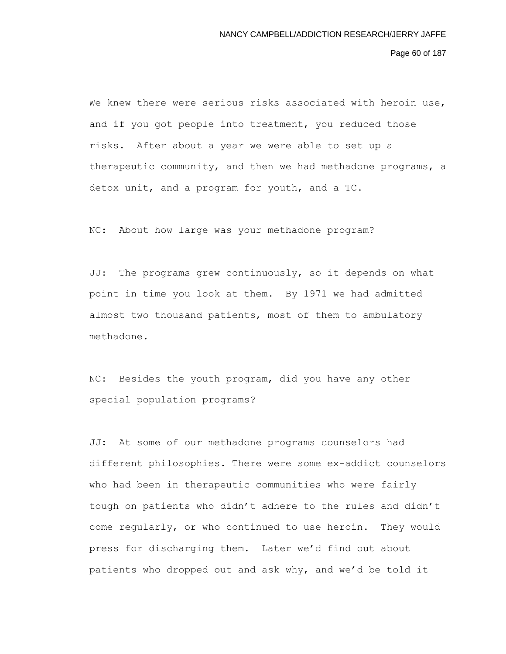Page 60 of 187

We knew there were serious risks associated with heroin use, and if you got people into treatment, you reduced those risks. After about a year we were able to set up a therapeutic community, and then we had methadone programs, a detox unit, and a program for youth, and a TC.

NC: About how large was your methadone program?

JJ: The programs grew continuously, so it depends on what point in time you look at them. By 1971 we had admitted almost two thousand patients, most of them to ambulatory methadone.

NC: Besides the youth program, did you have any other special population programs?

JJ: At some of our methadone programs counselors had different philosophies. There were some ex-addict counselors who had been in therapeutic communities who were fairly tough on patients who didn't adhere to the rules and didn't come regularly, or who continued to use heroin. They would press for discharging them. Later we'd find out about patients who dropped out and ask why, and we'd be told it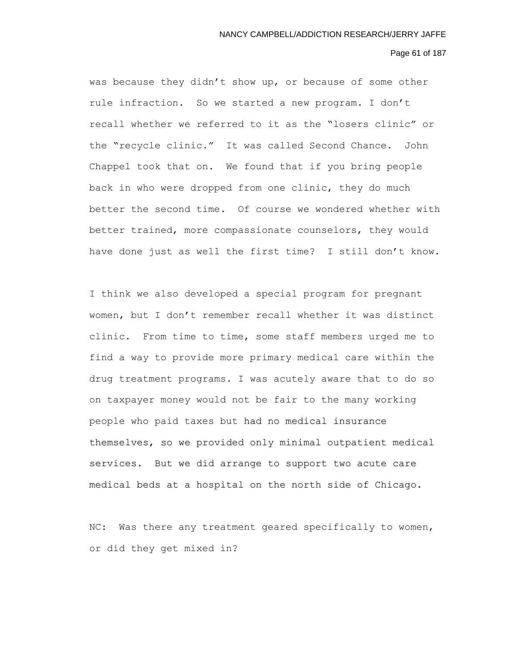#### Page 61 of 187

was because they didn't show up, or because of some other rule infraction. So we started a new program. I don't recall whether we referred to it as the "losers clinic" or the "recycle clinic." It was called Second Chance. John Chappel took that on. We found that if you bring people back in who were dropped from one clinic, they do much better the second time. Of course we wondered whether with better trained, more compassionate counselors, they would have done just as well the first time? I still don't know.

I think we also developed a special program for pregnant women, but I don't remember recall whether it was distinct clinic. From time to time, some staff members urged me to find a way to provide more primary medical care within the drug treatment programs. I was acutely aware that to do so on taxpayer money would not be fair to the many working people who paid taxes but had no medical insurance themselves, so we provided only minimal outpatient medical services. But we did arrange to support two acute care medical beds at a hospital on the north side of Chicago.

NC: Was there any treatment geared specifically to women, or did they get mixed in?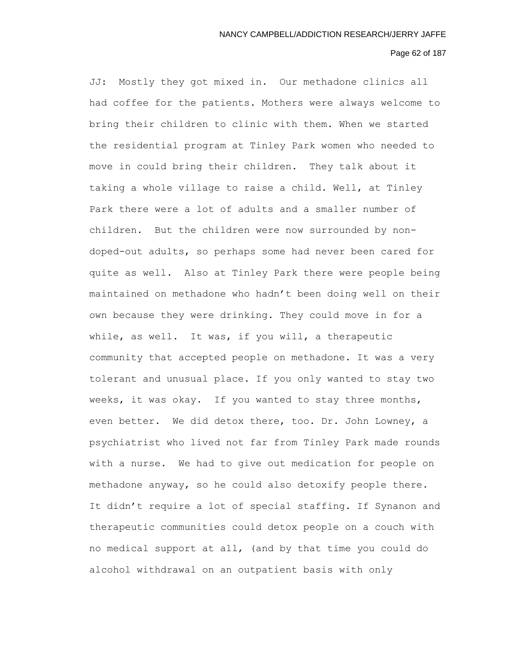# Page 62 of 187

JJ: Mostly they got mixed in. Our methadone clinics all had coffee for the patients. Mothers were always welcome to bring their children to clinic with them. When we started the residential program at Tinley Park women who needed to move in could bring their children. They talk about it taking a whole village to raise a child. Well, at Tinley Park there were a lot of adults and a smaller number of children. But the children were now surrounded by nondoped-out adults, so perhaps some had never been cared for quite as well. Also at Tinley Park there were people being maintained on methadone who hadn't been doing well on their own because they were drinking. They could move in for a while, as well. It was, if you will, a therapeutic community that accepted people on methadone. It was a very tolerant and unusual place. If you only wanted to stay two weeks, it was okay. If you wanted to stay three months, even better. We did detox there, too. Dr. John Lowney, a psychiatrist who lived not far from Tinley Park made rounds with a nurse. We had to give out medication for people on methadone anyway, so he could also detoxify people there. It didn't require a lot of special staffing. If Synanon and therapeutic communities could detox people on a couch with no medical support at all, (and by that time you could do alcohol withdrawal on an outpatient basis with only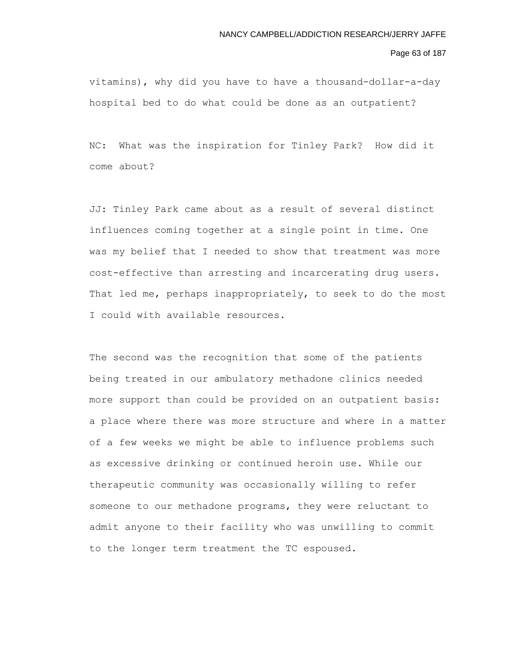### Page 63 of 187

vitamins), why did you have to have a thousand-dollar-a-day hospital bed to do what could be done as an outpatient?

NC: What was the inspiration for Tinley Park? How did it come about?

JJ: Tinley Park came about as a result of several distinct influences coming together at a single point in time. One was my belief that I needed to show that treatment was more cost-effective than arresting and incarcerating drug users. That led me, perhaps inappropriately, to seek to do the most I could with available resources.

The second was the recognition that some of the patients being treated in our ambulatory methadone clinics needed more support than could be provided on an outpatient basis: a place where there was more structure and where in a matter of a few weeks we might be able to influence problems such as excessive drinking or continued heroin use. While our therapeutic community was occasionally willing to refer someone to our methadone programs, they were reluctant to admit anyone to their facility who was unwilling to commit to the longer term treatment the TC espoused.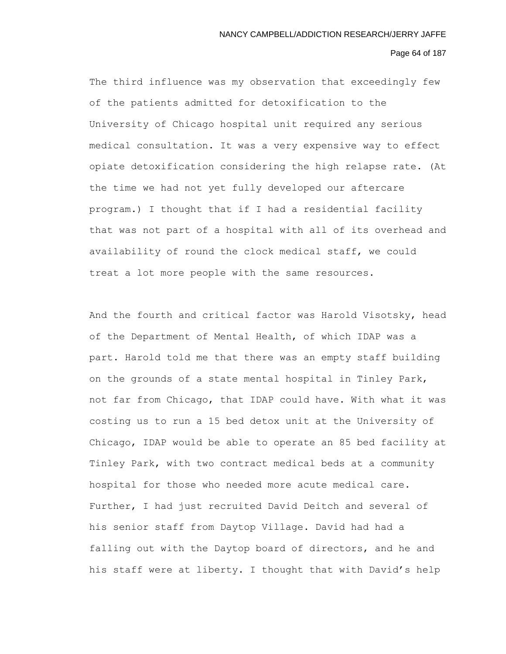## Page 64 of 187

The third influence was my observation that exceedingly few of the patients admitted for detoxification to the University of Chicago hospital unit required any serious medical consultation. It was a very expensive way to effect opiate detoxification considering the high relapse rate. (At the time we had not yet fully developed our aftercare program.) I thought that if I had a residential facility that was not part of a hospital with all of its overhead and availability of round the clock medical staff, we could treat a lot more people with the same resources.

And the fourth and critical factor was Harold Visotsky, head of the Department of Mental Health, of which IDAP was a part. Harold told me that there was an empty staff building on the grounds of a state mental hospital in Tinley Park, not far from Chicago, that IDAP could have. With what it was costing us to run a 15 bed detox unit at the University of Chicago, IDAP would be able to operate an 85 bed facility at Tinley Park, with two contract medical beds at a community hospital for those who needed more acute medical care. Further, I had just recruited David Deitch and several of his senior staff from Daytop Village. David had had a falling out with the Daytop board of directors, and he and his staff were at liberty. I thought that with David's help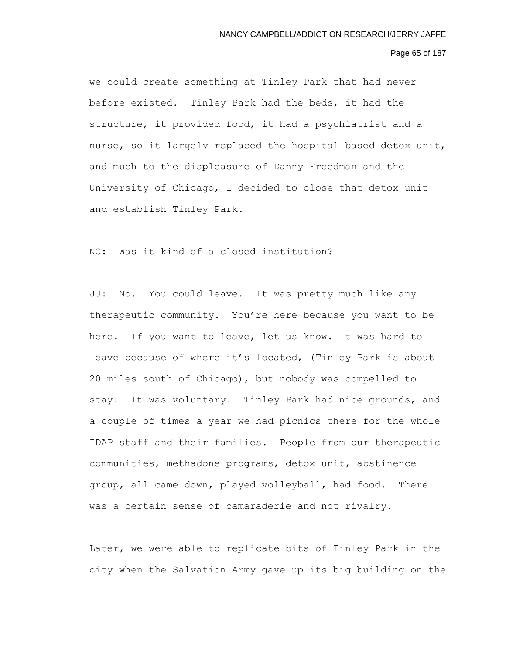### Page 65 of 187

we could create something at Tinley Park that had never before existed. Tinley Park had the beds, it had the structure, it provided food, it had a psychiatrist and a nurse, so it largely replaced the hospital based detox unit, and much to the displeasure of Danny Freedman and the University of Chicago, I decided to close that detox unit and establish Tinley Park.

NC: Was it kind of a closed institution?

JJ: No. You could leave. It was pretty much like any therapeutic community. You're here because you want to be here. If you want to leave, let us know. It was hard to leave because of where it's located, (Tinley Park is about 20 miles south of Chicago), but nobody was compelled to stay. It was voluntary. Tinley Park had nice grounds, and a couple of times a year we had picnics there for the whole IDAP staff and their families. People from our therapeutic communities, methadone programs, detox unit, abstinence group, all came down, played volleyball, had food. There was a certain sense of camaraderie and not rivalry.

Later, we were able to replicate bits of Tinley Park in the city when the Salvation Army gave up its big building on the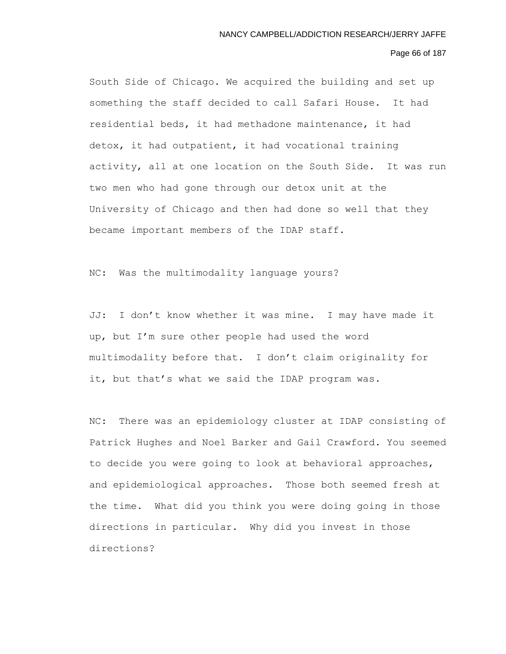### Page 66 of 187

South Side of Chicago. We acquired the building and set up something the staff decided to call Safari House. It had residential beds, it had methadone maintenance, it had detox, it had outpatient, it had vocational training activity, all at one location on the South Side. It was run two men who had gone through our detox unit at the University of Chicago and then had done so well that they became important members of the IDAP staff.

NC: Was the multimodality language yours?

JJ: I don't know whether it was mine. I may have made it up, but I'm sure other people had used the word multimodality before that. I don't claim originality for it, but that's what we said the IDAP program was.

NC: There was an epidemiology cluster at IDAP consisting of Patrick Hughes and Noel Barker and Gail Crawford. You seemed to decide you were going to look at behavioral approaches, and epidemiological approaches. Those both seemed fresh at the time. What did you think you were doing going in those directions in particular. Why did you invest in those directions?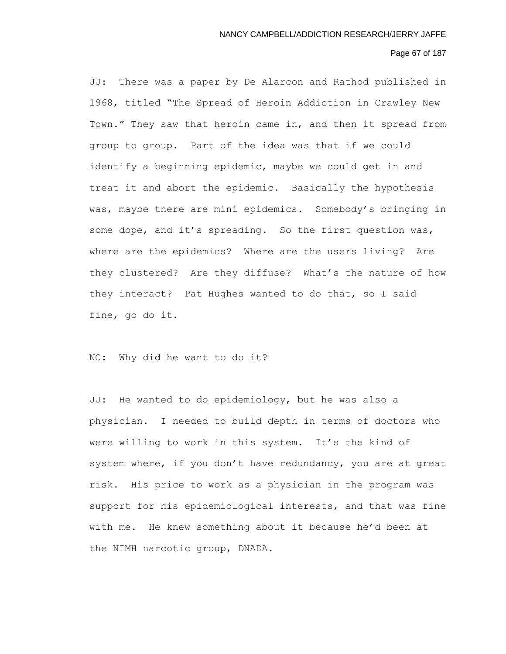# Page 67 of 187

JJ: There was a paper by De Alarcon and Rathod published in 1968, titled "The Spread of Heroin Addiction in Crawley New Town." They saw that heroin came in, and then it spread from group to group. Part of the idea was that if we could identify a beginning epidemic, maybe we could get in and treat it and abort the epidemic. Basically the hypothesis was, maybe there are mini epidemics. Somebody's bringing in some dope, and it's spreading. So the first question was, where are the epidemics? Where are the users living? Are they clustered? Are they diffuse? What's the nature of how they interact? Pat Hughes wanted to do that, so I said fine, go do it.

NC: Why did he want to do it?

JJ: He wanted to do epidemiology, but he was also a physician. I needed to build depth in terms of doctors who were willing to work in this system. It's the kind of system where, if you don't have redundancy, you are at great risk. His price to work as a physician in the program was support for his epidemiological interests, and that was fine with me. He knew something about it because he'd been at the NIMH narcotic group, DNADA.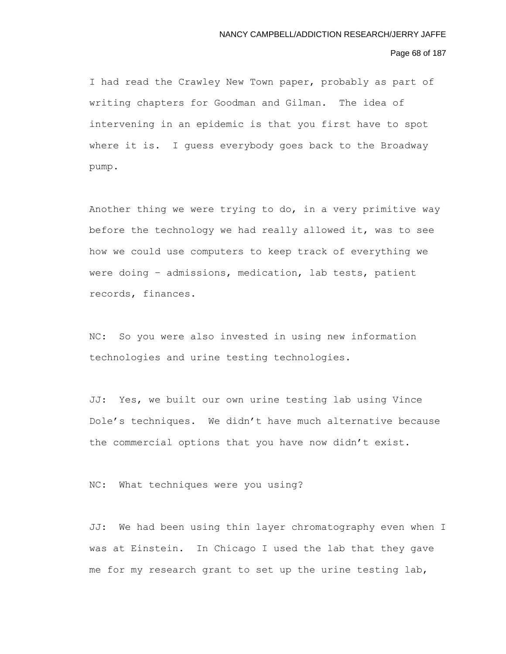#### Page 68 of 187

I had read the Crawley New Town paper, probably as part of writing chapters for Goodman and Gilman. The idea of intervening in an epidemic is that you first have to spot where it is. I guess everybody goes back to the Broadway pump.

Another thing we were trying to do, in a very primitive way before the technology we had really allowed it, was to see how we could use computers to keep track of everything we were doing – admissions, medication, lab tests, patient records, finances.

NC: So you were also invested in using new information technologies and urine testing technologies.

JJ: Yes, we built our own urine testing lab using Vince Dole's techniques. We didn't have much alternative because the commercial options that you have now didn't exist.

NC: What techniques were you using?

JJ: We had been using thin layer chromatography even when I was at Einstein. In Chicago I used the lab that they gave me for my research grant to set up the urine testing lab,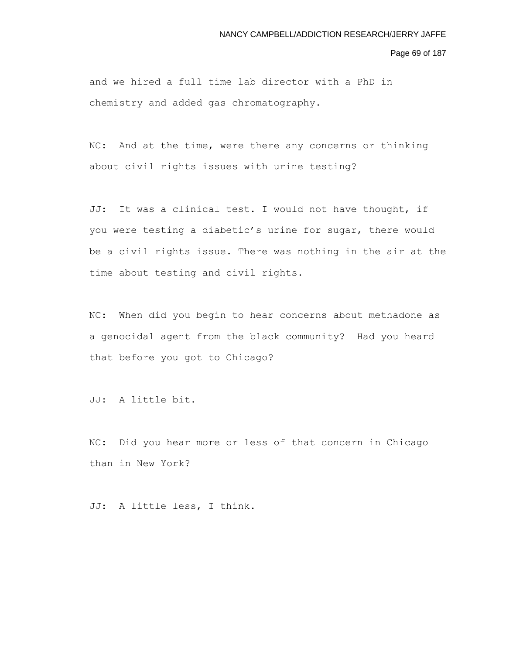Page 69 of 187

and we hired a full time lab director with a PhD in chemistry and added gas chromatography.

NC: And at the time, were there any concerns or thinking about civil rights issues with urine testing?

JJ: It was a clinical test. I would not have thought, if you were testing a diabetic's urine for sugar, there would be a civil rights issue. There was nothing in the air at the time about testing and civil rights.

NC: When did you begin to hear concerns about methadone as a genocidal agent from the black community? Had you heard that before you got to Chicago?

JJ: A little bit.

NC: Did you hear more or less of that concern in Chicago than in New York?

JJ: A little less, I think.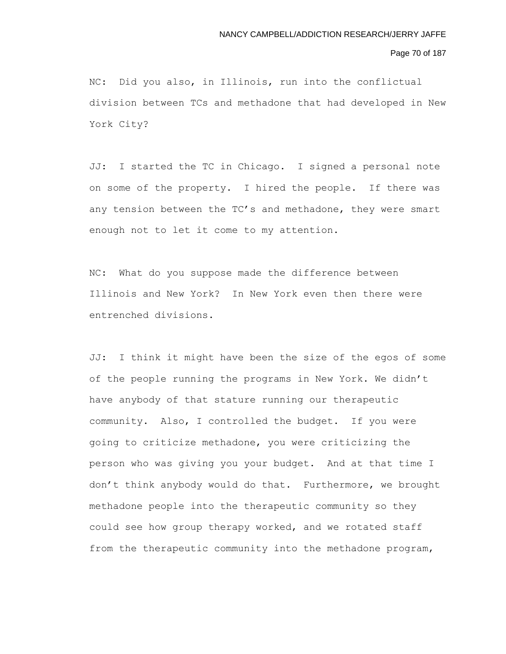## Page 70 of 187

NC: Did you also, in Illinois, run into the conflictual division between TCs and methadone that had developed in New York City?

JJ: I started the TC in Chicago. I signed a personal note on some of the property. I hired the people. If there was any tension between the TC's and methadone, they were smart enough not to let it come to my attention.

NC: What do you suppose made the difference between Illinois and New York? In New York even then there were entrenched divisions.

JJ: I think it might have been the size of the egos of some of the people running the programs in New York. We didn't have anybody of that stature running our therapeutic community. Also, I controlled the budget. If you were going to criticize methadone, you were criticizing the person who was giving you your budget. And at that time I don't think anybody would do that. Furthermore, we brought methadone people into the therapeutic community so they could see how group therapy worked, and we rotated staff from the therapeutic community into the methadone program,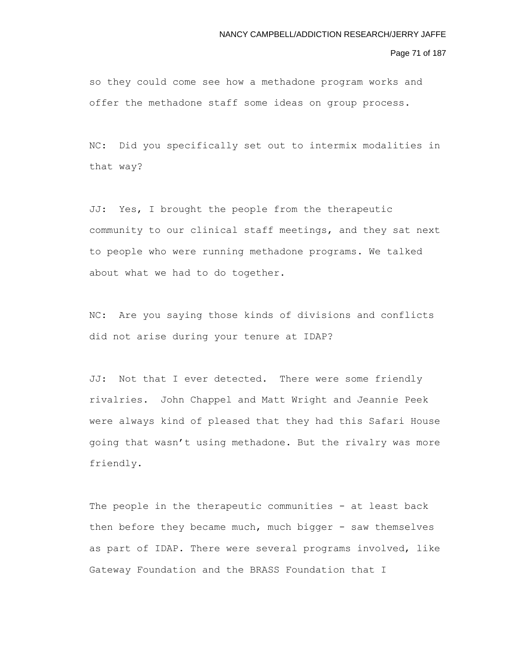Page 71 of 187

so they could come see how a methadone program works and offer the methadone staff some ideas on group process.

NC: Did you specifically set out to intermix modalities in that way?

JJ: Yes, I brought the people from the therapeutic community to our clinical staff meetings, and they sat next to people who were running methadone programs. We talked about what we had to do together.

NC: Are you saying those kinds of divisions and conflicts did not arise during your tenure at IDAP?

JJ: Not that I ever detected. There were some friendly rivalries. John Chappel and Matt Wright and Jeannie Peek were always kind of pleased that they had this Safari House going that wasn't using methadone. But the rivalry was more friendly.

The people in the therapeutic communities - at least back then before they became much, much bigger - saw themselves as part of IDAP. There were several programs involved, like Gateway Foundation and the BRASS Foundation that I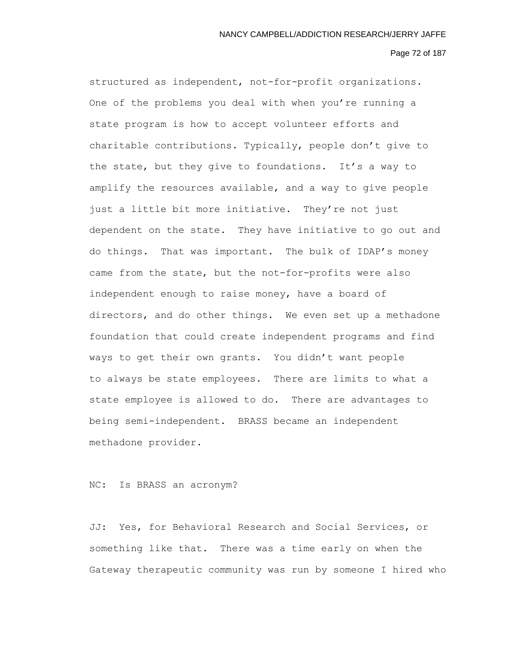### Page 72 of 187

structured as independent, not-for-profit organizations. One of the problems you deal with when you're running a state program is how to accept volunteer efforts and charitable contributions. Typically, people don't give to the state, but they give to foundations. It's a way to amplify the resources available, and a way to give people just a little bit more initiative. They're not just dependent on the state. They have initiative to go out and do things. That was important. The bulk of IDAP's money came from the state, but the not-for-profits were also independent enough to raise money, have a board of directors, and do other things. We even set up a methadone foundation that could create independent programs and find ways to get their own grants. You didn't want people to always be state employees. There are limits to what a state employee is allowed to do. There are advantages to being semi-independent. BRASS became an independent methadone provider.

# NC: Is BRASS an acronym?

JJ: Yes, for Behavioral Research and Social Services, or something like that. There was a time early on when the Gateway therapeutic community was run by someone I hired who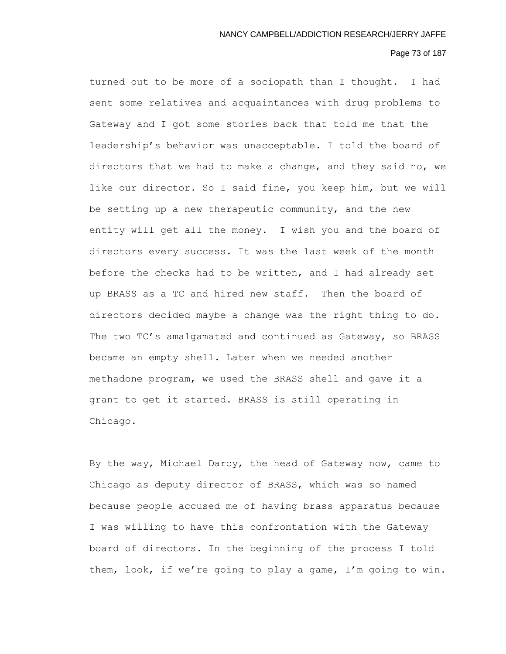## Page 73 of 187

turned out to be more of a sociopath than I thought. I had sent some relatives and acquaintances with drug problems to Gateway and I got some stories back that told me that the leadership's behavior was unacceptable. I told the board of directors that we had to make a change, and they said no, we like our director. So I said fine, you keep him, but we will be setting up a new therapeutic community, and the new entity will get all the money. I wish you and the board of directors every success. It was the last week of the month before the checks had to be written, and I had already set up BRASS as a TC and hired new staff. Then the board of directors decided maybe a change was the right thing to do. The two TC's amalgamated and continued as Gateway, so BRASS became an empty shell. Later when we needed another methadone program, we used the BRASS shell and gave it a grant to get it started. BRASS is still operating in Chicago.

By the way, Michael Darcy, the head of Gateway now, came to Chicago as deputy director of BRASS, which was so named because people accused me of having brass apparatus because I was willing to have this confrontation with the Gateway board of directors. In the beginning of the process I told them, look, if we're going to play a game, I'm going to win.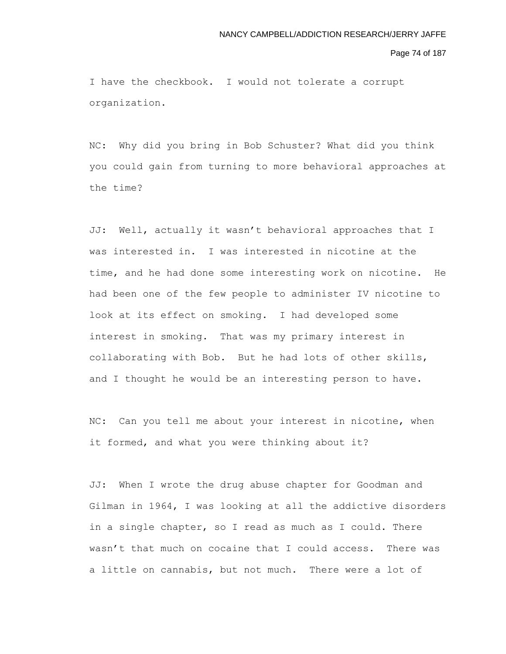#### Page 74 of 187

I have the checkbook. I would not tolerate a corrupt organization.

NC: Why did you bring in Bob Schuster? What did you think you could gain from turning to more behavioral approaches at the time?

JJ: Well, actually it wasn't behavioral approaches that I was interested in. I was interested in nicotine at the time, and he had done some interesting work on nicotine. He had been one of the few people to administer IV nicotine to look at its effect on smoking. I had developed some interest in smoking. That was my primary interest in collaborating with Bob. But he had lots of other skills, and I thought he would be an interesting person to have.

NC: Can you tell me about your interest in nicotine, when it formed, and what you were thinking about it?

JJ: When I wrote the drug abuse chapter for Goodman and Gilman in 1964, I was looking at all the addictive disorders in a single chapter, so I read as much as I could. There wasn't that much on cocaine that I could access. There was a little on cannabis, but not much. There were a lot of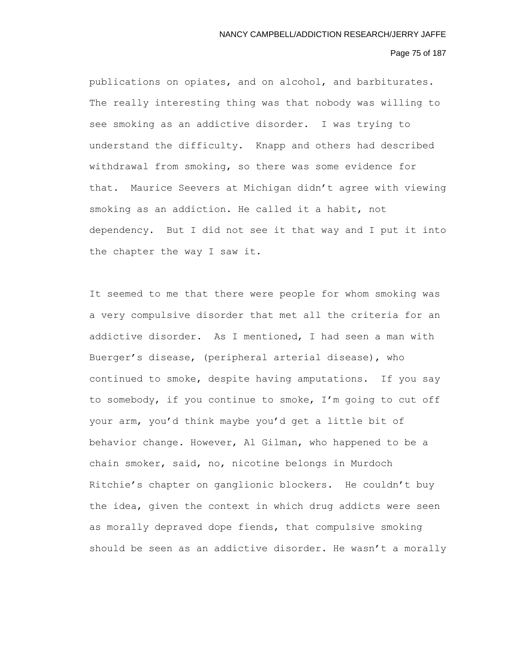## Page 75 of 187

publications on opiates, and on alcohol, and barbiturates. The really interesting thing was that nobody was willing to see smoking as an addictive disorder. I was trying to understand the difficulty. Knapp and others had described withdrawal from smoking, so there was some evidence for that. Maurice Seevers at Michigan didn't agree with viewing smoking as an addiction. He called it a habit, not dependency. But I did not see it that way and I put it into the chapter the way I saw it.

It seemed to me that there were people for whom smoking was a very compulsive disorder that met all the criteria for an addictive disorder. As I mentioned, I had seen a man with Buerger's disease, (peripheral arterial disease), who continued to smoke, despite having amputations. If you say to somebody, if you continue to smoke, I'm going to cut off your arm, you'd think maybe you'd get a little bit of behavior change. However, Al Gilman, who happened to be a chain smoker, said, no, nicotine belongs in Murdoch Ritchie's chapter on ganglionic blockers. He couldn't buy the idea, given the context in which drug addicts were seen as morally depraved dope fiends, that compulsive smoking should be seen as an addictive disorder. He wasn't a morally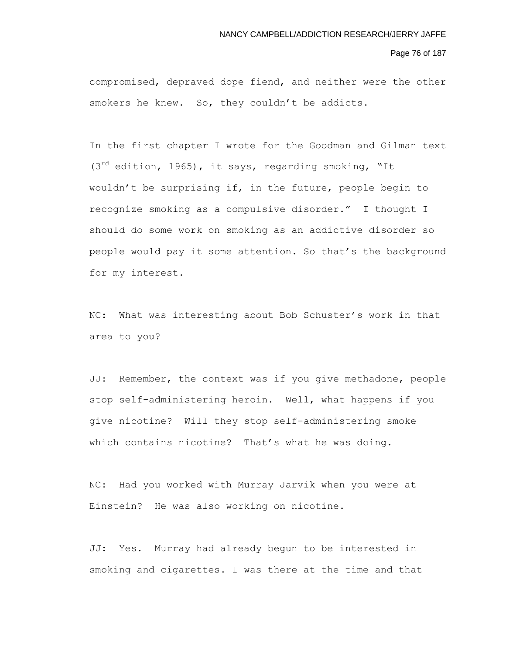#### Page 76 of 187

compromised, depraved dope fiend, and neither were the other smokers he knew. So, they couldn't be addicts.

In the first chapter I wrote for the Goodman and Gilman text (3<sup>rd</sup> edition, 1965), it says, regarding smoking, "It wouldn't be surprising if, in the future, people begin to recognize smoking as a compulsive disorder." I thought I should do some work on smoking as an addictive disorder so people would pay it some attention. So that's the background for my interest.

NC: What was interesting about Bob Schuster's work in that area to you?

JJ: Remember, the context was if you give methadone, people stop self-administering heroin. Well, what happens if you give nicotine? Will they stop self-administering smoke which contains nicotine? That's what he was doing.

NC: Had you worked with Murray Jarvik when you were at Einstein? He was also working on nicotine.

JJ: Yes. Murray had already begun to be interested in smoking and cigarettes. I was there at the time and that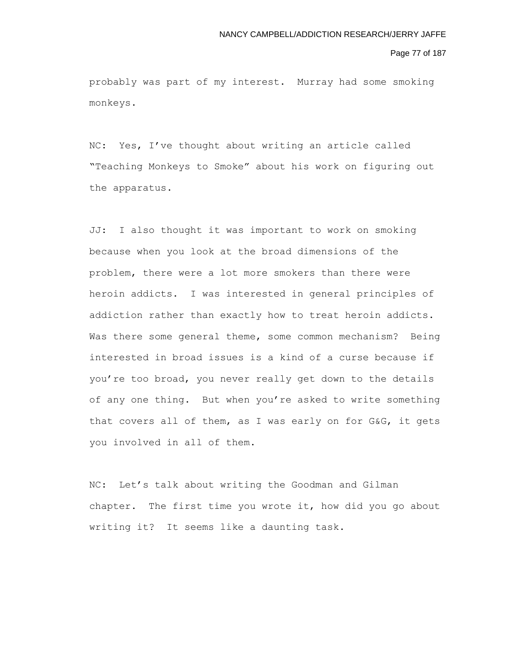#### Page 77 of 187

probably was part of my interest. Murray had some smoking monkeys.

NC: Yes, I've thought about writing an article called "Teaching Monkeys to Smoke" about his work on figuring out the apparatus.

JJ: I also thought it was important to work on smoking because when you look at the broad dimensions of the problem, there were a lot more smokers than there were heroin addicts. I was interested in general principles of addiction rather than exactly how to treat heroin addicts. Was there some general theme, some common mechanism? Being interested in broad issues is a kind of a curse because if you're too broad, you never really get down to the details of any one thing. But when you're asked to write something that covers all of them, as I was early on for G&G, it gets you involved in all of them.

NC: Let's talk about writing the Goodman and Gilman chapter. The first time you wrote it, how did you go about writing it? It seems like a daunting task.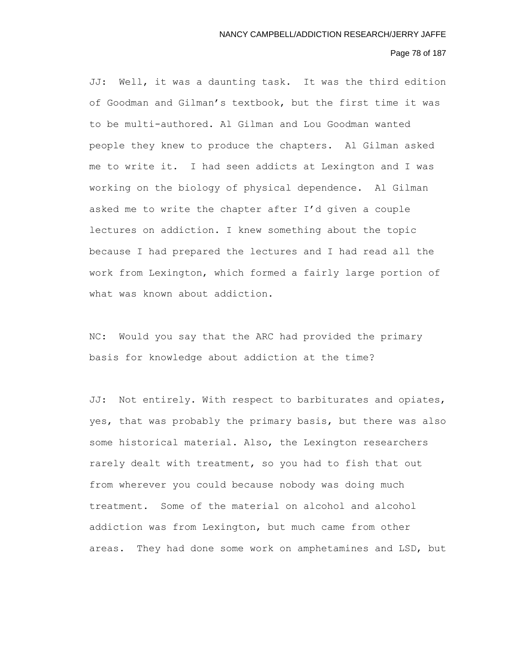## Page 78 of 187

JJ: Well, it was a daunting task. It was the third edition of Goodman and Gilman's textbook, but the first time it was to be multi-authored. Al Gilman and Lou Goodman wanted people they knew to produce the chapters. Al Gilman asked me to write it. I had seen addicts at Lexington and I was working on the biology of physical dependence. Al Gilman asked me to write the chapter after I'd given a couple lectures on addiction. I knew something about the topic because I had prepared the lectures and I had read all the work from Lexington, which formed a fairly large portion of what was known about addiction.

NC: Would you say that the ARC had provided the primary basis for knowledge about addiction at the time?

JJ: Not entirely. With respect to barbiturates and opiates, yes, that was probably the primary basis, but there was also some historical material. Also, the Lexington researchers rarely dealt with treatment, so you had to fish that out from wherever you could because nobody was doing much treatment. Some of the material on alcohol and alcohol addiction was from Lexington, but much came from other areas. They had done some work on amphetamines and LSD, but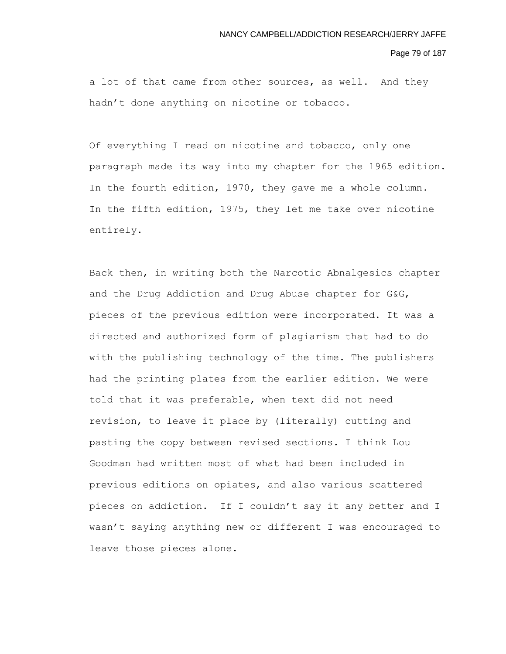#### Page 79 of 187

a lot of that came from other sources, as well. And they hadn't done anything on nicotine or tobacco.

Of everything I read on nicotine and tobacco, only one paragraph made its way into my chapter for the 1965 edition. In the fourth edition, 1970, they gave me a whole column. In the fifth edition, 1975, they let me take over nicotine entirely.

Back then, in writing both the Narcotic Abnalgesics chapter and the Drug Addiction and Drug Abuse chapter for G&G, pieces of the previous edition were incorporated. It was a directed and authorized form of plagiarism that had to do with the publishing technology of the time. The publishers had the printing plates from the earlier edition. We were told that it was preferable, when text did not need revision, to leave it place by (literally) cutting and pasting the copy between revised sections. I think Lou Goodman had written most of what had been included in previous editions on opiates, and also various scattered pieces on addiction. If I couldn't say it any better and I wasn't saying anything new or different I was encouraged to leave those pieces alone.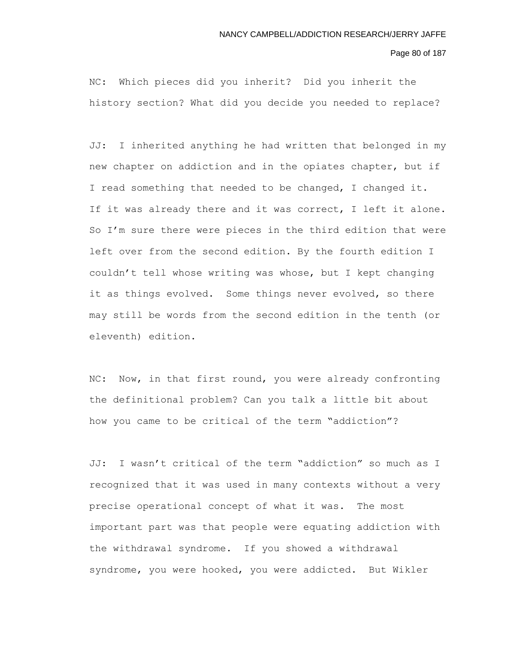Page 80 of 187

NC: Which pieces did you inherit? Did you inherit the history section? What did you decide you needed to replace?

JJ: I inherited anything he had written that belonged in my new chapter on addiction and in the opiates chapter, but if I read something that needed to be changed, I changed it. If it was already there and it was correct, I left it alone. So I'm sure there were pieces in the third edition that were left over from the second edition. By the fourth edition I couldn't tell whose writing was whose, but I kept changing it as things evolved. Some things never evolved, so there may still be words from the second edition in the tenth (or eleventh) edition.

NC: Now, in that first round, you were already confronting the definitional problem? Can you talk a little bit about how you came to be critical of the term "addiction"?

JJ: I wasn't critical of the term "addiction" so much as I recognized that it was used in many contexts without a very precise operational concept of what it was. The most important part was that people were equating addiction with the withdrawal syndrome. If you showed a withdrawal syndrome, you were hooked, you were addicted. But Wikler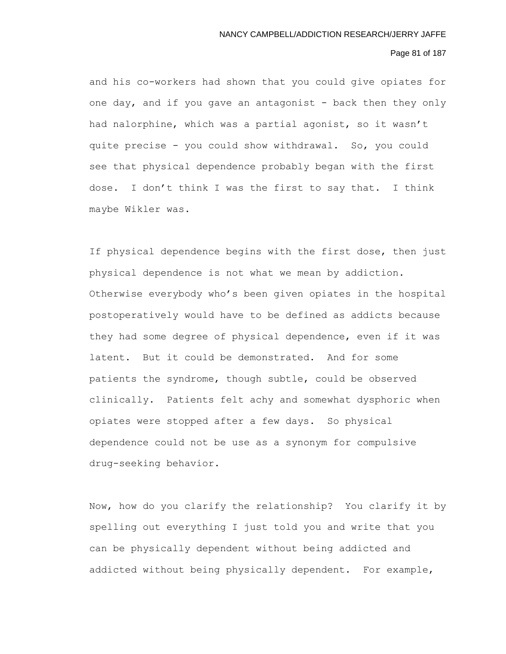# Page 81 of 187

and his co-workers had shown that you could give opiates for one day, and if you gave an antagonist - back then they only had nalorphine, which was a partial agonist, so it wasn't quite precise - you could show withdrawal. So, you could see that physical dependence probably began with the first dose. I don't think I was the first to say that. I think maybe Wikler was.

If physical dependence begins with the first dose, then just physical dependence is not what we mean by addiction. Otherwise everybody who's been given opiates in the hospital postoperatively would have to be defined as addicts because they had some degree of physical dependence, even if it was latent. But it could be demonstrated. And for some patients the syndrome, though subtle, could be observed clinically. Patients felt achy and somewhat dysphoric when opiates were stopped after a few days. So physical dependence could not be use as a synonym for compulsive drug-seeking behavior.

Now, how do you clarify the relationship? You clarify it by spelling out everything I just told you and write that you can be physically dependent without being addicted and addicted without being physically dependent. For example,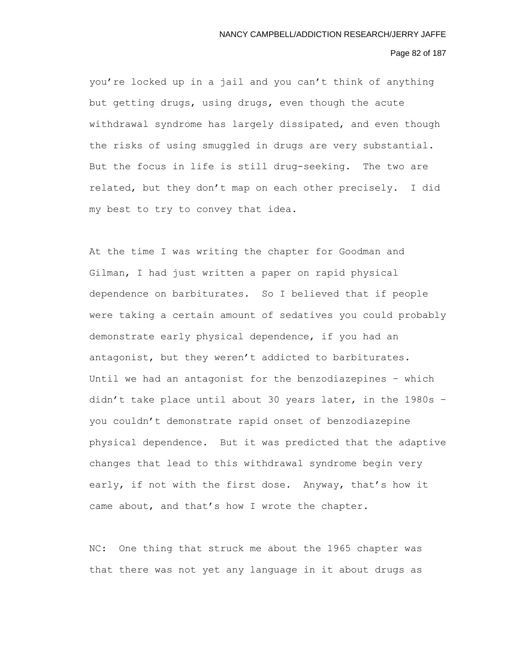#### Page 82 of 187

you're locked up in a jail and you can't think of anything but getting drugs, using drugs, even though the acute withdrawal syndrome has largely dissipated, and even though the risks of using smuggled in drugs are very substantial. But the focus in life is still drug-seeking. The two are related, but they don't map on each other precisely. I did my best to try to convey that idea.

At the time I was writing the chapter for Goodman and Gilman, I had just written a paper on rapid physical dependence on barbiturates. So I believed that if people were taking a certain amount of sedatives you could probably demonstrate early physical dependence, if you had an antagonist, but they weren't addicted to barbiturates. Until we had an antagonist for the benzodiazepines – which didn't take place until about 30 years later, in the 1980s – you couldn't demonstrate rapid onset of benzodiazepine physical dependence. But it was predicted that the adaptive changes that lead to this withdrawal syndrome begin very early, if not with the first dose. Anyway, that's how it came about, and that's how I wrote the chapter.

NC: One thing that struck me about the 1965 chapter was that there was not yet any language in it about drugs as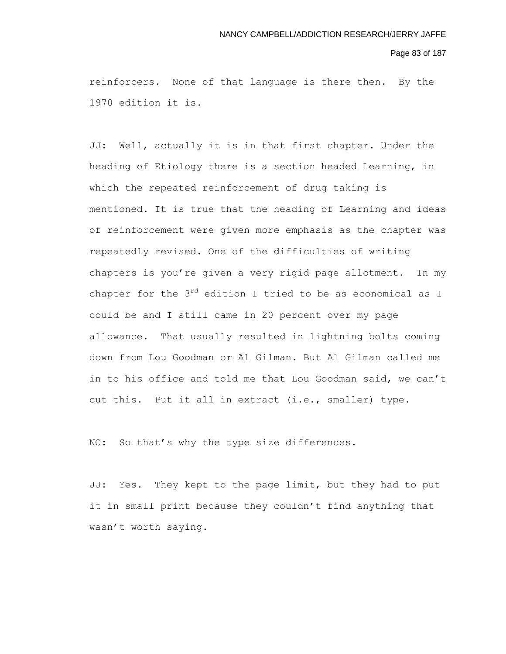#### Page 83 of 187

reinforcers. None of that language is there then. By the 1970 edition it is.

JJ: Well, actually it is in that first chapter. Under the heading of Etiology there is a section headed Learning, in which the repeated reinforcement of drug taking is mentioned. It is true that the heading of Learning and ideas of reinforcement were given more emphasis as the chapter was repeatedly revised. One of the difficulties of writing chapters is you're given a very rigid page allotment. In my chapter for the  $3^{rd}$  edition I tried to be as economical as I could be and I still came in 20 percent over my page allowance. That usually resulted in lightning bolts coming down from Lou Goodman or Al Gilman. But Al Gilman called me in to his office and told me that Lou Goodman said, we can't cut this. Put it all in extract (i.e., smaller) type.

NC: So that's why the type size differences.

JJ: Yes. They kept to the page limit, but they had to put it in small print because they couldn't find anything that wasn't worth saying.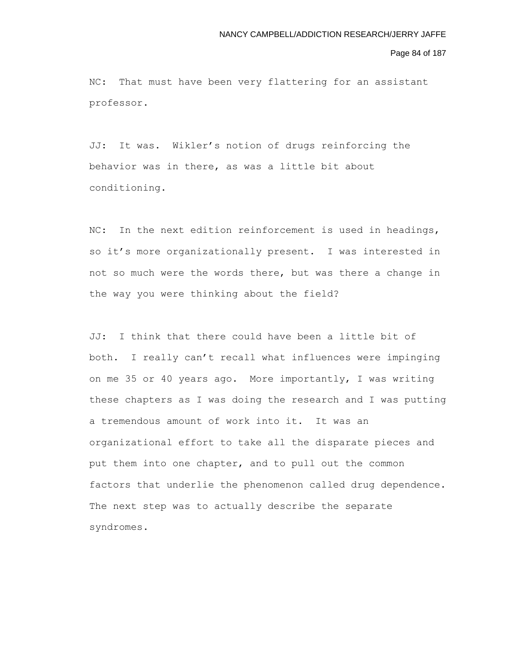#### Page 84 of 187

NC: That must have been very flattering for an assistant professor.

JJ: It was. Wikler's notion of drugs reinforcing the behavior was in there, as was a little bit about conditioning.

NC: In the next edition reinforcement is used in headings, so it's more organizationally present. I was interested in not so much were the words there, but was there a change in the way you were thinking about the field?

JJ: I think that there could have been a little bit of both. I really can't recall what influences were impinging on me 35 or 40 years ago. More importantly, I was writing these chapters as I was doing the research and I was putting a tremendous amount of work into it. It was an organizational effort to take all the disparate pieces and put them into one chapter, and to pull out the common factors that underlie the phenomenon called drug dependence. The next step was to actually describe the separate syndromes.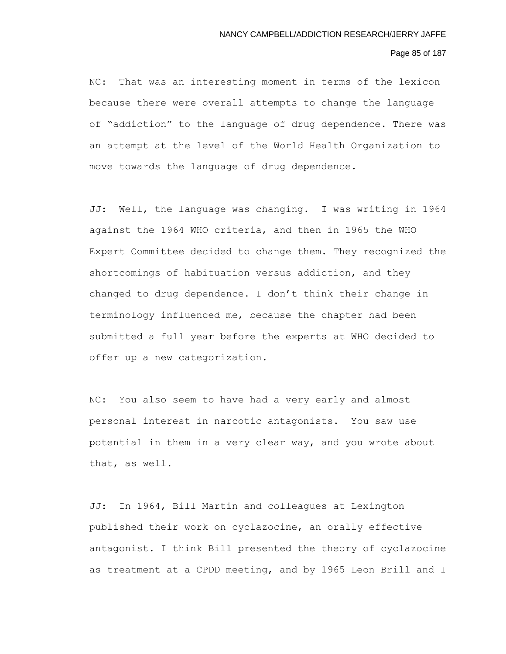#### Page 85 of 187

NC: That was an interesting moment in terms of the lexicon because there were overall attempts to change the language of "addiction" to the language of drug dependence. There was an attempt at the level of the World Health Organization to move towards the language of drug dependence.

JJ: Well, the language was changing. I was writing in 1964 against the 1964 WHO criteria, and then in 1965 the WHO Expert Committee decided to change them. They recognized the shortcomings of habituation versus addiction, and they changed to drug dependence. I don't think their change in terminology influenced me, because the chapter had been submitted a full year before the experts at WHO decided to offer up a new categorization.

NC: You also seem to have had a very early and almost personal interest in narcotic antagonists. You saw use potential in them in a very clear way, and you wrote about that, as well.

JJ: In 1964, Bill Martin and colleagues at Lexington published their work on cyclazocine, an orally effective antagonist. I think Bill presented the theory of cyclazocine as treatment at a CPDD meeting, and by 1965 Leon Brill and I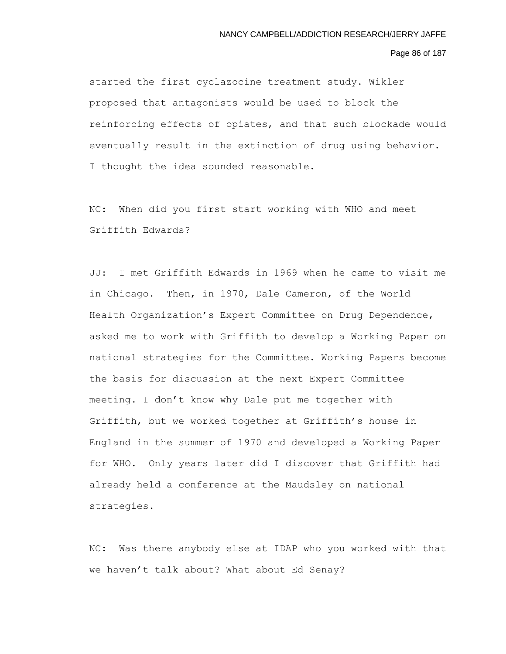#### Page 86 of 187

started the first cyclazocine treatment study. Wikler proposed that antagonists would be used to block the reinforcing effects of opiates, and that such blockade would eventually result in the extinction of drug using behavior. I thought the idea sounded reasonable.

NC: When did you first start working with WHO and meet Griffith Edwards?

JJ: I met Griffith Edwards in 1969 when he came to visit me in Chicago. Then, in 1970, Dale Cameron, of the World Health Organization's Expert Committee on Drug Dependence, asked me to work with Griffith to develop a Working Paper on national strategies for the Committee. Working Papers become the basis for discussion at the next Expert Committee meeting. I don't know why Dale put me together with Griffith, but we worked together at Griffith's house in England in the summer of 1970 and developed a Working Paper for WHO. Only years later did I discover that Griffith had already held a conference at the Maudsley on national strategies.

NC: Was there anybody else at IDAP who you worked with that we haven't talk about? What about Ed Senay?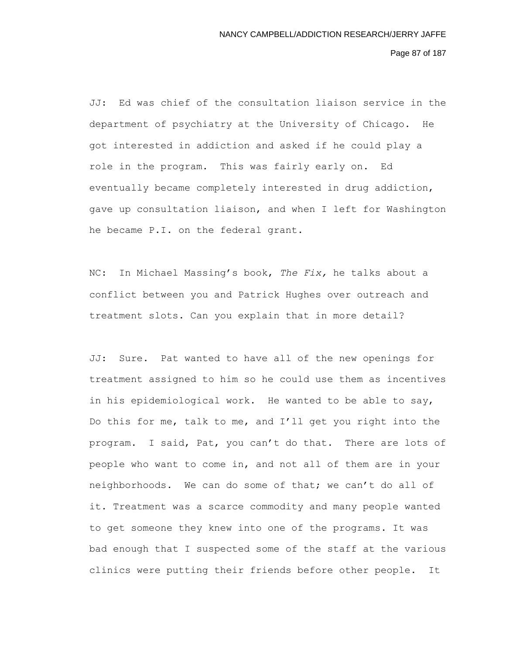Page 87 of 187

JJ: Ed was chief of the consultation liaison service in the department of psychiatry at the University of Chicago. He got interested in addiction and asked if he could play a role in the program. This was fairly early on. Ed eventually became completely interested in drug addiction, gave up consultation liaison, and when I left for Washington he became P.I. on the federal grant.

NC: In Michael Massing's book, *The Fix,* he talks about a conflict between you and Patrick Hughes over outreach and treatment slots. Can you explain that in more detail?

JJ: Sure. Pat wanted to have all of the new openings for treatment assigned to him so he could use them as incentives in his epidemiological work. He wanted to be able to say, Do this for me, talk to me, and I'll get you right into the program. I said, Pat, you can't do that. There are lots of people who want to come in, and not all of them are in your neighborhoods. We can do some of that; we can't do all of it. Treatment was a scarce commodity and many people wanted to get someone they knew into one of the programs. It was bad enough that I suspected some of the staff at the various clinics were putting their friends before other people. It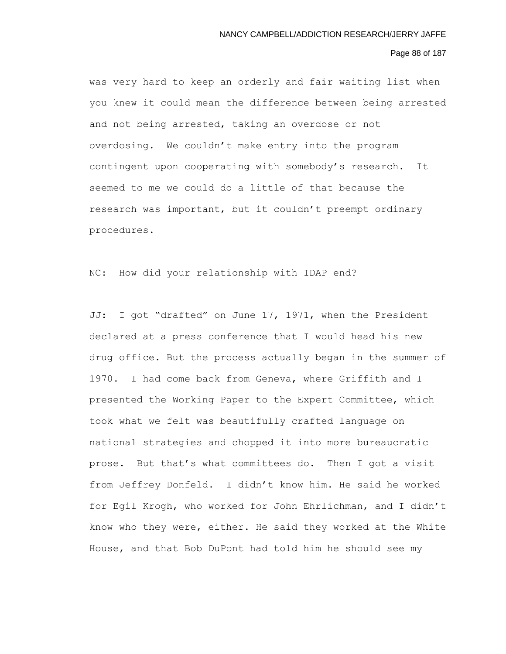# Page 88 of 187

was very hard to keep an orderly and fair waiting list when you knew it could mean the difference between being arrested and not being arrested, taking an overdose or not overdosing. We couldn't make entry into the program contingent upon cooperating with somebody's research. It seemed to me we could do a little of that because the research was important, but it couldn't preempt ordinary procedures.

NC: How did your relationship with IDAP end?

JJ: I got "drafted" on June 17, 1971, when the President declared at a press conference that I would head his new drug office. But the process actually began in the summer of 1970. I had come back from Geneva, where Griffith and I presented the Working Paper to the Expert Committee, which took what we felt was beautifully crafted language on national strategies and chopped it into more bureaucratic prose. But that's what committees do. Then I got a visit from Jeffrey Donfeld. I didn't know him. He said he worked for Egil Krogh, who worked for John Ehrlichman, and I didn't know who they were, either. He said they worked at the White House, and that Bob DuPont had told him he should see my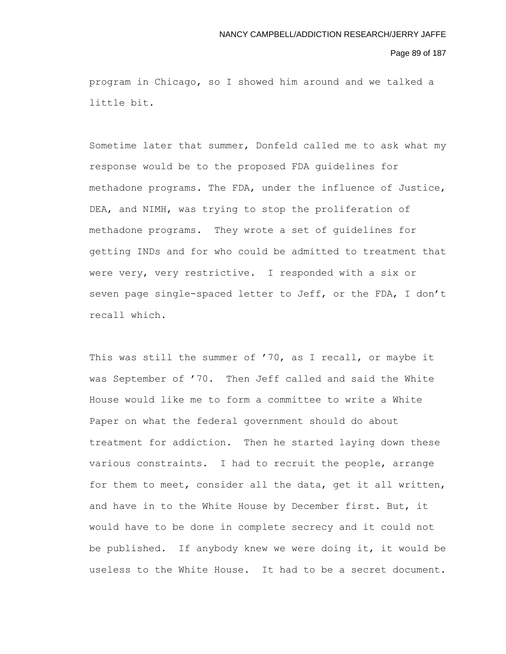#### Page 89 of 187

program in Chicago, so I showed him around and we talked a little bit.

Sometime later that summer, Donfeld called me to ask what my response would be to the proposed FDA guidelines for methadone programs. The FDA, under the influence of Justice, DEA, and NIMH, was trying to stop the proliferation of methadone programs. They wrote a set of guidelines for getting INDs and for who could be admitted to treatment that were very, very restrictive. I responded with a six or seven page single-spaced letter to Jeff, or the FDA, I don't recall which.

This was still the summer of '70, as I recall, or maybe it was September of '70. Then Jeff called and said the White House would like me to form a committee to write a White Paper on what the federal government should do about treatment for addiction. Then he started laying down these various constraints. I had to recruit the people, arrange for them to meet, consider all the data, get it all written, and have in to the White House by December first. But, it would have to be done in complete secrecy and it could not be published. If anybody knew we were doing it, it would be useless to the White House. It had to be a secret document.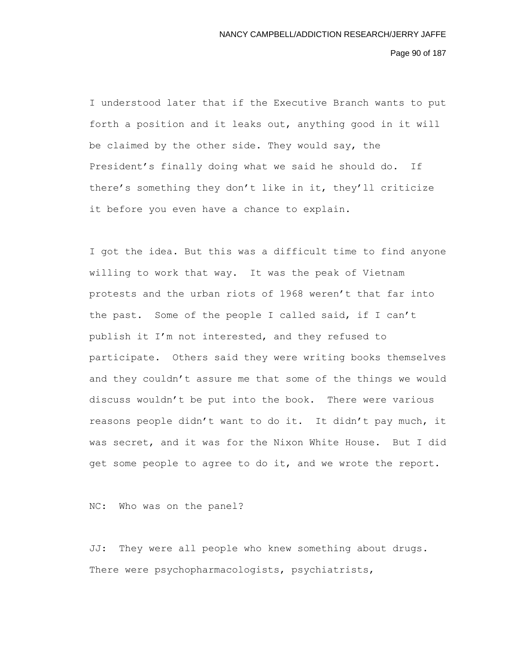Page 90 of 187

I understood later that if the Executive Branch wants to put forth a position and it leaks out, anything good in it will be claimed by the other side. They would say, the President's finally doing what we said he should do. If there's something they don't like in it, they'll criticize it before you even have a chance to explain.

I got the idea. But this was a difficult time to find anyone willing to work that way. It was the peak of Vietnam protests and the urban riots of 1968 weren't that far into the past. Some of the people I called said, if I can't publish it I'm not interested, and they refused to participate. Others said they were writing books themselves and they couldn't assure me that some of the things we would discuss wouldn't be put into the book. There were various reasons people didn't want to do it. It didn't pay much, it was secret, and it was for the Nixon White House. But I did get some people to agree to do it, and we wrote the report.

NC: Who was on the panel?

JJ: They were all people who knew something about drugs. There were psychopharmacologists, psychiatrists,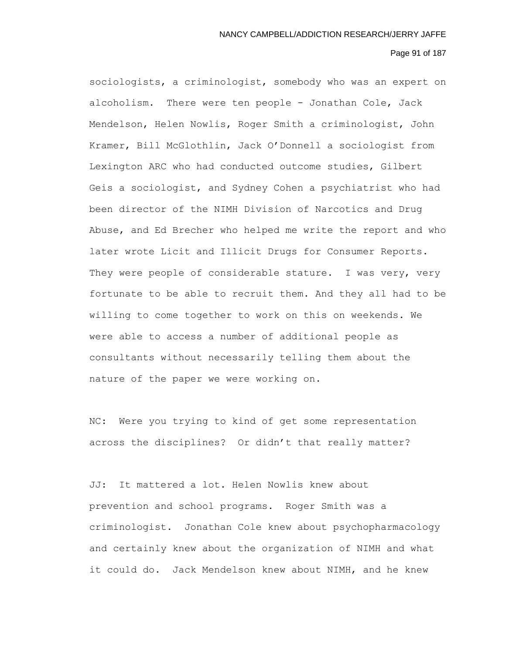#### Page 91 of 187

sociologists, a criminologist, somebody who was an expert on alcoholism. There were ten people - Jonathan Cole, Jack Mendelson, Helen Nowlis, Roger Smith a criminologist, John Kramer, Bill McGlothlin, Jack O'Donnell a sociologist from Lexington ARC who had conducted outcome studies, Gilbert Geis a sociologist, and Sydney Cohen a psychiatrist who had been director of the NIMH Division of Narcotics and Drug Abuse, and Ed Brecher who helped me write the report and who later wrote Licit and Illicit Drugs for Consumer Reports. They were people of considerable stature. I was very, very fortunate to be able to recruit them. And they all had to be willing to come together to work on this on weekends. We were able to access a number of additional people as consultants without necessarily telling them about the nature of the paper we were working on.

NC: Were you trying to kind of get some representation across the disciplines? Or didn't that really matter?

JJ: It mattered a lot. Helen Nowlis knew about prevention and school programs. Roger Smith was a criminologist. Jonathan Cole knew about psychopharmacology and certainly knew about the organization of NIMH and what it could do. Jack Mendelson knew about NIMH, and he knew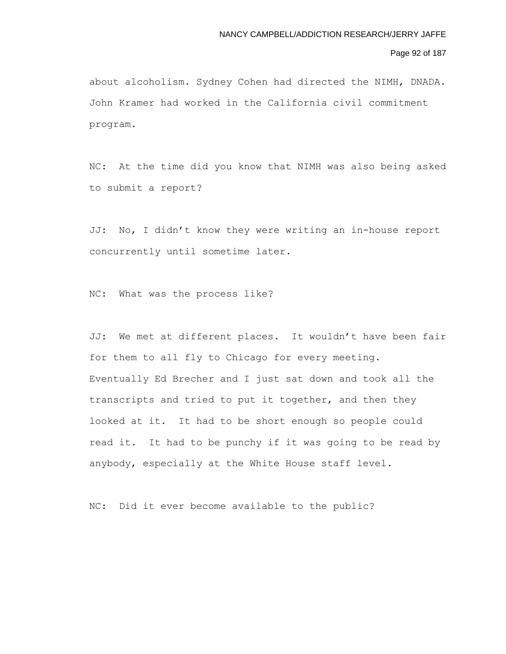# Page 92 of 187

about alcoholism. Sydney Cohen had directed the NIMH, DNADA. John Kramer had worked in the California civil commitment program.

NC: At the time did you know that NIMH was also being asked to submit a report?

JJ: No, I didn't know they were writing an in-house report concurrently until sometime later.

NC: What was the process like?

JJ: We met at different places. It wouldn't have been fair for them to all fly to Chicago for every meeting. Eventually Ed Brecher and I just sat down and took all the transcripts and tried to put it together, and then they looked at it. It had to be short enough so people could read it. It had to be punchy if it was going to be read by anybody, especially at the White House staff level.

NC: Did it ever become available to the public?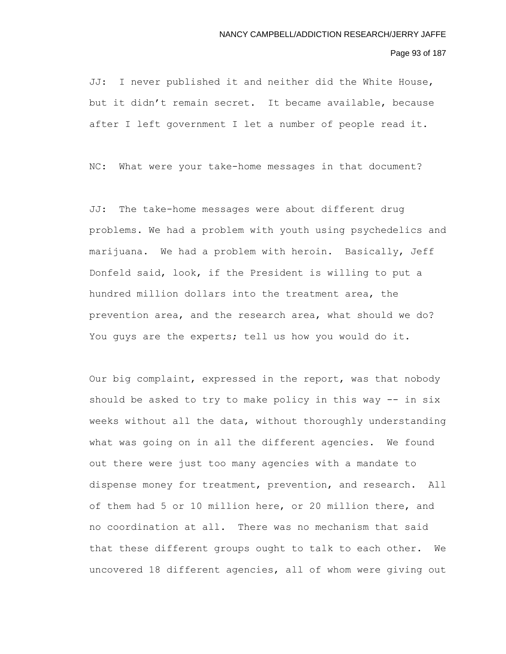#### Page 93 of 187

JJ: I never published it and neither did the White House, but it didn't remain secret. It became available, because after I left government I let a number of people read it.

NC: What were your take-home messages in that document?

JJ: The take-home messages were about different drug problems. We had a problem with youth using psychedelics and marijuana. We had a problem with heroin. Basically, Jeff Donfeld said, look, if the President is willing to put a hundred million dollars into the treatment area, the prevention area, and the research area, what should we do? You guys are the experts; tell us how you would do it.

Our big complaint, expressed in the report, was that nobody should be asked to try to make policy in this way -- in six weeks without all the data, without thoroughly understanding what was going on in all the different agencies. We found out there were just too many agencies with a mandate to dispense money for treatment, prevention, and research. All of them had 5 or 10 million here, or 20 million there, and no coordination at all. There was no mechanism that said that these different groups ought to talk to each other. We uncovered 18 different agencies, all of whom were giving out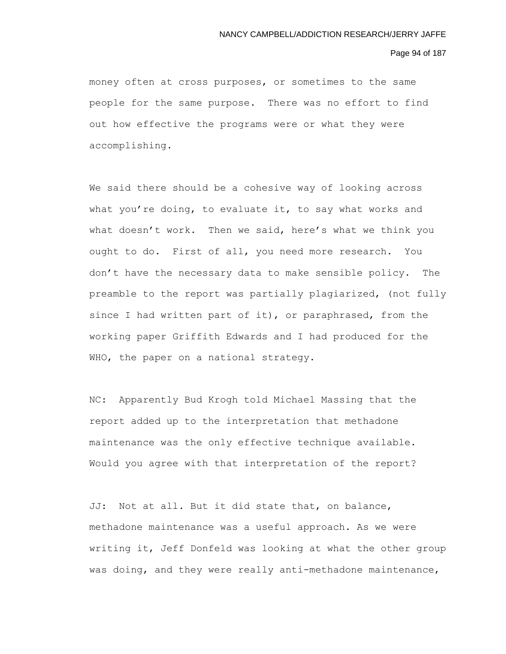#### Page 94 of 187

money often at cross purposes, or sometimes to the same people for the same purpose. There was no effort to find out how effective the programs were or what they were accomplishing.

We said there should be a cohesive way of looking across what you're doing, to evaluate it, to say what works and what doesn't work. Then we said, here's what we think you ought to do. First of all, you need more research. You don't have the necessary data to make sensible policy. The preamble to the report was partially plagiarized, (not fully since I had written part of it), or paraphrased, from the working paper Griffith Edwards and I had produced for the WHO, the paper on a national strategy.

NC: Apparently Bud Krogh told Michael Massing that the report added up to the interpretation that methadone maintenance was the only effective technique available. Would you agree with that interpretation of the report?

JJ: Not at all. But it did state that, on balance, methadone maintenance was a useful approach. As we were writing it, Jeff Donfeld was looking at what the other group was doing, and they were really anti-methadone maintenance,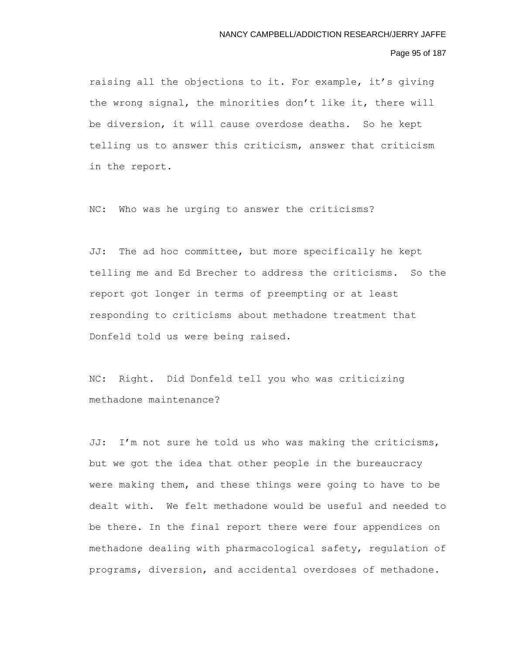#### Page 95 of 187

raising all the objections to it. For example, it's giving the wrong signal, the minorities don't like it, there will be diversion, it will cause overdose deaths. So he kept telling us to answer this criticism, answer that criticism in the report.

NC: Who was he urging to answer the criticisms?

JJ: The ad hoc committee, but more specifically he kept telling me and Ed Brecher to address the criticisms. So the report got longer in terms of preempting or at least responding to criticisms about methadone treatment that Donfeld told us were being raised.

NC: Right. Did Donfeld tell you who was criticizing methadone maintenance?

JJ: I'm not sure he told us who was making the criticisms, but we got the idea that other people in the bureaucracy were making them, and these things were going to have to be dealt with. We felt methadone would be useful and needed to be there. In the final report there were four appendices on methadone dealing with pharmacological safety, regulation of programs, diversion, and accidental overdoses of methadone.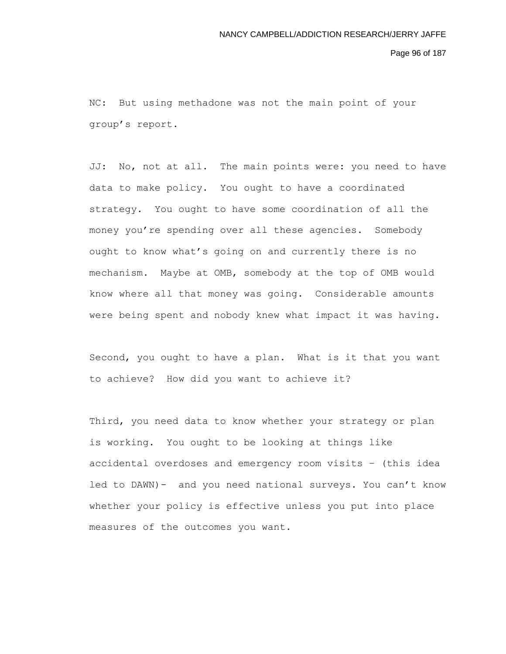Page 96 of 187

NC: But using methadone was not the main point of your group's report.

JJ: No, not at all. The main points were: you need to have data to make policy. You ought to have a coordinated strategy. You ought to have some coordination of all the money you're spending over all these agencies. Somebody ought to know what's going on and currently there is no mechanism. Maybe at OMB, somebody at the top of OMB would know where all that money was going. Considerable amounts were being spent and nobody knew what impact it was having.

Second, you ought to have a plan. What is it that you want to achieve? How did you want to achieve it?

Third, you need data to know whether your strategy or plan is working. You ought to be looking at things like accidental overdoses and emergency room visits – (this idea led to DAWN)- and you need national surveys. You can't know whether your policy is effective unless you put into place measures of the outcomes you want.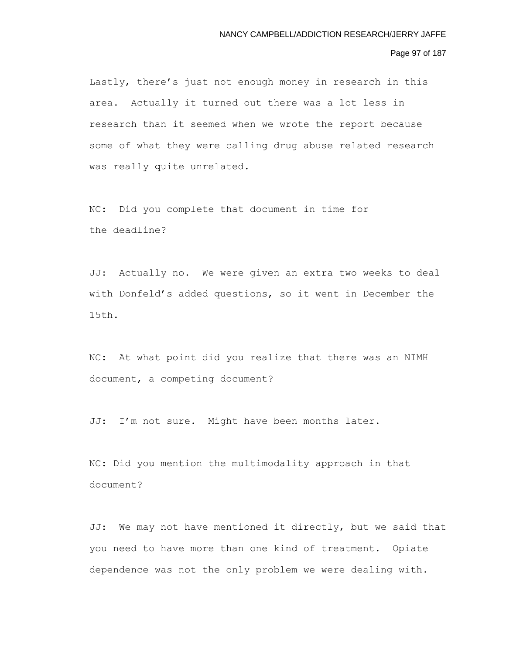## Page 97 of 187

Lastly, there's just not enough money in research in this area. Actually it turned out there was a lot less in research than it seemed when we wrote the report because some of what they were calling drug abuse related research was really quite unrelated.

NC: Did you complete that document in time for the deadline?

JJ: Actually no. We were given an extra two weeks to deal with Donfeld's added questions, so it went in December the 15th.

NC: At what point did you realize that there was an NIMH document, a competing document?

JJ: I'm not sure. Might have been months later.

NC: Did you mention the multimodality approach in that document?

JJ: We may not have mentioned it directly, but we said that you need to have more than one kind of treatment. Opiate dependence was not the only problem we were dealing with.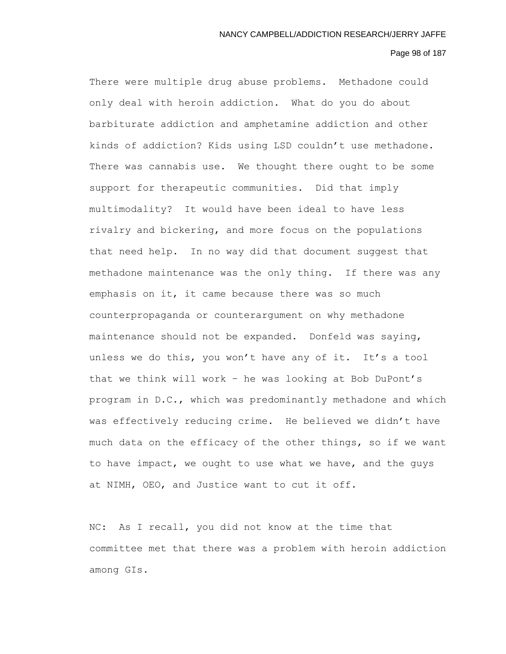## Page 98 of 187

There were multiple drug abuse problems. Methadone could only deal with heroin addiction. What do you do about barbiturate addiction and amphetamine addiction and other kinds of addiction? Kids using LSD couldn't use methadone. There was cannabis use. We thought there ought to be some support for therapeutic communities. Did that imply multimodality? It would have been ideal to have less rivalry and bickering, and more focus on the populations that need help. In no way did that document suggest that methadone maintenance was the only thing. If there was any emphasis on it, it came because there was so much counterpropaganda or counterargument on why methadone maintenance should not be expanded. Donfeld was saying, unless we do this, you won't have any of it. It's a tool that we think will work – he was looking at Bob DuPont's program in D.C., which was predominantly methadone and which was effectively reducing crime. He believed we didn't have much data on the efficacy of the other things, so if we want to have impact, we ought to use what we have, and the guys at NIMH, OEO, and Justice want to cut it off.

NC: As I recall, you did not know at the time that committee met that there was a problem with heroin addiction among GIs.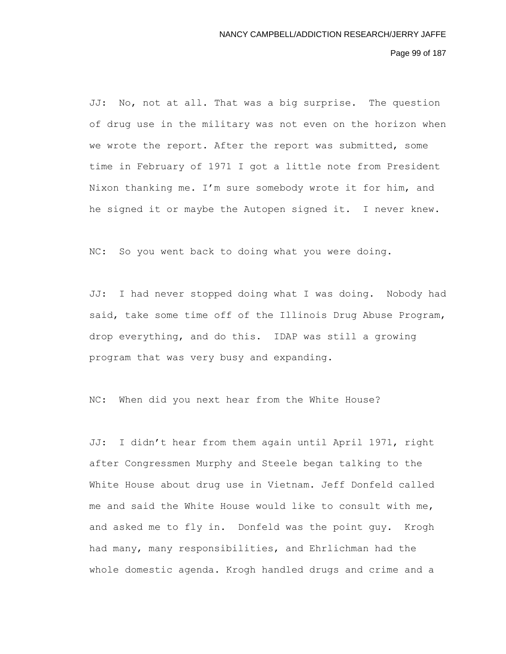Page 99 of 187

JJ: No, not at all. That was a big surprise. The question of drug use in the military was not even on the horizon when we wrote the report. After the report was submitted, some time in February of 1971 I got a little note from President Nixon thanking me. I'm sure somebody wrote it for him, and he signed it or maybe the Autopen signed it. I never knew.

NC: So you went back to doing what you were doing.

JJ: I had never stopped doing what I was doing. Nobody had said, take some time off of the Illinois Drug Abuse Program, drop everything, and do this. IDAP was still a growing program that was very busy and expanding.

NC: When did you next hear from the White House?

JJ: I didn't hear from them again until April 1971, right after Congressmen Murphy and Steele began talking to the White House about drug use in Vietnam. Jeff Donfeld called me and said the White House would like to consult with me, and asked me to fly in. Donfeld was the point guy. Krogh had many, many responsibilities, and Ehrlichman had the whole domestic agenda. Krogh handled drugs and crime and a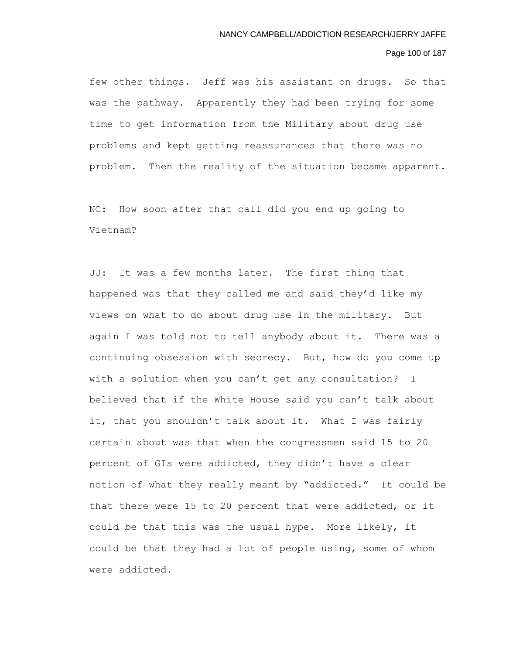## Page 100 of 187

few other things. Jeff was his assistant on drugs. So that was the pathway. Apparently they had been trying for some time to get information from the Military about drug use problems and kept getting reassurances that there was no problem. Then the reality of the situation became apparent.

NC: How soon after that call did you end up going to Vietnam?

JJ: It was a few months later. The first thing that happened was that they called me and said they'd like my views on what to do about drug use in the military. But again I was told not to tell anybody about it. There was a continuing obsession with secrecy. But, how do you come up with a solution when you can't get any consultation? I believed that if the White House said you can't talk about it, that you shouldn't talk about it. What I was fairly certain about was that when the congressmen said 15 to 20 percent of GIs were addicted, they didn't have a clear notion of what they really meant by "addicted." It could be that there were 15 to 20 percent that were addicted, or it could be that this was the usual hype. More likely, it could be that they had a lot of people using, some of whom were addicted.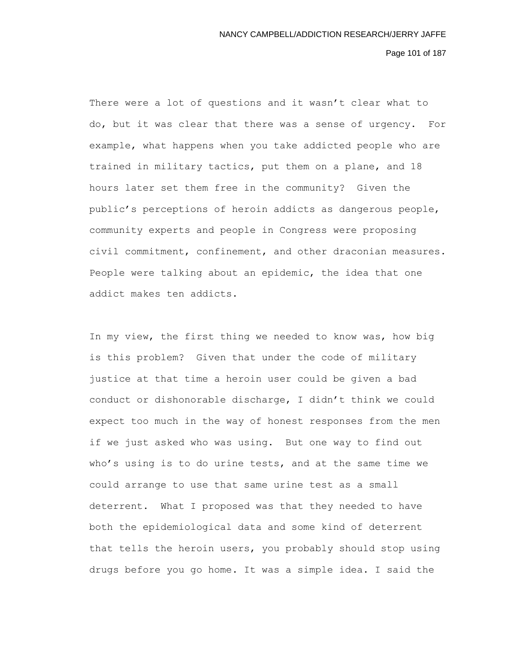Page 101 of 187

There were a lot of questions and it wasn't clear what to do, but it was clear that there was a sense of urgency. For example, what happens when you take addicted people who are trained in military tactics, put them on a plane, and 18 hours later set them free in the community? Given the public's perceptions of heroin addicts as dangerous people, community experts and people in Congress were proposing civil commitment, confinement, and other draconian measures. People were talking about an epidemic, the idea that one addict makes ten addicts.

In my view, the first thing we needed to know was, how big is this problem? Given that under the code of military justice at that time a heroin user could be given a bad conduct or dishonorable discharge, I didn't think we could expect too much in the way of honest responses from the men if we just asked who was using. But one way to find out who's using is to do urine tests, and at the same time we could arrange to use that same urine test as a small deterrent. What I proposed was that they needed to have both the epidemiological data and some kind of deterrent that tells the heroin users, you probably should stop using drugs before you go home. It was a simple idea. I said the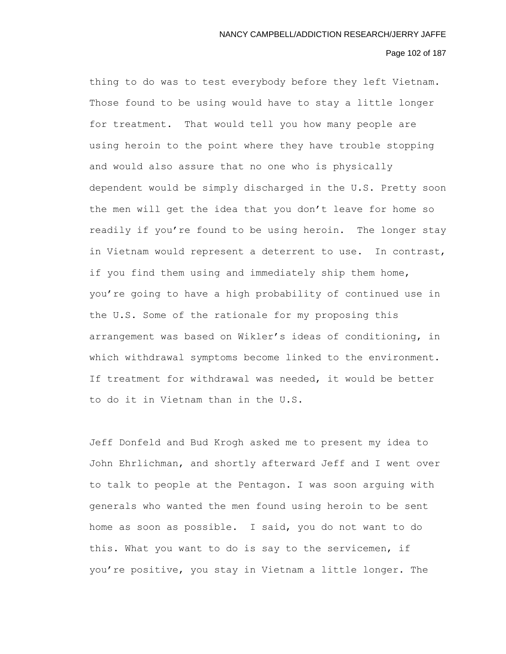## Page 102 of 187

thing to do was to test everybody before they left Vietnam. Those found to be using would have to stay a little longer for treatment. That would tell you how many people are using heroin to the point where they have trouble stopping and would also assure that no one who is physically dependent would be simply discharged in the U.S. Pretty soon the men will get the idea that you don't leave for home so readily if you're found to be using heroin. The longer stay in Vietnam would represent a deterrent to use. In contrast, if you find them using and immediately ship them home, you're going to have a high probability of continued use in the U.S. Some of the rationale for my proposing this arrangement was based on Wikler's ideas of conditioning, in which withdrawal symptoms become linked to the environment. If treatment for withdrawal was needed, it would be better to do it in Vietnam than in the U.S.

Jeff Donfeld and Bud Krogh asked me to present my idea to John Ehrlichman, and shortly afterward Jeff and I went over to talk to people at the Pentagon. I was soon arguing with generals who wanted the men found using heroin to be sent home as soon as possible. I said, you do not want to do this. What you want to do is say to the servicemen, if you're positive, you stay in Vietnam a little longer. The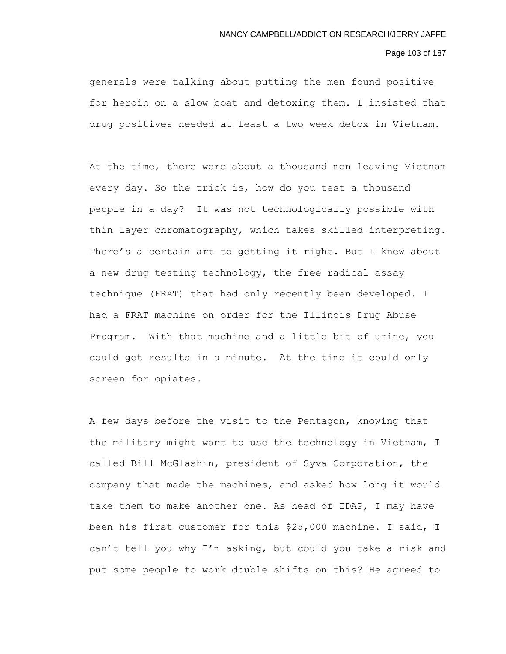# Page 103 of 187

generals were talking about putting the men found positive for heroin on a slow boat and detoxing them. I insisted that drug positives needed at least a two week detox in Vietnam.

At the time, there were about a thousand men leaving Vietnam every day. So the trick is, how do you test a thousand people in a day? It was not technologically possible with thin layer chromatography, which takes skilled interpreting. There's a certain art to getting it right. But I knew about a new drug testing technology, the free radical assay technique (FRAT) that had only recently been developed. I had a FRAT machine on order for the Illinois Drug Abuse Program. With that machine and a little bit of urine, you could get results in a minute. At the time it could only screen for opiates.

A few days before the visit to the Pentagon, knowing that the military might want to use the technology in Vietnam, I called Bill McGlashin, president of Syva Corporation, the company that made the machines, and asked how long it would take them to make another one. As head of IDAP, I may have been his first customer for this \$25,000 machine. I said, I can't tell you why I'm asking, but could you take a risk and put some people to work double shifts on this? He agreed to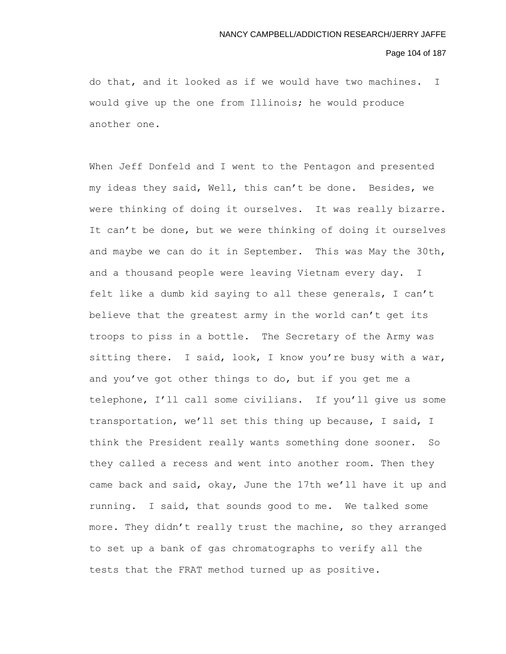#### Page 104 of 187

do that, and it looked as if we would have two machines. I would give up the one from Illinois; he would produce another one.

When Jeff Donfeld and I went to the Pentagon and presented my ideas they said, Well, this can't be done. Besides, we were thinking of doing it ourselves. It was really bizarre. It can't be done, but we were thinking of doing it ourselves and maybe we can do it in September. This was May the 30th, and a thousand people were leaving Vietnam every day. I felt like a dumb kid saying to all these generals, I can't believe that the greatest army in the world can't get its troops to piss in a bottle. The Secretary of the Army was sitting there. I said, look, I know you're busy with a war, and you've got other things to do, but if you get me a telephone, I'll call some civilians. If you'll give us some transportation, we'll set this thing up because, I said, I think the President really wants something done sooner. So they called a recess and went into another room. Then they came back and said, okay, June the 17th we'll have it up and running. I said, that sounds good to me. We talked some more. They didn't really trust the machine, so they arranged to set up a bank of gas chromatographs to verify all the tests that the FRAT method turned up as positive.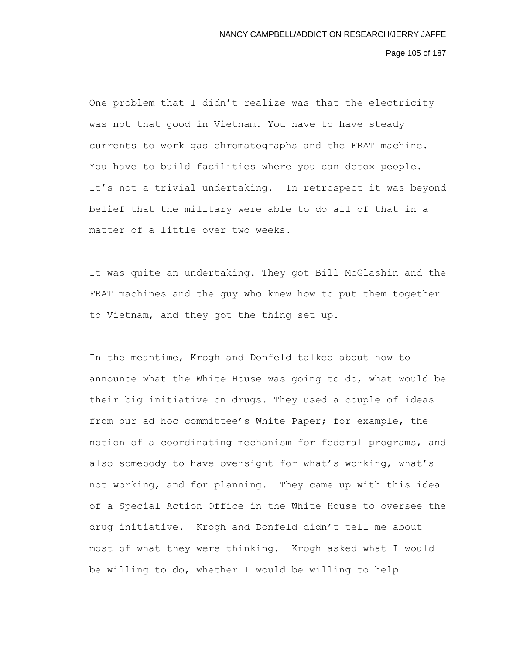Page 105 of 187

One problem that I didn't realize was that the electricity was not that good in Vietnam. You have to have steady currents to work gas chromatographs and the FRAT machine. You have to build facilities where you can detox people. It's not a trivial undertaking. In retrospect it was beyond belief that the military were able to do all of that in a matter of a little over two weeks.

It was quite an undertaking. They got Bill McGlashin and the FRAT machines and the guy who knew how to put them together to Vietnam, and they got the thing set up.

In the meantime, Krogh and Donfeld talked about how to announce what the White House was going to do, what would be their big initiative on drugs. They used a couple of ideas from our ad hoc committee's White Paper; for example, the notion of a coordinating mechanism for federal programs, and also somebody to have oversight for what's working, what's not working, and for planning. They came up with this idea of a Special Action Office in the White House to oversee the drug initiative. Krogh and Donfeld didn't tell me about most of what they were thinking. Krogh asked what I would be willing to do, whether I would be willing to help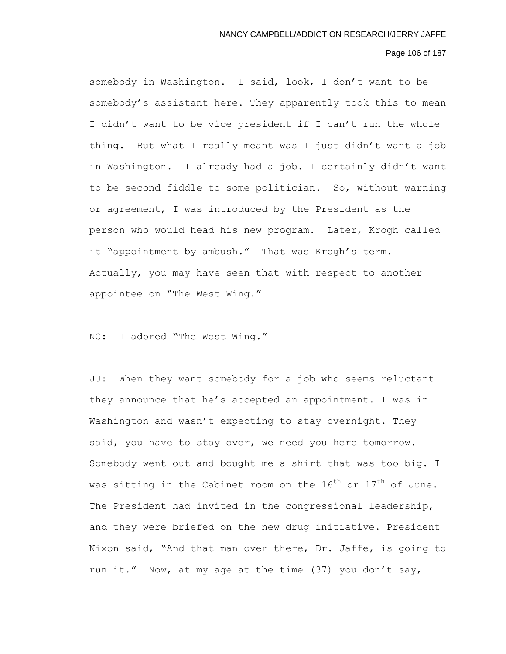## Page 106 of 187

somebody in Washington. I said, look, I don't want to be somebody's assistant here. They apparently took this to mean I didn't want to be vice president if I can't run the whole thing. But what I really meant was I just didn't want a job in Washington. I already had a job. I certainly didn't want to be second fiddle to some politician. So, without warning or agreement, I was introduced by the President as the person who would head his new program. Later, Krogh called it "appointment by ambush." That was Krogh's term. Actually, you may have seen that with respect to another appointee on "The West Wing."

NC: I adored "The West Wing."

JJ: When they want somebody for a job who seems reluctant they announce that he's accepted an appointment. I was in Washington and wasn't expecting to stay overnight. They said, you have to stay over, we need you here tomorrow. Somebody went out and bought me a shirt that was too big. I was sitting in the Cabinet room on the  $16^{th}$  or  $17^{th}$  of June. The President had invited in the congressional leadership, and they were briefed on the new drug initiative. President Nixon said, "And that man over there, Dr. Jaffe, is going to run it." Now, at my age at the time (37) you don't say,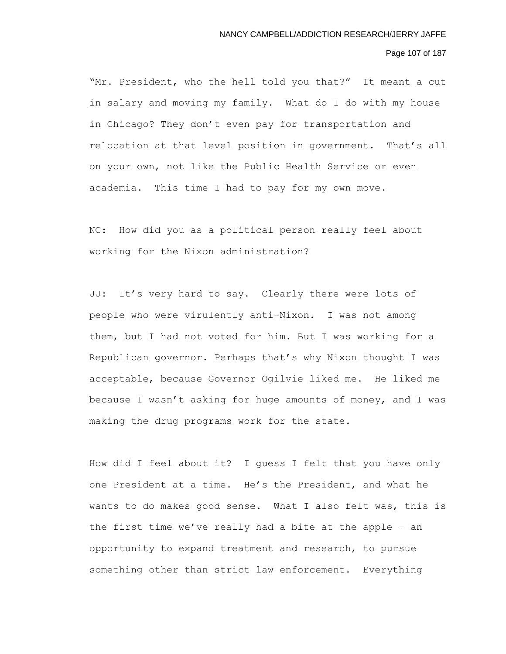# Page 107 of 187

"Mr. President, who the hell told you that?" It meant a cut in salary and moving my family. What do I do with my house in Chicago? They don't even pay for transportation and relocation at that level position in government. That's all on your own, not like the Public Health Service or even academia. This time I had to pay for my own move.

NC: How did you as a political person really feel about working for the Nixon administration?

JJ: It's very hard to say. Clearly there were lots of people who were virulently anti-Nixon. I was not among them, but I had not voted for him. But I was working for a Republican governor. Perhaps that's why Nixon thought I was acceptable, because Governor Ogilvie liked me. He liked me because I wasn't asking for huge amounts of money, and I was making the drug programs work for the state.

How did I feel about it? I guess I felt that you have only one President at a time. He's the President, and what he wants to do makes good sense. What I also felt was, this is the first time we've really had a bite at the apple – an opportunity to expand treatment and research, to pursue something other than strict law enforcement. Everything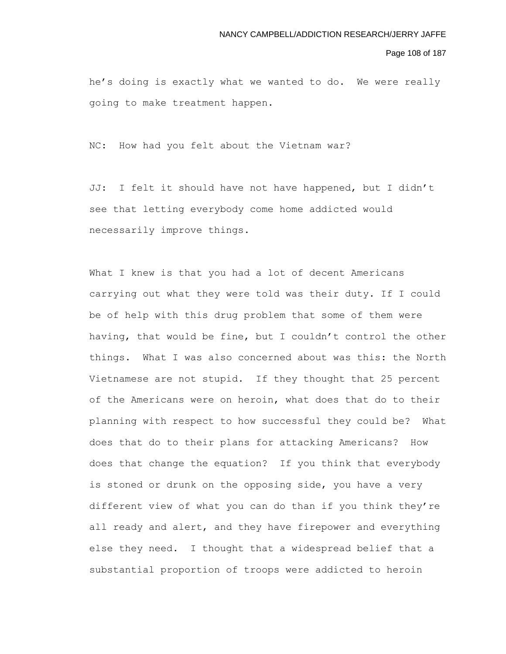#### Page 108 of 187

he's doing is exactly what we wanted to do. We were really going to make treatment happen.

NC: How had you felt about the Vietnam war?

JJ: I felt it should have not have happened, but I didn't see that letting everybody come home addicted would necessarily improve things.

What I knew is that you had a lot of decent Americans carrying out what they were told was their duty. If I could be of help with this drug problem that some of them were having, that would be fine, but I couldn't control the other things. What I was also concerned about was this: the North Vietnamese are not stupid. If they thought that 25 percent of the Americans were on heroin, what does that do to their planning with respect to how successful they could be? What does that do to their plans for attacking Americans? How does that change the equation? If you think that everybody is stoned or drunk on the opposing side, you have a very different view of what you can do than if you think they're all ready and alert, and they have firepower and everything else they need. I thought that a widespread belief that a substantial proportion of troops were addicted to heroin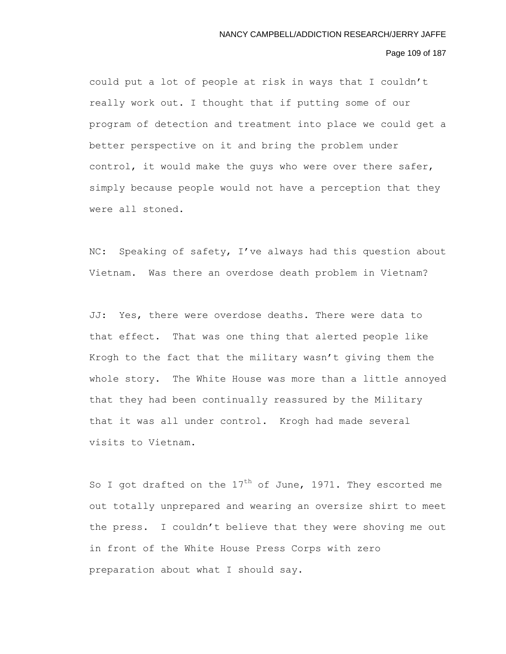## Page 109 of 187

could put a lot of people at risk in ways that I couldn't really work out. I thought that if putting some of our program of detection and treatment into place we could get a better perspective on it and bring the problem under control, it would make the guys who were over there safer, simply because people would not have a perception that they were all stoned.

NC: Speaking of safety, I've always had this question about Vietnam. Was there an overdose death problem in Vietnam?

JJ: Yes, there were overdose deaths. There were data to that effect. That was one thing that alerted people like Krogh to the fact that the military wasn't giving them the whole story. The White House was more than a little annoyed that they had been continually reassured by the Military that it was all under control. Krogh had made several visits to Vietnam.

So I got drafted on the  $17<sup>th</sup>$  of June, 1971. They escorted me out totally unprepared and wearing an oversize shirt to meet the press. I couldn't believe that they were shoving me out in front of the White House Press Corps with zero preparation about what I should say.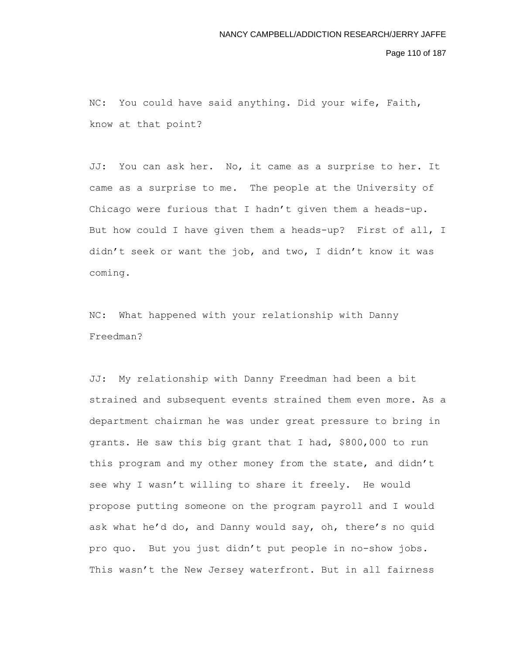Page 110 of 187

NC: You could have said anything. Did your wife, Faith, know at that point?

JJ: You can ask her. No, it came as a surprise to her. It came as a surprise to me. The people at the University of Chicago were furious that I hadn't given them a heads-up. But how could I have given them a heads-up? First of all, I didn't seek or want the job, and two, I didn't know it was coming.

NC: What happened with your relationship with Danny Freedman?

JJ: My relationship with Danny Freedman had been a bit strained and subsequent events strained them even more. As a department chairman he was under great pressure to bring in grants. He saw this big grant that I had, \$800,000 to run this program and my other money from the state, and didn't see why I wasn't willing to share it freely. He would propose putting someone on the program payroll and I would ask what he'd do, and Danny would say, oh, there's no quid pro quo. But you just didn't put people in no-show jobs. This wasn't the New Jersey waterfront. But in all fairness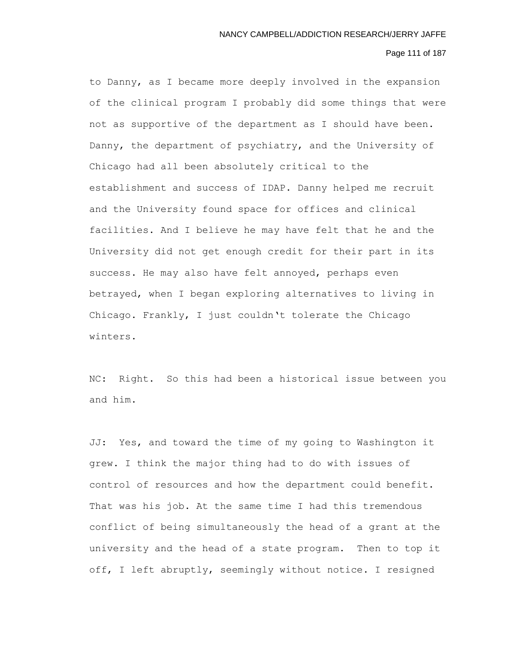# Page 111 of 187

to Danny, as I became more deeply involved in the expansion of the clinical program I probably did some things that were not as supportive of the department as I should have been. Danny, the department of psychiatry, and the University of Chicago had all been absolutely critical to the establishment and success of IDAP. Danny helped me recruit and the University found space for offices and clinical facilities. And I believe he may have felt that he and the University did not get enough credit for their part in its success. He may also have felt annoyed, perhaps even betrayed, when I began exploring alternatives to living in Chicago. Frankly, I just couldn't tolerate the Chicago winters.

NC: Right. So this had been a historical issue between you and him.

JJ: Yes, and toward the time of my going to Washington it grew. I think the major thing had to do with issues of control of resources and how the department could benefit. That was his job. At the same time I had this tremendous conflict of being simultaneously the head of a grant at the university and the head of a state program. Then to top it off, I left abruptly, seemingly without notice. I resigned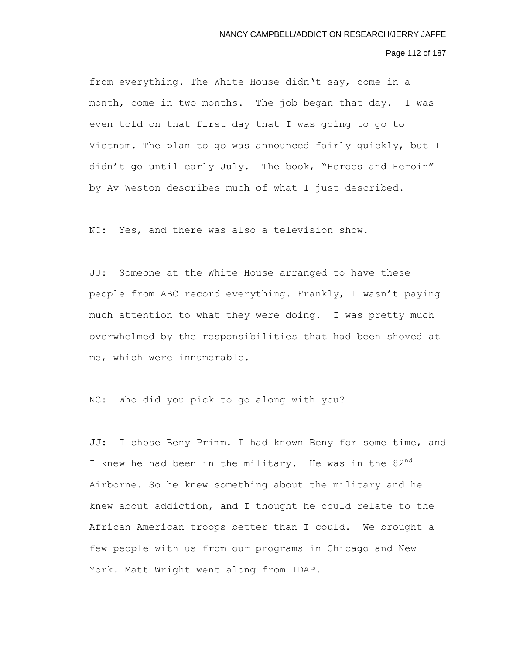## Page 112 of 187

from everything. The White House didn't say, come in a month, come in two months. The job began that day. I was even told on that first day that I was going to go to Vietnam. The plan to go was announced fairly quickly, but I didn't go until early July. The book, "Heroes and Heroin" by Av Weston describes much of what I just described.

NC: Yes, and there was also a television show.

JJ: Someone at the White House arranged to have these people from ABC record everything. Frankly, I wasn't paying much attention to what they were doing. I was pretty much overwhelmed by the responsibilities that had been shoved at me, which were innumerable.

NC: Who did you pick to go along with you?

JJ: I chose Beny Primm. I had known Beny for some time, and I knew he had been in the military. He was in the  $82^{nd}$ Airborne. So he knew something about the military and he knew about addiction, and I thought he could relate to the African American troops better than I could. We brought a few people with us from our programs in Chicago and New York. Matt Wright went along from IDAP.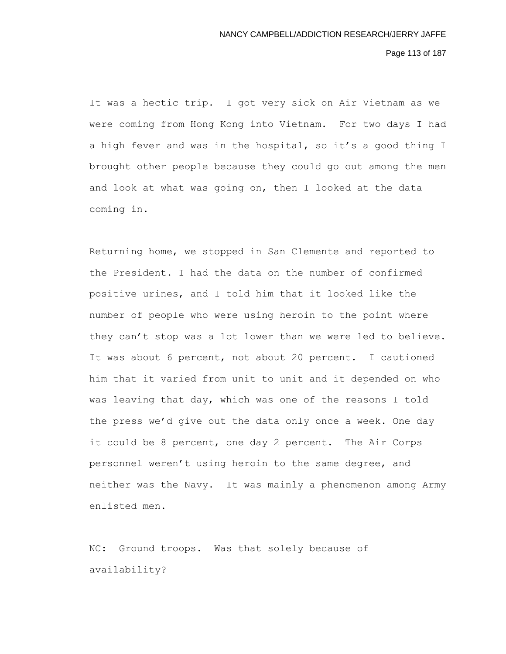Page 113 of 187

It was a hectic trip. I got very sick on Air Vietnam as we were coming from Hong Kong into Vietnam. For two days I had a high fever and was in the hospital, so it's a good thing I brought other people because they could go out among the men and look at what was going on, then I looked at the data coming in.

Returning home, we stopped in San Clemente and reported to the President. I had the data on the number of confirmed positive urines, and I told him that it looked like the number of people who were using heroin to the point where they can't stop was a lot lower than we were led to believe. It was about 6 percent, not about 20 percent. I cautioned him that it varied from unit to unit and it depended on who was leaving that day, which was one of the reasons I told the press we'd give out the data only once a week. One day it could be 8 percent, one day 2 percent. The Air Corps personnel weren't using heroin to the same degree, and neither was the Navy. It was mainly a phenomenon among Army enlisted men.

NC: Ground troops. Was that solely because of availability?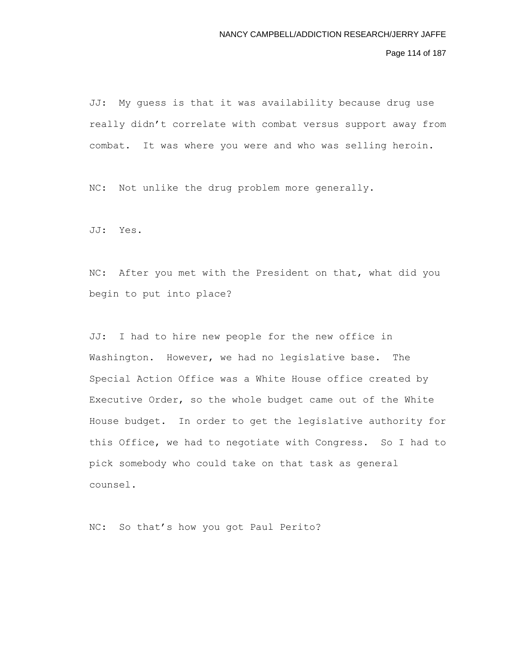Page 114 of 187

JJ: My guess is that it was availability because drug use really didn't correlate with combat versus support away from combat. It was where you were and who was selling heroin.

NC: Not unlike the drug problem more generally.

JJ: Yes.

NC: After you met with the President on that, what did you begin to put into place?

JJ: I had to hire new people for the new office in Washington. However, we had no legislative base. The Special Action Office was a White House office created by Executive Order, so the whole budget came out of the White House budget. In order to get the legislative authority for this Office, we had to negotiate with Congress. So I had to pick somebody who could take on that task as general counsel.

NC: So that's how you got Paul Perito?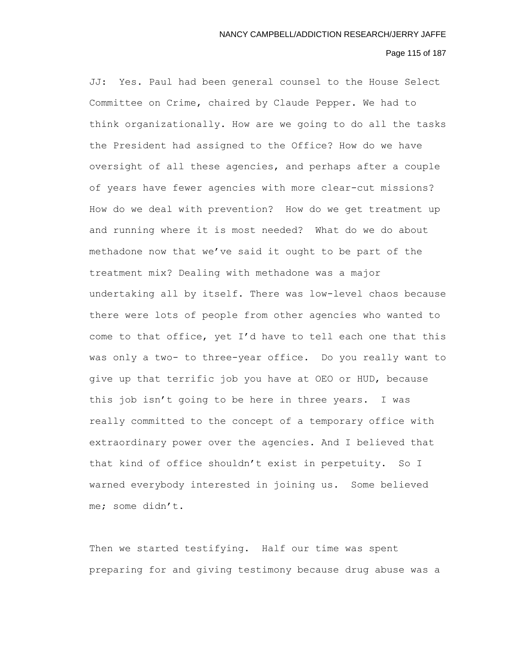## Page 115 of 187

JJ: Yes. Paul had been general counsel to the House Select Committee on Crime, chaired by Claude Pepper. We had to think organizationally. How are we going to do all the tasks the President had assigned to the Office? How do we have oversight of all these agencies, and perhaps after a couple of years have fewer agencies with more clear-cut missions? How do we deal with prevention? How do we get treatment up and running where it is most needed? What do we do about methadone now that we've said it ought to be part of the treatment mix? Dealing with methadone was a major undertaking all by itself. There was low-level chaos because there were lots of people from other agencies who wanted to come to that office, yet I'd have to tell each one that this was only a two- to three-year office. Do you really want to give up that terrific job you have at OEO or HUD, because this job isn't going to be here in three years. I was really committed to the concept of a temporary office with extraordinary power over the agencies. And I believed that that kind of office shouldn't exist in perpetuity. So I warned everybody interested in joining us. Some believed me; some didn't.

Then we started testifying. Half our time was spent preparing for and giving testimony because drug abuse was a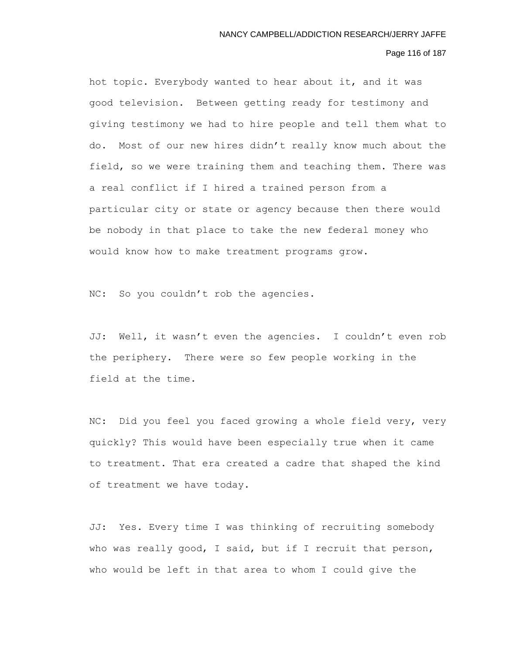# Page 116 of 187

hot topic. Everybody wanted to hear about it, and it was good television. Between getting ready for testimony and giving testimony we had to hire people and tell them what to do. Most of our new hires didn't really know much about the field, so we were training them and teaching them. There was a real conflict if I hired a trained person from a particular city or state or agency because then there would be nobody in that place to take the new federal money who would know how to make treatment programs grow.

NC: So you couldn't rob the agencies.

JJ: Well, it wasn't even the agencies. I couldn't even rob the periphery. There were so few people working in the field at the time.

NC: Did you feel you faced growing a whole field very, very quickly? This would have been especially true when it came to treatment. That era created a cadre that shaped the kind of treatment we have today.

JJ: Yes. Every time I was thinking of recruiting somebody who was really good, I said, but if I recruit that person, who would be left in that area to whom I could give the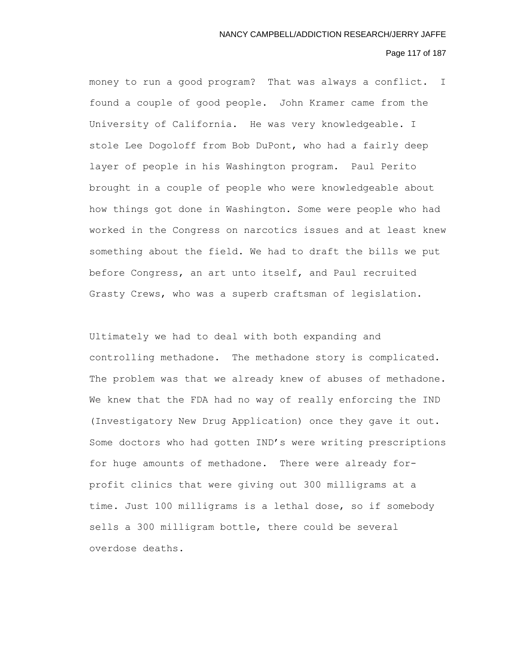# Page 117 of 187

money to run a good program? That was always a conflict. I found a couple of good people. John Kramer came from the University of California. He was very knowledgeable. I stole Lee Dogoloff from Bob DuPont, who had a fairly deep layer of people in his Washington program. Paul Perito brought in a couple of people who were knowledgeable about how things got done in Washington. Some were people who had worked in the Congress on narcotics issues and at least knew something about the field. We had to draft the bills we put before Congress, an art unto itself, and Paul recruited Grasty Crews, who was a superb craftsman of legislation.

Ultimately we had to deal with both expanding and controlling methadone. The methadone story is complicated. The problem was that we already knew of abuses of methadone. We knew that the FDA had no way of really enforcing the IND (Investigatory New Drug Application) once they gave it out. Some doctors who had gotten IND's were writing prescriptions for huge amounts of methadone. There were already forprofit clinics that were giving out 300 milligrams at a time. Just 100 milligrams is a lethal dose, so if somebody sells a 300 milligram bottle, there could be several overdose deaths.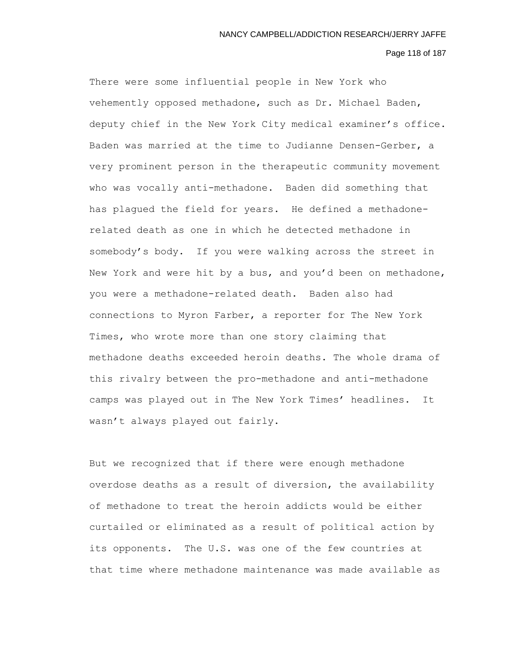### Page 118 of 187

There were some influential people in New York who vehemently opposed methadone, such as Dr. Michael Baden, deputy chief in the New York City medical examiner's office. Baden was married at the time to Judianne Densen-Gerber, a very prominent person in the therapeutic community movement who was vocally anti-methadone. Baden did something that has plagued the field for years. He defined a methadonerelated death as one in which he detected methadone in somebody's body. If you were walking across the street in New York and were hit by a bus, and you'd been on methadone, you were a methadone-related death. Baden also had connections to Myron Farber, a reporter for The New York Times, who wrote more than one story claiming that methadone deaths exceeded heroin deaths. The whole drama of this rivalry between the pro-methadone and anti-methadone camps was played out in The New York Times' headlines. It wasn't always played out fairly.

But we recognized that if there were enough methadone overdose deaths as a result of diversion, the availability of methadone to treat the heroin addicts would be either curtailed or eliminated as a result of political action by its opponents. The U.S. was one of the few countries at that time where methadone maintenance was made available as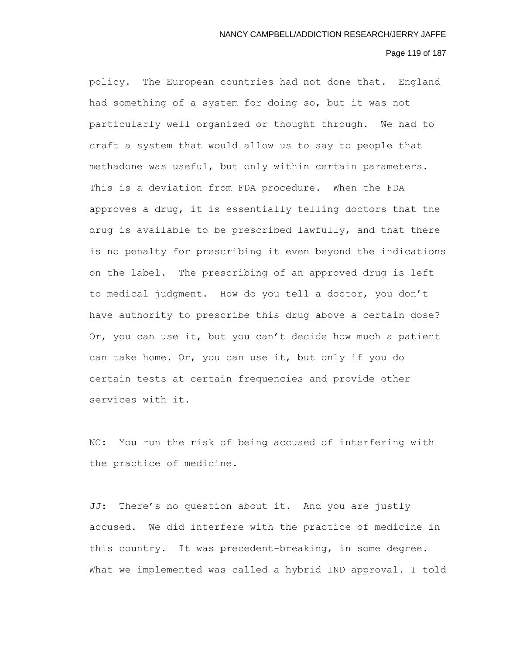## Page 119 of 187

policy. The European countries had not done that. England had something of a system for doing so, but it was not particularly well organized or thought through. We had to craft a system that would allow us to say to people that methadone was useful, but only within certain parameters. This is a deviation from FDA procedure. When the FDA approves a drug, it is essentially telling doctors that the drug is available to be prescribed lawfully, and that there is no penalty for prescribing it even beyond the indications on the label. The prescribing of an approved drug is left to medical judgment. How do you tell a doctor, you don't have authority to prescribe this drug above a certain dose? Or, you can use it, but you can't decide how much a patient can take home. Or, you can use it, but only if you do certain tests at certain frequencies and provide other services with it.

NC: You run the risk of being accused of interfering with the practice of medicine.

JJ: There's no question about it. And you are justly accused. We did interfere with the practice of medicine in this country. It was precedent-breaking, in some degree. What we implemented was called a hybrid IND approval. I told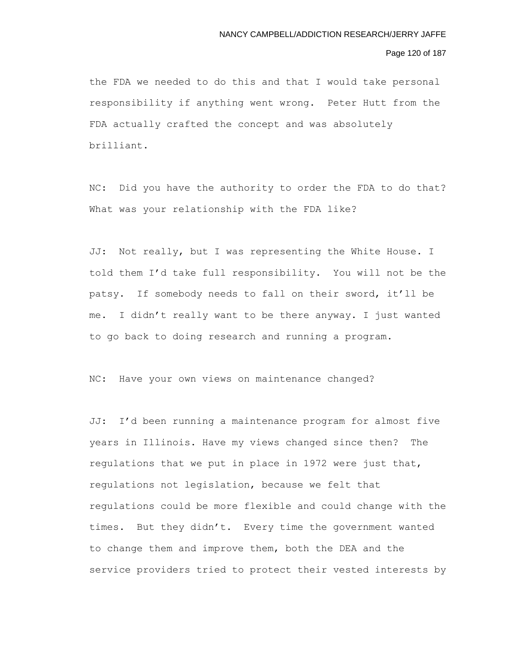## Page 120 of 187

the FDA we needed to do this and that I would take personal responsibility if anything went wrong. Peter Hutt from the FDA actually crafted the concept and was absolutely brilliant.

NC: Did you have the authority to order the FDA to do that? What was your relationship with the FDA like?

JJ: Not really, but I was representing the White House. I told them I'd take full responsibility. You will not be the patsy. If somebody needs to fall on their sword, it'll be me. I didn't really want to be there anyway. I just wanted to go back to doing research and running a program.

NC: Have your own views on maintenance changed?

JJ: I'd been running a maintenance program for almost five years in Illinois. Have my views changed since then? The regulations that we put in place in 1972 were just that, regulations not legislation, because we felt that regulations could be more flexible and could change with the times. But they didn't. Every time the government wanted to change them and improve them, both the DEA and the service providers tried to protect their vested interests by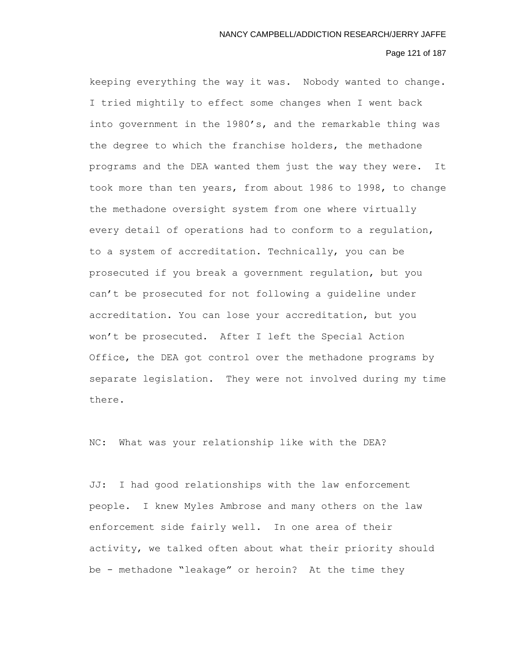# Page 121 of 187

keeping everything the way it was. Nobody wanted to change. I tried mightily to effect some changes when I went back into government in the 1980's, and the remarkable thing was the degree to which the franchise holders, the methadone programs and the DEA wanted them just the way they were. It took more than ten years, from about 1986 to 1998, to change the methadone oversight system from one where virtually every detail of operations had to conform to a regulation, to a system of accreditation. Technically, you can be prosecuted if you break a government regulation, but you can't be prosecuted for not following a guideline under accreditation. You can lose your accreditation, but you won't be prosecuted. After I left the Special Action Office, the DEA got control over the methadone programs by separate legislation. They were not involved during my time there.

NC: What was your relationship like with the DEA?

JJ: I had good relationships with the law enforcement people. I knew Myles Ambrose and many others on the law enforcement side fairly well. In one area of their activity, we talked often about what their priority should be - methadone "leakage" or heroin? At the time they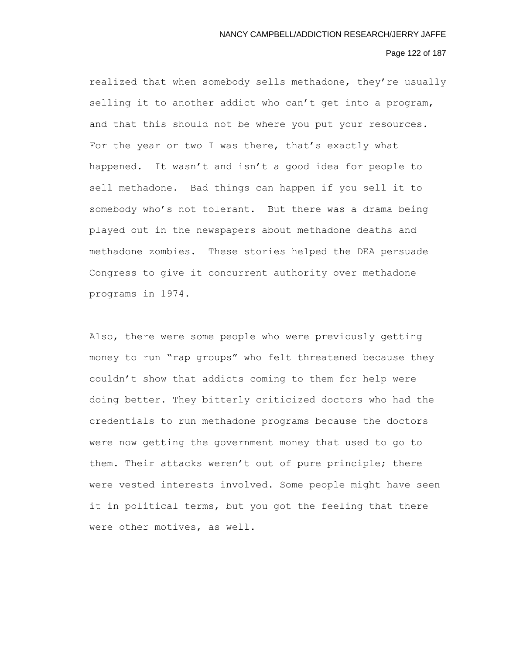## Page 122 of 187

realized that when somebody sells methadone, they're usually selling it to another addict who can't get into a program, and that this should not be where you put your resources. For the year or two I was there, that's exactly what happened. It wasn't and isn't a good idea for people to sell methadone. Bad things can happen if you sell it to somebody who's not tolerant. But there was a drama being played out in the newspapers about methadone deaths and methadone zombies. These stories helped the DEA persuade Congress to give it concurrent authority over methadone programs in 1974.

Also, there were some people who were previously getting money to run "rap groups" who felt threatened because they couldn't show that addicts coming to them for help were doing better. They bitterly criticized doctors who had the credentials to run methadone programs because the doctors were now getting the government money that used to go to them. Their attacks weren't out of pure principle; there were vested interests involved. Some people might have seen it in political terms, but you got the feeling that there were other motives, as well.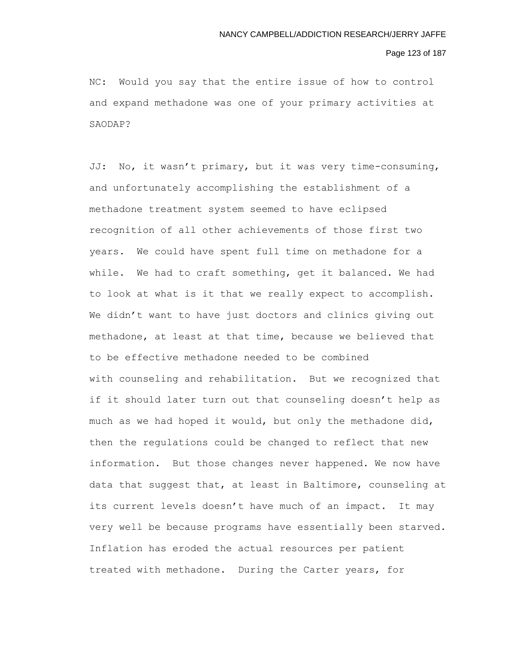#### Page 123 of 187

NC: Would you say that the entire issue of how to control and expand methadone was one of your primary activities at SAODAP?

JJ: No, it wasn't primary, but it was very time-consuming, and unfortunately accomplishing the establishment of a methadone treatment system seemed to have eclipsed recognition of all other achievements of those first two years. We could have spent full time on methadone for a while. We had to craft something, get it balanced. We had to look at what is it that we really expect to accomplish. We didn't want to have just doctors and clinics giving out methadone, at least at that time, because we believed that to be effective methadone needed to be combined with counseling and rehabilitation. But we recognized that if it should later turn out that counseling doesn't help as much as we had hoped it would, but only the methadone did, then the regulations could be changed to reflect that new information. But those changes never happened. We now have data that suggest that, at least in Baltimore, counseling at its current levels doesn't have much of an impact. It may very well be because programs have essentially been starved. Inflation has eroded the actual resources per patient treated with methadone. During the Carter years, for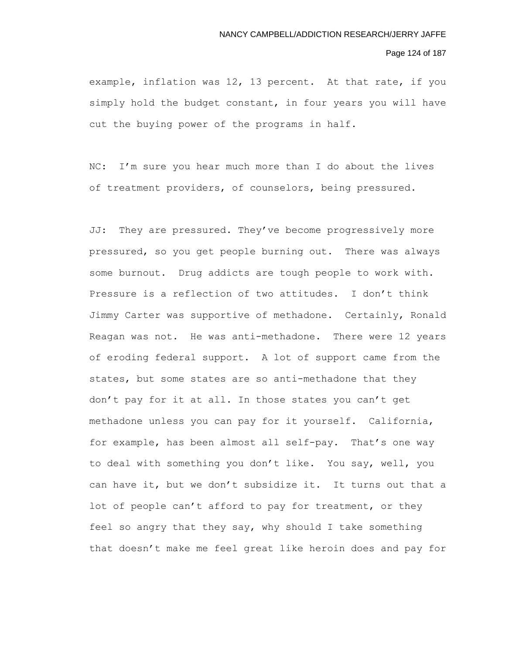#### Page 124 of 187

example, inflation was 12, 13 percent. At that rate, if you simply hold the budget constant, in four years you will have cut the buying power of the programs in half.

NC: I'm sure you hear much more than I do about the lives of treatment providers, of counselors, being pressured.

JJ: They are pressured. They've become progressively more pressured, so you get people burning out. There was always some burnout. Drug addicts are tough people to work with. Pressure is a reflection of two attitudes. I don't think Jimmy Carter was supportive of methadone. Certainly, Ronald Reagan was not. He was anti-methadone. There were 12 years of eroding federal support. A lot of support came from the states, but some states are so anti-methadone that they don't pay for it at all. In those states you can't get methadone unless you can pay for it yourself. California, for example, has been almost all self-pay. That's one way to deal with something you don't like. You say, well, you can have it, but we don't subsidize it. It turns out that a lot of people can't afford to pay for treatment, or they feel so angry that they say, why should I take something that doesn't make me feel great like heroin does and pay for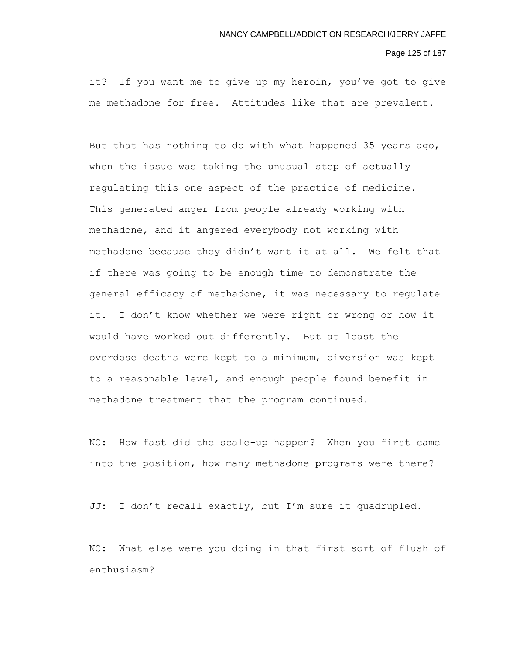#### Page 125 of 187

it? If you want me to give up my heroin, you've got to give me methadone for free. Attitudes like that are prevalent.

But that has nothing to do with what happened 35 years ago, when the issue was taking the unusual step of actually regulating this one aspect of the practice of medicine. This generated anger from people already working with methadone, and it angered everybody not working with methadone because they didn't want it at all. We felt that if there was going to be enough time to demonstrate the general efficacy of methadone, it was necessary to regulate it. I don't know whether we were right or wrong or how it would have worked out differently. But at least the overdose deaths were kept to a minimum, diversion was kept to a reasonable level, and enough people found benefit in methadone treatment that the program continued.

NC: How fast did the scale-up happen? When you first came into the position, how many methadone programs were there?

JJ: I don't recall exactly, but I'm sure it quadrupled.

NC: What else were you doing in that first sort of flush of enthusiasm?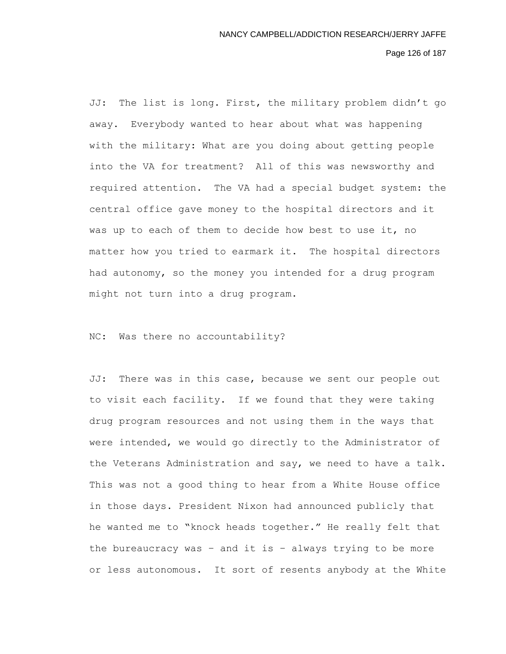Page 126 of 187

JJ: The list is long. First, the military problem didn't go away. Everybody wanted to hear about what was happening with the military: What are you doing about getting people into the VA for treatment? All of this was newsworthy and required attention. The VA had a special budget system: the central office gave money to the hospital directors and it was up to each of them to decide how best to use it, no matter how you tried to earmark it. The hospital directors had autonomy, so the money you intended for a drug program might not turn into a drug program.

NC: Was there no accountability?

JJ: There was in this case, because we sent our people out to visit each facility. If we found that they were taking drug program resources and not using them in the ways that were intended, we would go directly to the Administrator of the Veterans Administration and say, we need to have a talk. This was not a good thing to hear from a White House office in those days. President Nixon had announced publicly that he wanted me to "knock heads together." He really felt that the bureaucracy was – and it is – always trying to be more or less autonomous. It sort of resents anybody at the White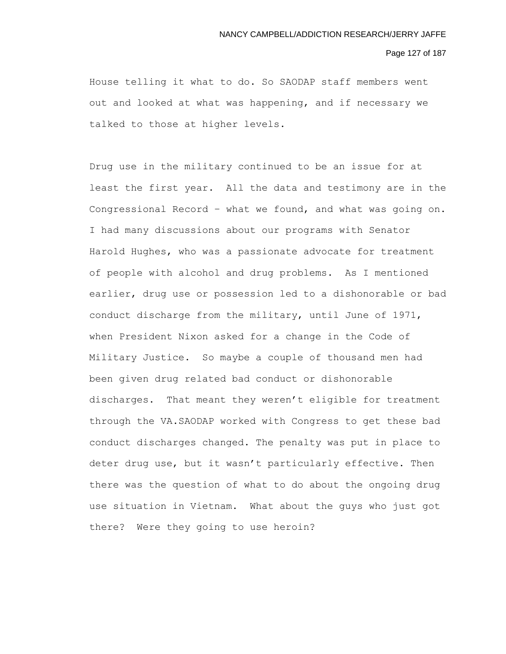## Page 127 of 187

House telling it what to do. So SAODAP staff members went out and looked at what was happening, and if necessary we talked to those at higher levels.

Drug use in the military continued to be an issue for at least the first year. All the data and testimony are in the Congressional Record – what we found, and what was going on. I had many discussions about our programs with Senator Harold Hughes, who was a passionate advocate for treatment of people with alcohol and drug problems. As I mentioned earlier, drug use or possession led to a dishonorable or bad conduct discharge from the military, until June of 1971, when President Nixon asked for a change in the Code of Military Justice. So maybe a couple of thousand men had been given drug related bad conduct or dishonorable discharges. That meant they weren't eligible for treatment through the VA.SAODAP worked with Congress to get these bad conduct discharges changed. The penalty was put in place to deter drug use, but it wasn't particularly effective. Then there was the question of what to do about the ongoing drug use situation in Vietnam. What about the guys who just got there? Were they going to use heroin?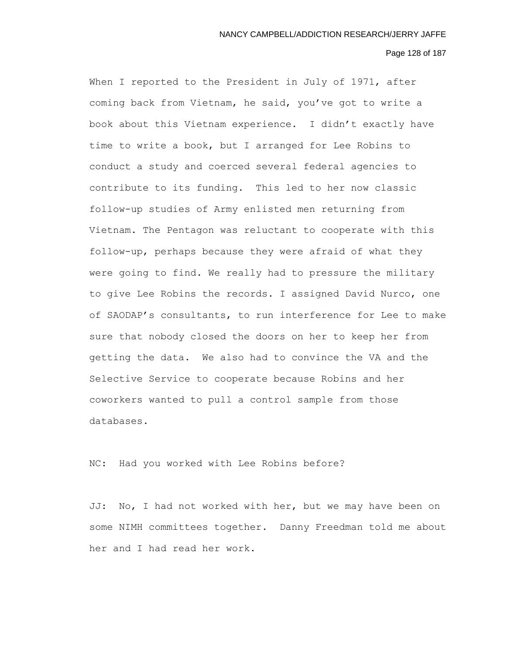#### Page 128 of 187

When I reported to the President in July of 1971, after coming back from Vietnam, he said, you've got to write a book about this Vietnam experience. I didn't exactly have time to write a book, but I arranged for Lee Robins to conduct a study and coerced several federal agencies to contribute to its funding. This led to her now classic follow-up studies of Army enlisted men returning from Vietnam. The Pentagon was reluctant to cooperate with this follow-up, perhaps because they were afraid of what they were going to find. We really had to pressure the military to give Lee Robins the records. I assigned David Nurco, one of SAODAP's consultants, to run interference for Lee to make sure that nobody closed the doors on her to keep her from getting the data. We also had to convince the VA and the Selective Service to cooperate because Robins and her coworkers wanted to pull a control sample from those databases.

NC: Had you worked with Lee Robins before?

JJ: No, I had not worked with her, but we may have been on some NIMH committees together. Danny Freedman told me about her and I had read her work.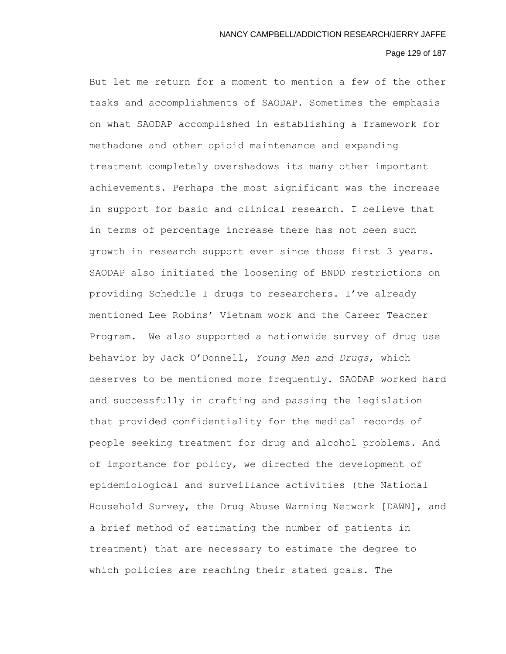# Page 129 of 187

But let me return for a moment to mention a few of the other tasks and accomplishments of SAODAP. Sometimes the emphasis on what SAODAP accomplished in establishing a framework for methadone and other opioid maintenance and expanding treatment completely overshadows its many other important achievements. Perhaps the most significant was the increase in support for basic and clinical research. I believe that in terms of percentage increase there has not been such growth in research support ever since those first 3 years. SAODAP also initiated the loosening of BNDD restrictions on providing Schedule I drugs to researchers. I've already mentioned Lee Robins' Vietnam work and the Career Teacher Program. We also supported a nationwide survey of drug use behavior by Jack O'Donnell, *Young Men and Drugs*, which deserves to be mentioned more frequently. SAODAP worked hard and successfully in crafting and passing the legislation that provided confidentiality for the medical records of people seeking treatment for drug and alcohol problems. And of importance for policy, we directed the development of epidemiological and surveillance activities (the National Household Survey, the Drug Abuse Warning Network [DAWN], and a brief method of estimating the number of patients in treatment) that are necessary to estimate the degree to which policies are reaching their stated goals. The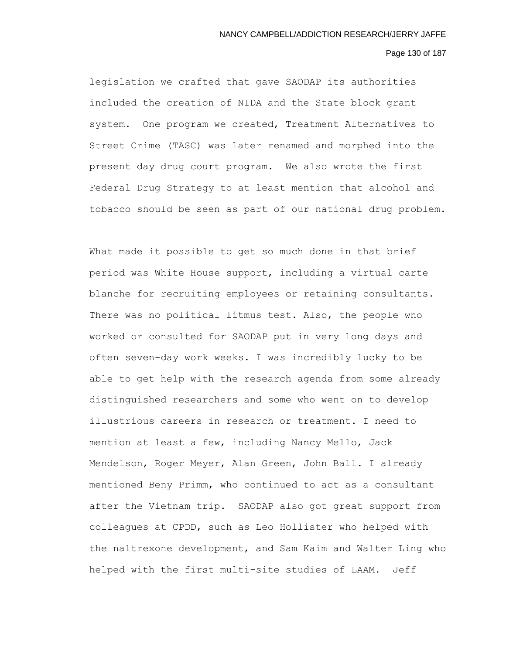# Page 130 of 187

legislation we crafted that gave SAODAP its authorities included the creation of NIDA and the State block grant system. One program we created, Treatment Alternatives to Street Crime (TASC) was later renamed and morphed into the present day drug court program. We also wrote the first Federal Drug Strategy to at least mention that alcohol and tobacco should be seen as part of our national drug problem.

What made it possible to get so much done in that brief period was White House support, including a virtual carte blanche for recruiting employees or retaining consultants. There was no political litmus test. Also, the people who worked or consulted for SAODAP put in very long days and often seven-day work weeks. I was incredibly lucky to be able to get help with the research agenda from some already distinguished researchers and some who went on to develop illustrious careers in research or treatment. I need to mention at least a few, including Nancy Mello, Jack Mendelson, Roger Meyer, Alan Green, John Ball. I already mentioned Beny Primm, who continued to act as a consultant after the Vietnam trip. SAODAP also got great support from colleagues at CPDD, such as Leo Hollister who helped with the naltrexone development, and Sam Kaim and Walter Ling who helped with the first multi-site studies of LAAM. Jeff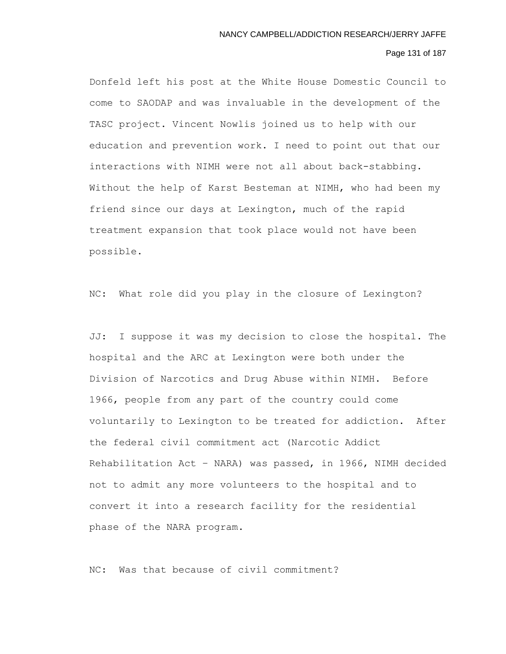# Page 131 of 187

Donfeld left his post at the White House Domestic Council to come to SAODAP and was invaluable in the development of the TASC project. Vincent Nowlis joined us to help with our education and prevention work. I need to point out that our interactions with NIMH were not all about back-stabbing. Without the help of Karst Besteman at NIMH, who had been my friend since our days at Lexington, much of the rapid treatment expansion that took place would not have been possible.

NC: What role did you play in the closure of Lexington?

JJ: I suppose it was my decision to close the hospital. The hospital and the ARC at Lexington were both under the Division of Narcotics and Drug Abuse within NIMH. Before 1966, people from any part of the country could come voluntarily to Lexington to be treated for addiction. After the federal civil commitment act (Narcotic Addict Rehabilitation Act – NARA) was passed, in 1966, NIMH decided not to admit any more volunteers to the hospital and to convert it into a research facility for the residential phase of the NARA program.

NC: Was that because of civil commitment?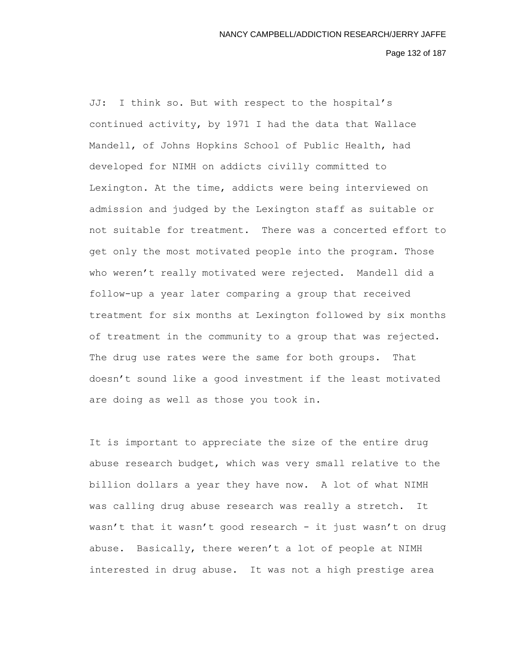Page 132 of 187

JJ: I think so. But with respect to the hospital's continued activity, by 1971 I had the data that Wallace Mandell, of Johns Hopkins School of Public Health, had developed for NIMH on addicts civilly committed to Lexington. At the time, addicts were being interviewed on admission and judged by the Lexington staff as suitable or not suitable for treatment. There was a concerted effort to get only the most motivated people into the program. Those who weren't really motivated were rejected. Mandell did a follow-up a year later comparing a group that received treatment for six months at Lexington followed by six months of treatment in the community to a group that was rejected. The drug use rates were the same for both groups. That doesn't sound like a good investment if the least motivated are doing as well as those you took in.

It is important to appreciate the size of the entire drug abuse research budget, which was very small relative to the billion dollars a year they have now. A lot of what NIMH was calling drug abuse research was really a stretch. It wasn't that it wasn't good research - it just wasn't on drug abuse. Basically, there weren't a lot of people at NIMH interested in drug abuse. It was not a high prestige area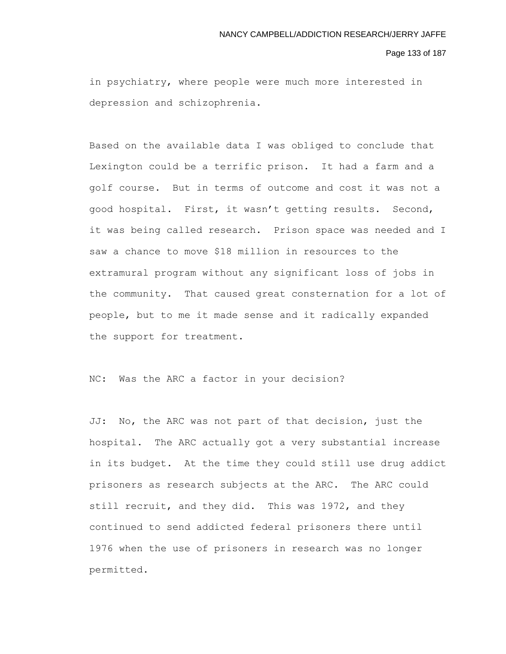#### Page 133 of 187

in psychiatry, where people were much more interested in depression and schizophrenia.

Based on the available data I was obliged to conclude that Lexington could be a terrific prison. It had a farm and a golf course. But in terms of outcome and cost it was not a good hospital. First, it wasn't getting results. Second, it was being called research. Prison space was needed and I saw a chance to move \$18 million in resources to the extramural program without any significant loss of jobs in the community. That caused great consternation for a lot of people, but to me it made sense and it radically expanded the support for treatment.

NC: Was the ARC a factor in your decision?

JJ: No, the ARC was not part of that decision, just the hospital. The ARC actually got a very substantial increase in its budget. At the time they could still use drug addict prisoners as research subjects at the ARC. The ARC could still recruit, and they did. This was 1972, and they continued to send addicted federal prisoners there until 1976 when the use of prisoners in research was no longer permitted.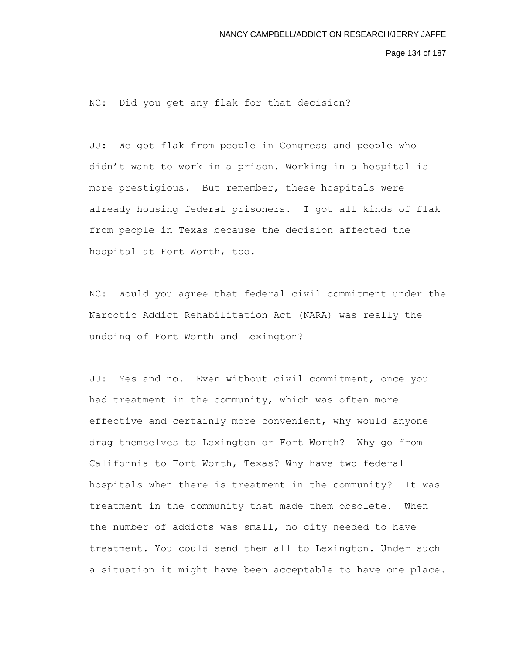Page 134 of 187

NC: Did you get any flak for that decision?

JJ: We got flak from people in Congress and people who didn't want to work in a prison. Working in a hospital is more prestigious. But remember, these hospitals were already housing federal prisoners. I got all kinds of flak from people in Texas because the decision affected the hospital at Fort Worth, too.

NC: Would you agree that federal civil commitment under the Narcotic Addict Rehabilitation Act (NARA) was really the undoing of Fort Worth and Lexington?

JJ: Yes and no. Even without civil commitment, once you had treatment in the community, which was often more effective and certainly more convenient, why would anyone drag themselves to Lexington or Fort Worth? Why go from California to Fort Worth, Texas? Why have two federal hospitals when there is treatment in the community? It was treatment in the community that made them obsolete. When the number of addicts was small, no city needed to have treatment. You could send them all to Lexington. Under such a situation it might have been acceptable to have one place.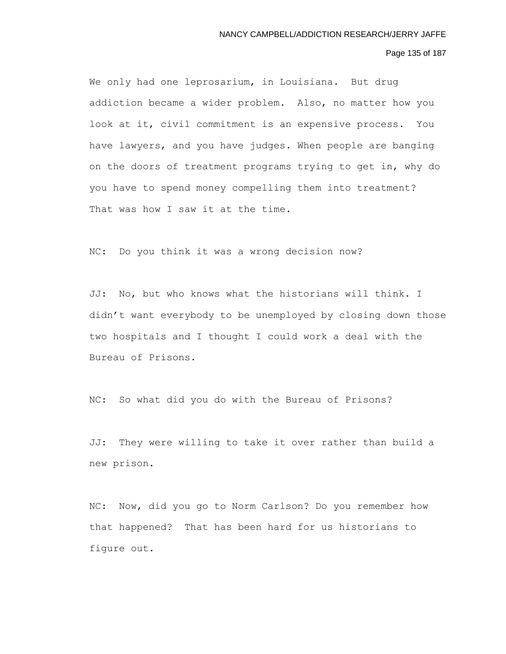# Page 135 of 187

We only had one leprosarium, in Louisiana. But drug addiction became a wider problem. Also, no matter how you look at it, civil commitment is an expensive process. You have lawyers, and you have judges. When people are banging on the doors of treatment programs trying to get in, why do you have to spend money compelling them into treatment? That was how I saw it at the time.

NC: Do you think it was a wrong decision now?

JJ: No, but who knows what the historians will think. I didn't want everybody to be unemployed by closing down those two hospitals and I thought I could work a deal with the Bureau of Prisons.

NC: So what did you do with the Bureau of Prisons?

JJ: They were willing to take it over rather than build a new prison.

NC: Now, did you go to Norm Carlson? Do you remember how that happened? That has been hard for us historians to figure out.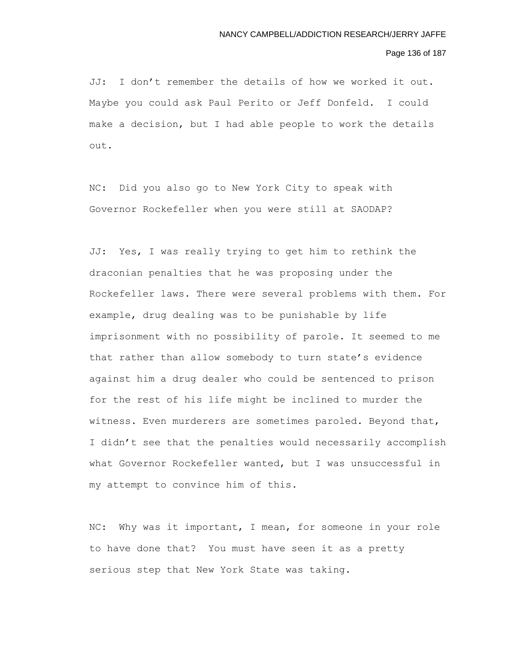Page 136 of 187

JJ: I don't remember the details of how we worked it out. Maybe you could ask Paul Perito or Jeff Donfeld. I could make a decision, but I had able people to work the details out.

NC: Did you also go to New York City to speak with Governor Rockefeller when you were still at SAODAP?

JJ: Yes, I was really trying to get him to rethink the draconian penalties that he was proposing under the Rockefeller laws. There were several problems with them. For example, drug dealing was to be punishable by life imprisonment with no possibility of parole. It seemed to me that rather than allow somebody to turn state's evidence against him a drug dealer who could be sentenced to prison for the rest of his life might be inclined to murder the witness. Even murderers are sometimes paroled. Beyond that, I didn't see that the penalties would necessarily accomplish what Governor Rockefeller wanted, but I was unsuccessful in my attempt to convince him of this.

NC: Why was it important, I mean, for someone in your role to have done that? You must have seen it as a pretty serious step that New York State was taking.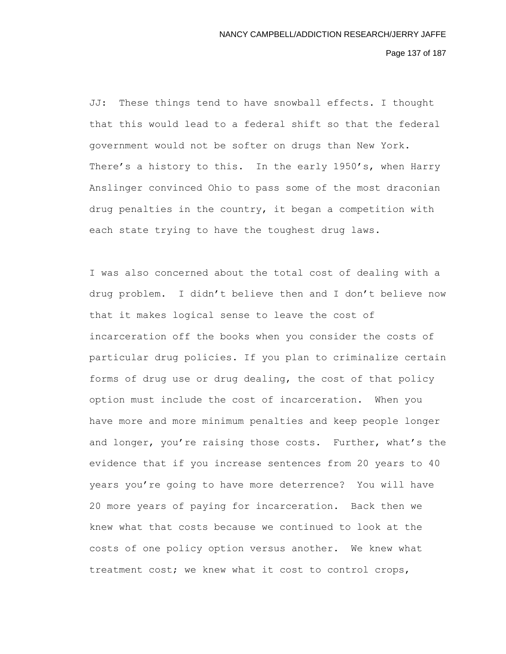Page 137 of 187

JJ: These things tend to have snowball effects. I thought that this would lead to a federal shift so that the federal government would not be softer on drugs than New York. There's a history to this. In the early 1950's, when Harry Anslinger convinced Ohio to pass some of the most draconian drug penalties in the country, it began a competition with each state trying to have the toughest drug laws.

I was also concerned about the total cost of dealing with a drug problem. I didn't believe then and I don't believe now that it makes logical sense to leave the cost of incarceration off the books when you consider the costs of particular drug policies. If you plan to criminalize certain forms of drug use or drug dealing, the cost of that policy option must include the cost of incarceration. When you have more and more minimum penalties and keep people longer and longer, you're raising those costs. Further, what's the evidence that if you increase sentences from 20 years to 40 years you're going to have more deterrence? You will have 20 more years of paying for incarceration. Back then we knew what that costs because we continued to look at the costs of one policy option versus another. We knew what treatment cost; we knew what it cost to control crops,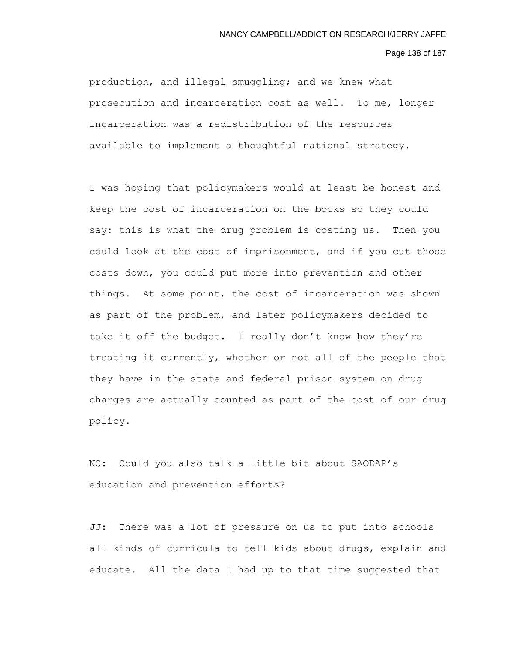### Page 138 of 187

production, and illegal smuggling; and we knew what prosecution and incarceration cost as well. To me, longer incarceration was a redistribution of the resources available to implement a thoughtful national strategy.

I was hoping that policymakers would at least be honest and keep the cost of incarceration on the books so they could say: this is what the drug problem is costing us. Then you could look at the cost of imprisonment, and if you cut those costs down, you could put more into prevention and other things. At some point, the cost of incarceration was shown as part of the problem, and later policymakers decided to take it off the budget. I really don't know how they're treating it currently, whether or not all of the people that they have in the state and federal prison system on drug charges are actually counted as part of the cost of our drug policy.

NC: Could you also talk a little bit about SAODAP's education and prevention efforts?

JJ: There was a lot of pressure on us to put into schools all kinds of curricula to tell kids about drugs, explain and educate. All the data I had up to that time suggested that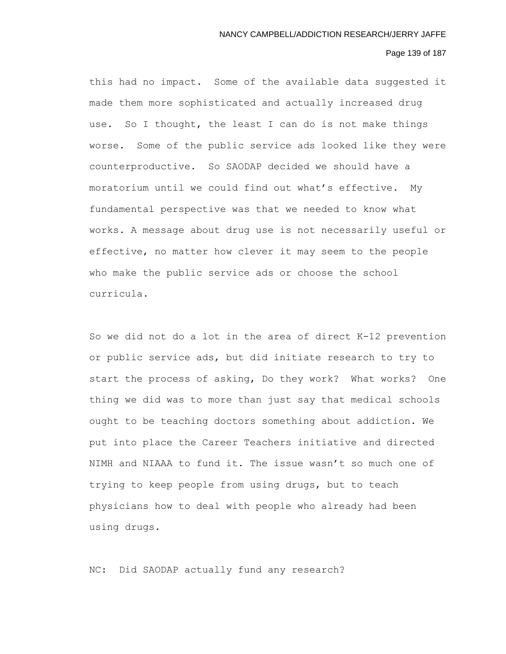# Page 139 of 187

this had no impact. Some of the available data suggested it made them more sophisticated and actually increased drug use. So I thought, the least I can do is not make things worse. Some of the public service ads looked like they were counterproductive. So SAODAP decided we should have a moratorium until we could find out what's effective. My fundamental perspective was that we needed to know what works. A message about drug use is not necessarily useful or effective, no matter how clever it may seem to the people who make the public service ads or choose the school curricula.

So we did not do a lot in the area of direct K-12 prevention or public service ads, but did initiate research to try to start the process of asking, Do they work? What works? One thing we did was to more than just say that medical schools ought to be teaching doctors something about addiction. We put into place the Career Teachers initiative and directed NIMH and NIAAA to fund it. The issue wasn't so much one of trying to keep people from using drugs, but to teach physicians how to deal with people who already had been using drugs.

NC: Did SAODAP actually fund any research?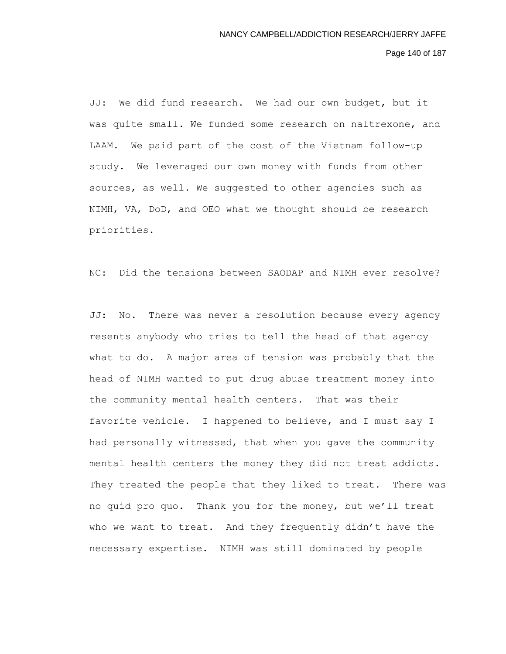Page 140 of 187

JJ: We did fund research. We had our own budget, but it was quite small. We funded some research on naltrexone, and LAAM. We paid part of the cost of the Vietnam follow-up study. We leveraged our own money with funds from other sources, as well. We suggested to other agencies such as NIMH, VA, DoD, and OEO what we thought should be research priorities.

NC: Did the tensions between SAODAP and NIMH ever resolve?

JJ: No. There was never a resolution because every agency resents anybody who tries to tell the head of that agency what to do. A major area of tension was probably that the head of NIMH wanted to put drug abuse treatment money into the community mental health centers. That was their favorite vehicle. I happened to believe, and I must say I had personally witnessed, that when you gave the community mental health centers the money they did not treat addicts. They treated the people that they liked to treat. There was no quid pro quo. Thank you for the money, but we'll treat who we want to treat. And they frequently didn't have the necessary expertise. NIMH was still dominated by people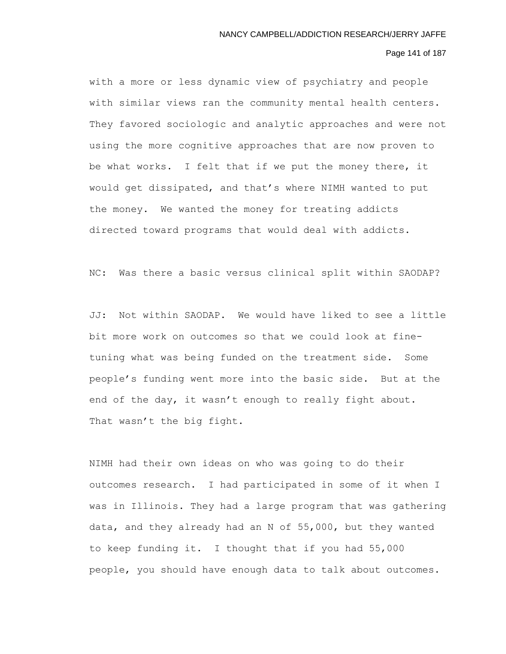# Page 141 of 187

with a more or less dynamic view of psychiatry and people with similar views ran the community mental health centers. They favored sociologic and analytic approaches and were not using the more cognitive approaches that are now proven to be what works. I felt that if we put the money there, it would get dissipated, and that's where NIMH wanted to put the money. We wanted the money for treating addicts directed toward programs that would deal with addicts.

NC: Was there a basic versus clinical split within SAODAP?

JJ: Not within SAODAP. We would have liked to see a little bit more work on outcomes so that we could look at finetuning what was being funded on the treatment side. Some people's funding went more into the basic side. But at the end of the day, it wasn't enough to really fight about. That wasn't the big fight.

NIMH had their own ideas on who was going to do their outcomes research. I had participated in some of it when I was in Illinois. They had a large program that was gathering data, and they already had an N of 55,000, but they wanted to keep funding it. I thought that if you had 55,000 people, you should have enough data to talk about outcomes.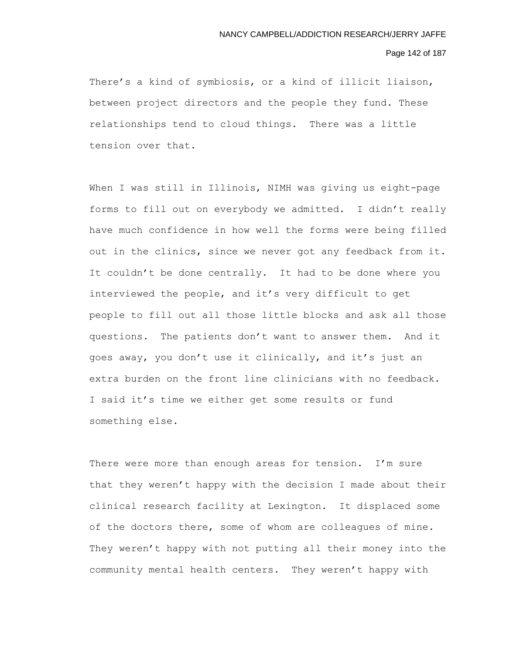## Page 142 of 187

There's a kind of symbiosis, or a kind of illicit liaison, between project directors and the people they fund. These relationships tend to cloud things. There was a little tension over that.

When I was still in Illinois, NIMH was giving us eight-page forms to fill out on everybody we admitted. I didn't really have much confidence in how well the forms were being filled out in the clinics, since we never got any feedback from it. It couldn't be done centrally. It had to be done where you interviewed the people, and it's very difficult to get people to fill out all those little blocks and ask all those questions. The patients don't want to answer them. And it goes away, you don't use it clinically, and it's just an extra burden on the front line clinicians with no feedback. I said it's time we either get some results or fund something else.

There were more than enough areas for tension. I'm sure that they weren't happy with the decision I made about their clinical research facility at Lexington. It displaced some of the doctors there, some of whom are colleagues of mine. They weren't happy with not putting all their money into the community mental health centers. They weren't happy with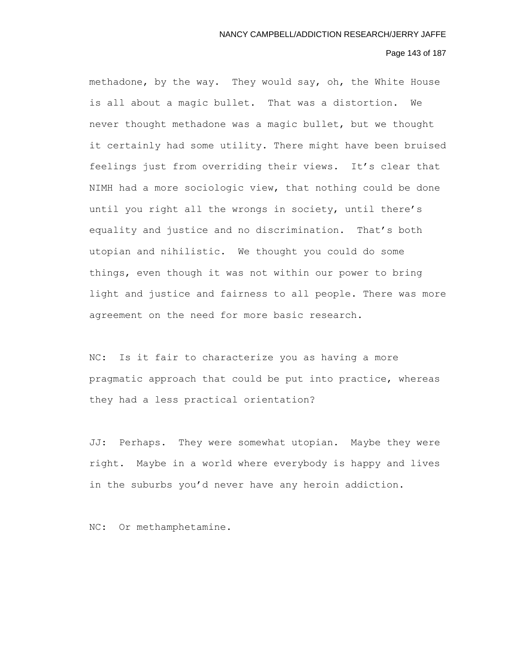### Page 143 of 187

methadone, by the way. They would say, oh, the White House is all about a magic bullet. That was a distortion. We never thought methadone was a magic bullet, but we thought it certainly had some utility. There might have been bruised feelings just from overriding their views. It's clear that NIMH had a more sociologic view, that nothing could be done until you right all the wrongs in society, until there's equality and justice and no discrimination. That's both utopian and nihilistic. We thought you could do some things, even though it was not within our power to bring light and justice and fairness to all people. There was more agreement on the need for more basic research.

NC: Is it fair to characterize you as having a more pragmatic approach that could be put into practice, whereas they had a less practical orientation?

JJ: Perhaps. They were somewhat utopian. Maybe they were right. Maybe in a world where everybody is happy and lives in the suburbs you'd never have any heroin addiction.

NC: Or methamphetamine.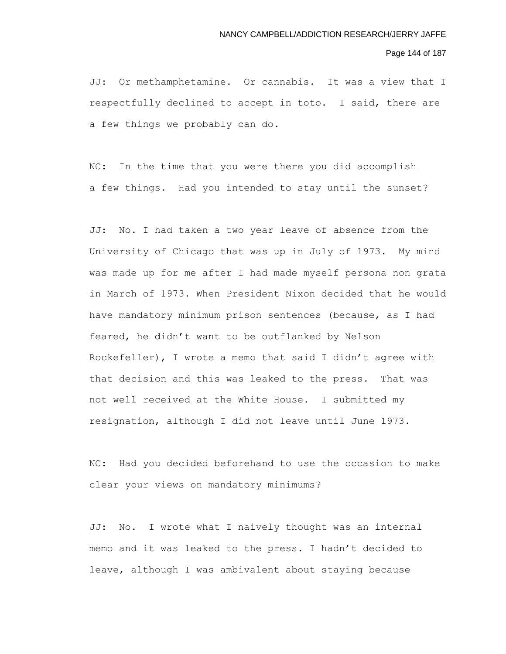#### Page 144 of 187

JJ: Or methamphetamine. Or cannabis. It was a view that I respectfully declined to accept in toto. I said, there are a few things we probably can do.

NC: In the time that you were there you did accomplish a few things. Had you intended to stay until the sunset?

JJ: No. I had taken a two year leave of absence from the University of Chicago that was up in July of 1973. My mind was made up for me after I had made myself persona non grata in March of 1973. When President Nixon decided that he would have mandatory minimum prison sentences (because, as I had feared, he didn't want to be outflanked by Nelson Rockefeller), I wrote a memo that said I didn't agree with that decision and this was leaked to the press. That was not well received at the White House. I submitted my resignation, although I did not leave until June 1973.

NC: Had you decided beforehand to use the occasion to make clear your views on mandatory minimums?

JJ: No. I wrote what I naively thought was an internal memo and it was leaked to the press. I hadn't decided to leave, although I was ambivalent about staying because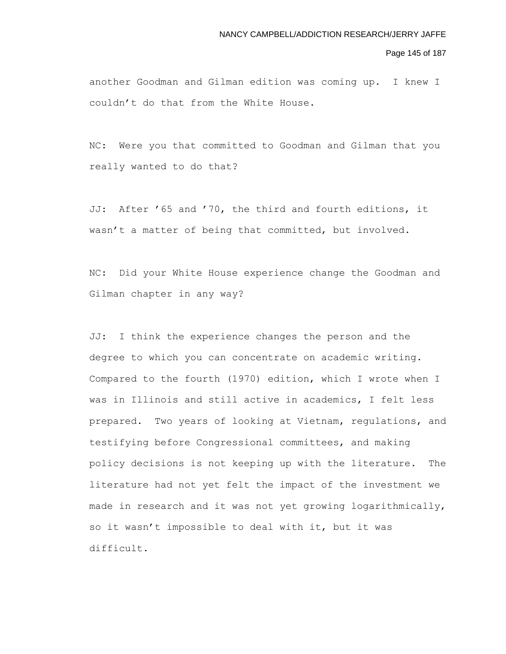### Page 145 of 187

another Goodman and Gilman edition was coming up. I knew I couldn't do that from the White House.

NC: Were you that committed to Goodman and Gilman that you really wanted to do that?

JJ: After '65 and '70, the third and fourth editions, it wasn't a matter of being that committed, but involved.

NC: Did your White House experience change the Goodman and Gilman chapter in any way?

JJ: I think the experience changes the person and the degree to which you can concentrate on academic writing. Compared to the fourth (1970) edition, which I wrote when I was in Illinois and still active in academics, I felt less prepared. Two years of looking at Vietnam, regulations, and testifying before Congressional committees, and making policy decisions is not keeping up with the literature. The literature had not yet felt the impact of the investment we made in research and it was not yet growing logarithmically, so it wasn't impossible to deal with it, but it was difficult.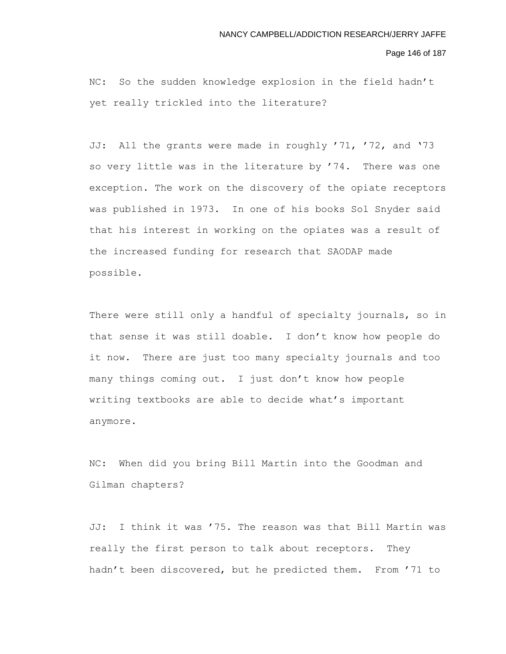Page 146 of 187

NC: So the sudden knowledge explosion in the field hadn't yet really trickled into the literature?

JJ: All the grants were made in roughly '71, '72, and '73 so very little was in the literature by '74. There was one exception. The work on the discovery of the opiate receptors was published in 1973. In one of his books Sol Snyder said that his interest in working on the opiates was a result of the increased funding for research that SAODAP made possible.

There were still only a handful of specialty journals, so in that sense it was still doable. I don't know how people do it now. There are just too many specialty journals and too many things coming out. I just don't know how people writing textbooks are able to decide what's important anymore.

NC: When did you bring Bill Martin into the Goodman and Gilman chapters?

JJ: I think it was '75. The reason was that Bill Martin was really the first person to talk about receptors. They hadn't been discovered, but he predicted them. From '71 to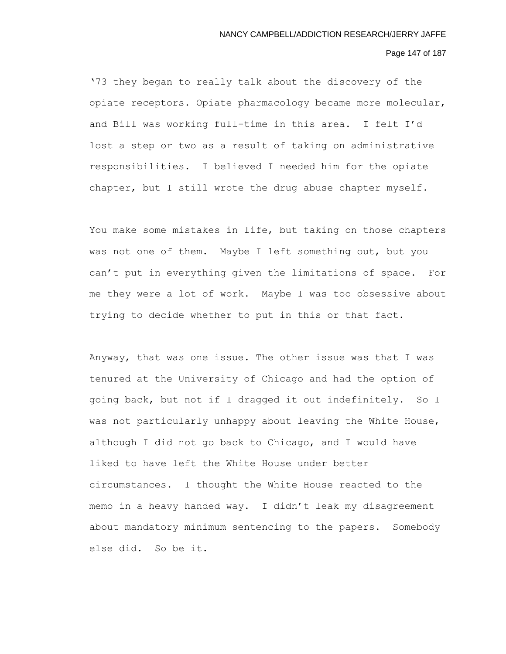# Page 147 of 187

'73 they began to really talk about the discovery of the opiate receptors. Opiate pharmacology became more molecular, and Bill was working full-time in this area. I felt I'd lost a step or two as a result of taking on administrative responsibilities. I believed I needed him for the opiate chapter, but I still wrote the drug abuse chapter myself.

You make some mistakes in life, but taking on those chapters was not one of them. Maybe I left something out, but you can't put in everything given the limitations of space. For me they were a lot of work. Maybe I was too obsessive about trying to decide whether to put in this or that fact.

Anyway, that was one issue. The other issue was that I was tenured at the University of Chicago and had the option of going back, but not if I dragged it out indefinitely. So I was not particularly unhappy about leaving the White House, although I did not go back to Chicago, and I would have liked to have left the White House under better circumstances. I thought the White House reacted to the memo in a heavy handed way. I didn't leak my disagreement about mandatory minimum sentencing to the papers. Somebody else did. So be it.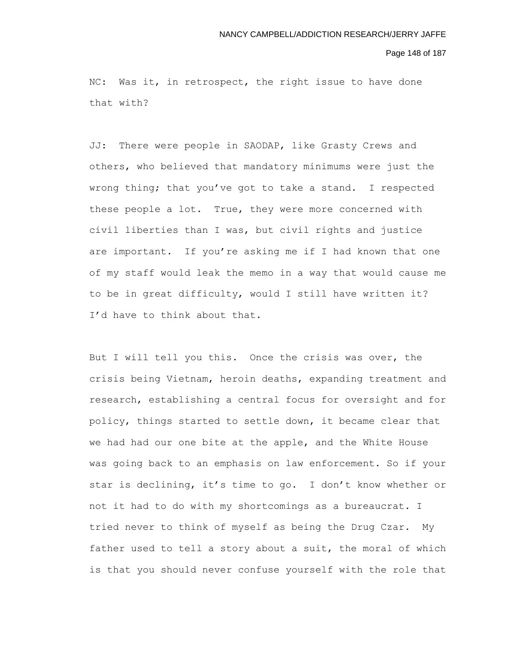#### Page 148 of 187

NC: Was it, in retrospect, the right issue to have done that with?

JJ: There were people in SAODAP, like Grasty Crews and others, who believed that mandatory minimums were just the wrong thing; that you've got to take a stand. I respected these people a lot. True, they were more concerned with civil liberties than I was, but civil rights and justice are important. If you're asking me if I had known that one of my staff would leak the memo in a way that would cause me to be in great difficulty, would I still have written it? I'd have to think about that.

But I will tell you this. Once the crisis was over, the crisis being Vietnam, heroin deaths, expanding treatment and research, establishing a central focus for oversight and for policy, things started to settle down, it became clear that we had had our one bite at the apple, and the White House was going back to an emphasis on law enforcement. So if your star is declining, it's time to go. I don't know whether or not it had to do with my shortcomings as a bureaucrat. I tried never to think of myself as being the Drug Czar. My father used to tell a story about a suit, the moral of which is that you should never confuse yourself with the role that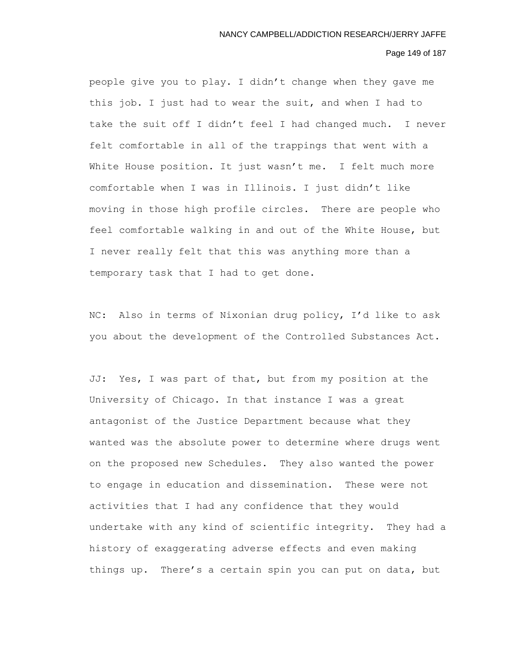# Page 149 of 187

people give you to play. I didn't change when they gave me this job. I just had to wear the suit, and when I had to take the suit off I didn't feel I had changed much. I never felt comfortable in all of the trappings that went with a White House position. It just wasn't me. I felt much more comfortable when I was in Illinois. I just didn't like moving in those high profile circles. There are people who feel comfortable walking in and out of the White House, but I never really felt that this was anything more than a temporary task that I had to get done.

NC: Also in terms of Nixonian drug policy, I'd like to ask you about the development of the Controlled Substances Act.

JJ: Yes, I was part of that, but from my position at the University of Chicago. In that instance I was a great antagonist of the Justice Department because what they wanted was the absolute power to determine where drugs went on the proposed new Schedules. They also wanted the power to engage in education and dissemination. These were not activities that I had any confidence that they would undertake with any kind of scientific integrity. They had a history of exaggerating adverse effects and even making things up. There's a certain spin you can put on data, but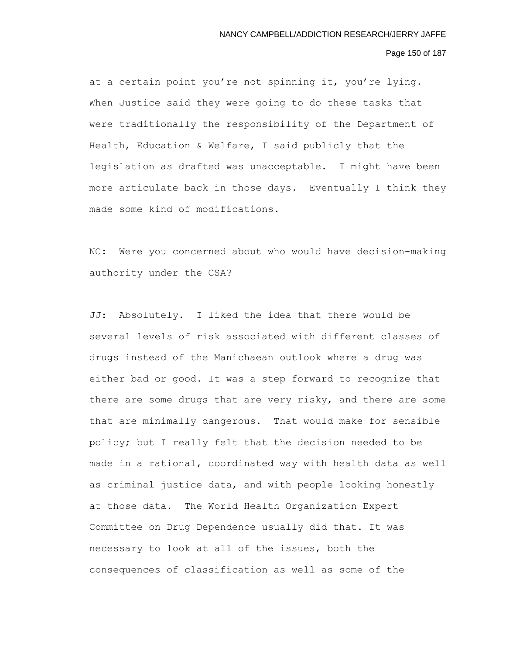# Page 150 of 187

at a certain point you're not spinning it, you're lying. When Justice said they were going to do these tasks that were traditionally the responsibility of the Department of Health, Education & Welfare, I said publicly that the legislation as drafted was unacceptable. I might have been more articulate back in those days. Eventually I think they made some kind of modifications.

NC: Were you concerned about who would have decision-making authority under the CSA?

JJ: Absolutely. I liked the idea that there would be several levels of risk associated with different classes of drugs instead of the Manichaean outlook where a drug was either bad or good. It was a step forward to recognize that there are some drugs that are very risky, and there are some that are minimally dangerous. That would make for sensible policy; but I really felt that the decision needed to be made in a rational, coordinated way with health data as well as criminal justice data, and with people looking honestly at those data. The World Health Organization Expert Committee on Drug Dependence usually did that. It was necessary to look at all of the issues, both the consequences of classification as well as some of the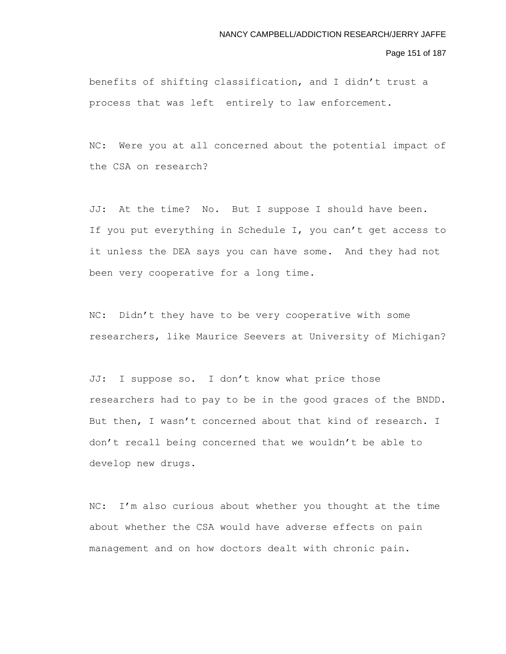Page 151 of 187

benefits of shifting classification, and I didn't trust a process that was left entirely to law enforcement.

NC: Were you at all concerned about the potential impact of the CSA on research?

JJ: At the time? No. But I suppose I should have been. If you put everything in Schedule I, you can't get access to it unless the DEA says you can have some. And they had not been very cooperative for a long time.

NC: Didn't they have to be very cooperative with some researchers, like Maurice Seevers at University of Michigan?

JJ: I suppose so. I don't know what price those researchers had to pay to be in the good graces of the BNDD. But then, I wasn't concerned about that kind of research. I don't recall being concerned that we wouldn't be able to develop new drugs.

NC: I'm also curious about whether you thought at the time about whether the CSA would have adverse effects on pain management and on how doctors dealt with chronic pain.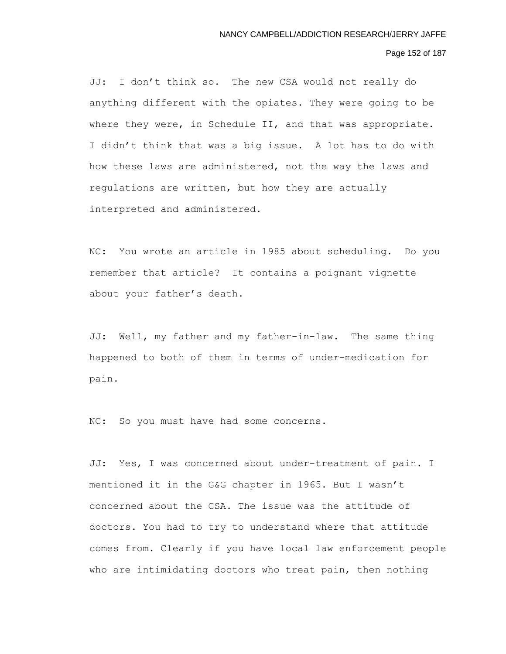# Page 152 of 187

JJ: I don't think so. The new CSA would not really do anything different with the opiates. They were going to be where they were, in Schedule II, and that was appropriate. I didn't think that was a big issue. A lot has to do with how these laws are administered, not the way the laws and regulations are written, but how they are actually interpreted and administered.

NC: You wrote an article in 1985 about scheduling. Do you remember that article? It contains a poignant vignette about your father's death.

JJ: Well, my father and my father-in-law. The same thing happened to both of them in terms of under-medication for pain.

NC: So you must have had some concerns.

JJ: Yes, I was concerned about under-treatment of pain. I mentioned it in the G&G chapter in 1965. But I wasn't concerned about the CSA. The issue was the attitude of doctors. You had to try to understand where that attitude comes from. Clearly if you have local law enforcement people who are intimidating doctors who treat pain, then nothing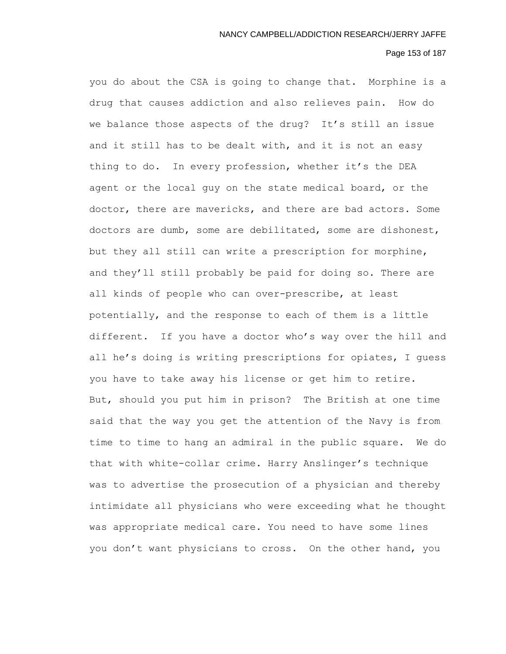### Page 153 of 187

you do about the CSA is going to change that. Morphine is a drug that causes addiction and also relieves pain. How do we balance those aspects of the drug? It's still an issue and it still has to be dealt with, and it is not an easy thing to do. In every profession, whether it's the DEA agent or the local guy on the state medical board, or the doctor, there are mavericks, and there are bad actors. Some doctors are dumb, some are debilitated, some are dishonest, but they all still can write a prescription for morphine, and they'll still probably be paid for doing so. There are all kinds of people who can over-prescribe, at least potentially, and the response to each of them is a little different. If you have a doctor who's way over the hill and all he's doing is writing prescriptions for opiates, I guess you have to take away his license or get him to retire. But, should you put him in prison? The British at one time said that the way you get the attention of the Navy is from time to time to hang an admiral in the public square. We do that with white-collar crime. Harry Anslinger's technique was to advertise the prosecution of a physician and thereby intimidate all physicians who were exceeding what he thought was appropriate medical care. You need to have some lines you don't want physicians to cross. On the other hand, you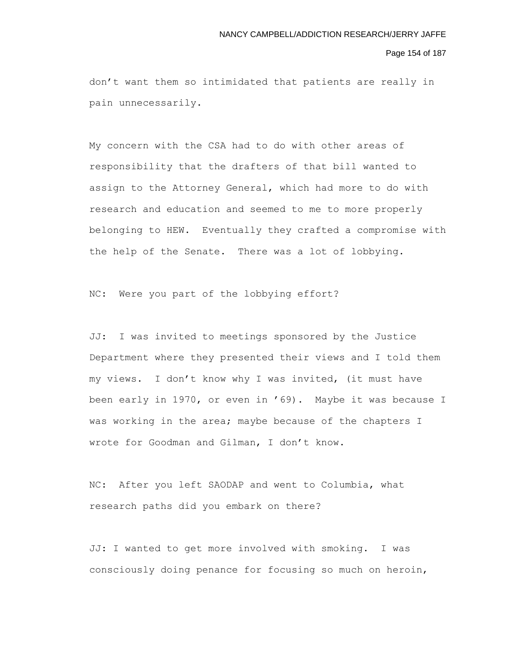### Page 154 of 187

don't want them so intimidated that patients are really in pain unnecessarily.

My concern with the CSA had to do with other areas of responsibility that the drafters of that bill wanted to assign to the Attorney General, which had more to do with research and education and seemed to me to more properly belonging to HEW. Eventually they crafted a compromise with the help of the Senate. There was a lot of lobbying.

NC: Were you part of the lobbying effort?

JJ: I was invited to meetings sponsored by the Justice Department where they presented their views and I told them my views. I don't know why I was invited, (it must have been early in 1970, or even in '69). Maybe it was because I was working in the area; maybe because of the chapters I wrote for Goodman and Gilman, I don't know.

NC: After you left SAODAP and went to Columbia, what research paths did you embark on there?

JJ: I wanted to get more involved with smoking. I was consciously doing penance for focusing so much on heroin,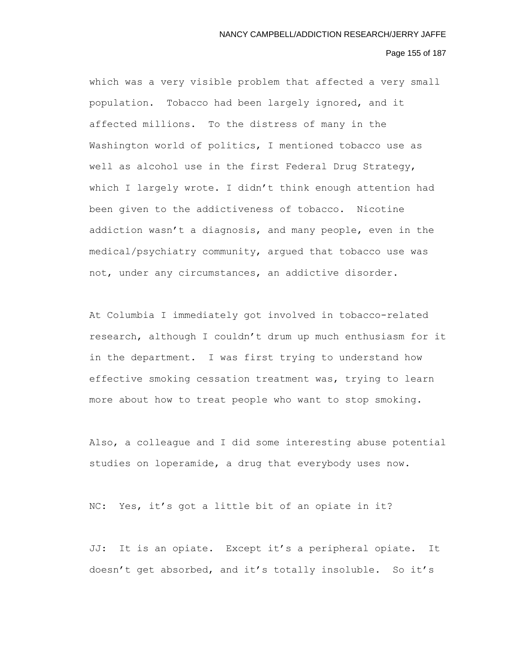# Page 155 of 187

which was a very visible problem that affected a very small population. Tobacco had been largely ignored, and it affected millions. To the distress of many in the Washington world of politics, I mentioned tobacco use as well as alcohol use in the first Federal Drug Strategy, which I largely wrote. I didn't think enough attention had been given to the addictiveness of tobacco. Nicotine addiction wasn't a diagnosis, and many people, even in the medical/psychiatry community, argued that tobacco use was not, under any circumstances, an addictive disorder.

At Columbia I immediately got involved in tobacco-related research, although I couldn't drum up much enthusiasm for it in the department. I was first trying to understand how effective smoking cessation treatment was, trying to learn more about how to treat people who want to stop smoking.

Also, a colleague and I did some interesting abuse potential studies on loperamide, a drug that everybody uses now.

NC: Yes, it's got a little bit of an opiate in it?

JJ: It is an opiate. Except it's a peripheral opiate. It doesn't get absorbed, and it's totally insoluble. So it's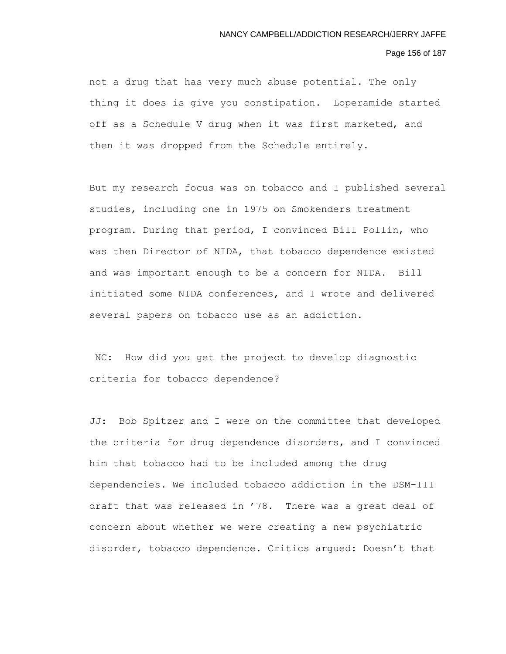#### Page 156 of 187

not a drug that has very much abuse potential. The only thing it does is give you constipation. Loperamide started off as a Schedule V drug when it was first marketed, and then it was dropped from the Schedule entirely.

But my research focus was on tobacco and I published several studies, including one in 1975 on Smokenders treatment program. During that period, I convinced Bill Pollin, who was then Director of NIDA, that tobacco dependence existed and was important enough to be a concern for NIDA. Bill initiated some NIDA conferences, and I wrote and delivered several papers on tobacco use as an addiction.

NC: How did you get the project to develop diagnostic criteria for tobacco dependence?

JJ: Bob Spitzer and I were on the committee that developed the criteria for drug dependence disorders, and I convinced him that tobacco had to be included among the drug dependencies. We included tobacco addiction in the DSM-III draft that was released in '78. There was a great deal of concern about whether we were creating a new psychiatric disorder, tobacco dependence. Critics argued: Doesn't that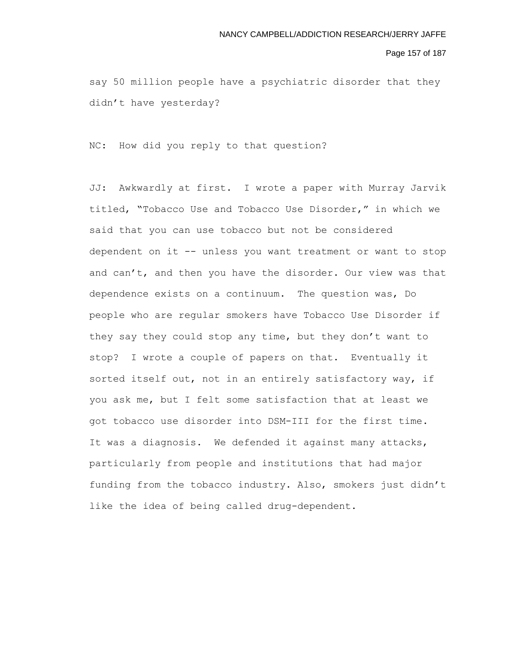### Page 157 of 187

say 50 million people have a psychiatric disorder that they didn't have yesterday?

NC: How did you reply to that question?

JJ: Awkwardly at first. I wrote a paper with Murray Jarvik titled, "Tobacco Use and Tobacco Use Disorder," in which we said that you can use tobacco but not be considered dependent on it -- unless you want treatment or want to stop and can't, and then you have the disorder. Our view was that dependence exists on a continuum. The question was, Do people who are regular smokers have Tobacco Use Disorder if they say they could stop any time, but they don't want to stop? I wrote a couple of papers on that. Eventually it sorted itself out, not in an entirely satisfactory way, if you ask me, but I felt some satisfaction that at least we got tobacco use disorder into DSM-III for the first time. It was a diagnosis. We defended it against many attacks, particularly from people and institutions that had major funding from the tobacco industry. Also, smokers just didn't like the idea of being called drug-dependent.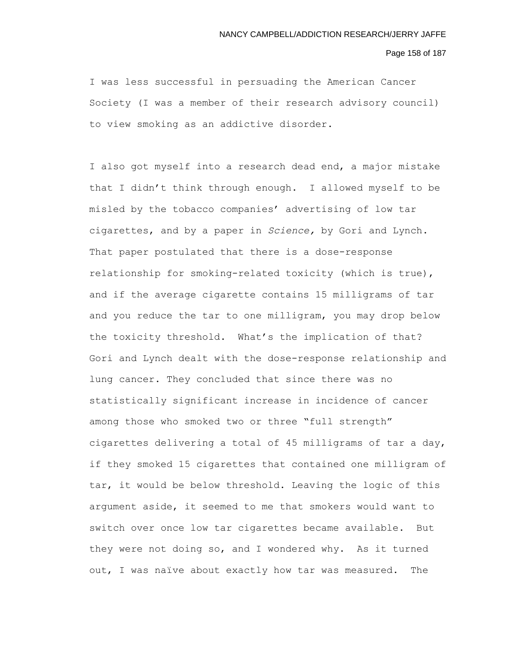# Page 158 of 187

I was less successful in persuading the American Cancer Society (I was a member of their research advisory council) to view smoking as an addictive disorder.

I also got myself into a research dead end, a major mistake that I didn't think through enough. I allowed myself to be misled by the tobacco companies' advertising of low tar cigarettes, and by a paper in *Science,* by Gori and Lynch. That paper postulated that there is a dose-response relationship for smoking-related toxicity (which is true), and if the average cigarette contains 15 milligrams of tar and you reduce the tar to one milligram, you may drop below the toxicity threshold. What's the implication of that? Gori and Lynch dealt with the dose-response relationship and lung cancer. They concluded that since there was no statistically significant increase in incidence of cancer among those who smoked two or three "full strength" cigarettes delivering a total of 45 milligrams of tar a day, if they smoked 15 cigarettes that contained one milligram of tar, it would be below threshold. Leaving the logic of this argument aside, it seemed to me that smokers would want to switch over once low tar cigarettes became available. But they were not doing so, and I wondered why. As it turned out, I was naïve about exactly how tar was measured. The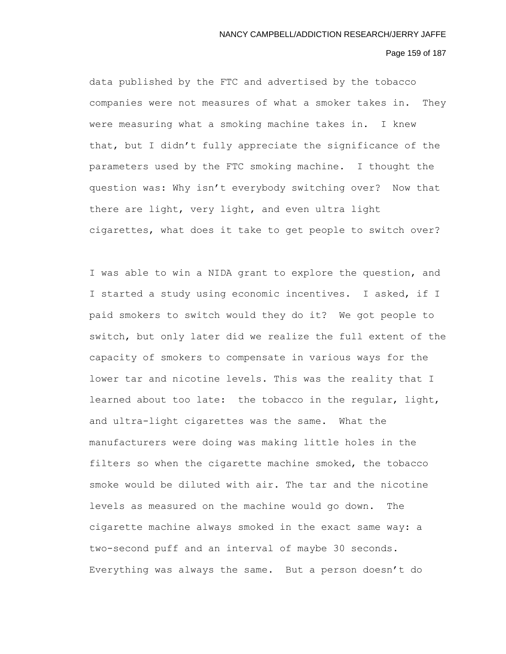### Page 159 of 187

data published by the FTC and advertised by the tobacco companies were not measures of what a smoker takes in. They were measuring what a smoking machine takes in. I knew that, but I didn't fully appreciate the significance of the parameters used by the FTC smoking machine. I thought the question was: Why isn't everybody switching over? Now that there are light, very light, and even ultra light cigarettes, what does it take to get people to switch over?

I was able to win a NIDA grant to explore the question, and I started a study using economic incentives. I asked, if I paid smokers to switch would they do it? We got people to switch, but only later did we realize the full extent of the capacity of smokers to compensate in various ways for the lower tar and nicotine levels. This was the reality that I learned about too late: the tobacco in the regular, light, and ultra-light cigarettes was the same. What the manufacturers were doing was making little holes in the filters so when the cigarette machine smoked, the tobacco smoke would be diluted with air. The tar and the nicotine levels as measured on the machine would go down. The cigarette machine always smoked in the exact same way: a two-second puff and an interval of maybe 30 seconds. Everything was always the same. But a person doesn't do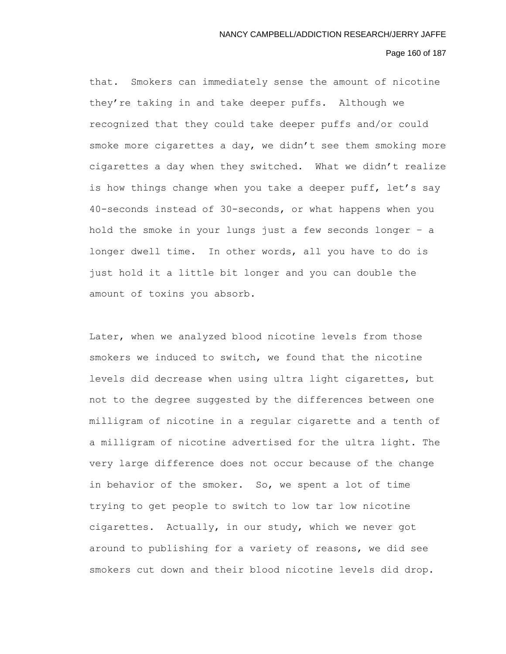# Page 160 of 187

that. Smokers can immediately sense the amount of nicotine they're taking in and take deeper puffs. Although we recognized that they could take deeper puffs and/or could smoke more cigarettes a day, we didn't see them smoking more cigarettes a day when they switched. What we didn't realize is how things change when you take a deeper puff, let's say 40-seconds instead of 30-seconds, or what happens when you hold the smoke in your lungs just a few seconds longer – a longer dwell time. In other words, all you have to do is just hold it a little bit longer and you can double the amount of toxins you absorb.

Later, when we analyzed blood nicotine levels from those smokers we induced to switch, we found that the nicotine levels did decrease when using ultra light cigarettes, but not to the degree suggested by the differences between one milligram of nicotine in a regular cigarette and a tenth of a milligram of nicotine advertised for the ultra light. The very large difference does not occur because of the change in behavior of the smoker. So, we spent a lot of time trying to get people to switch to low tar low nicotine cigarettes. Actually, in our study, which we never got around to publishing for a variety of reasons, we did see smokers cut down and their blood nicotine levels did drop.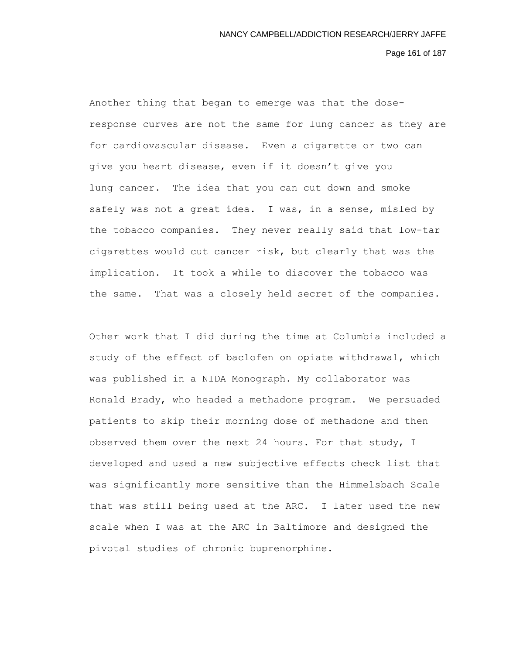Page 161 of 187

Another thing that began to emerge was that the doseresponse curves are not the same for lung cancer as they are for cardiovascular disease. Even a cigarette or two can give you heart disease, even if it doesn't give you lung cancer. The idea that you can cut down and smoke safely was not a great idea. I was, in a sense, misled by the tobacco companies. They never really said that low-tar cigarettes would cut cancer risk, but clearly that was the implication. It took a while to discover the tobacco was the same. That was a closely held secret of the companies.

Other work that I did during the time at Columbia included a study of the effect of baclofen on opiate withdrawal, which was published in a NIDA Monograph. My collaborator was Ronald Brady, who headed a methadone program. We persuaded patients to skip their morning dose of methadone and then observed them over the next 24 hours. For that study, I developed and used a new subjective effects check list that was significantly more sensitive than the Himmelsbach Scale that was still being used at the ARC. I later used the new scale when I was at the ARC in Baltimore and designed the pivotal studies of chronic buprenorphine.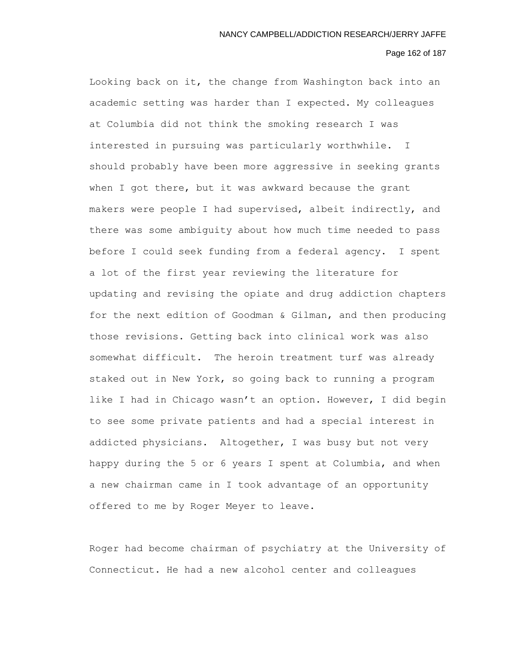# Page 162 of 187

Looking back on it, the change from Washington back into an academic setting was harder than I expected. My colleagues at Columbia did not think the smoking research I was interested in pursuing was particularly worthwhile. I should probably have been more aggressive in seeking grants when I got there, but it was awkward because the grant makers were people I had supervised, albeit indirectly, and there was some ambiguity about how much time needed to pass before I could seek funding from a federal agency. I spent a lot of the first year reviewing the literature for updating and revising the opiate and drug addiction chapters for the next edition of Goodman & Gilman, and then producing those revisions. Getting back into clinical work was also somewhat difficult. The heroin treatment turf was already staked out in New York, so going back to running a program like I had in Chicago wasn't an option. However, I did begin to see some private patients and had a special interest in addicted physicians. Altogether, I was busy but not very happy during the 5 or 6 years I spent at Columbia, and when a new chairman came in I took advantage of an opportunity offered to me by Roger Meyer to leave.

Roger had become chairman of psychiatry at the University of Connecticut. He had a new alcohol center and colleagues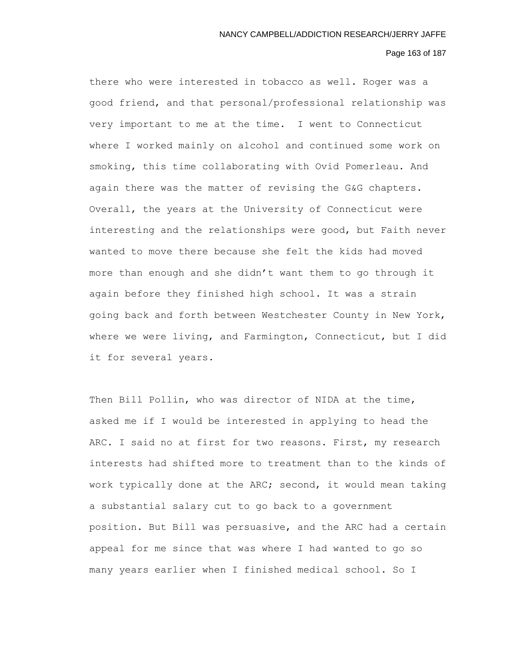# Page 163 of 187

there who were interested in tobacco as well. Roger was a good friend, and that personal/professional relationship was very important to me at the time. I went to Connecticut where I worked mainly on alcohol and continued some work on smoking, this time collaborating with Ovid Pomerleau. And again there was the matter of revising the G&G chapters. Overall, the years at the University of Connecticut were interesting and the relationships were good, but Faith never wanted to move there because she felt the kids had moved more than enough and she didn't want them to go through it again before they finished high school. It was a strain going back and forth between Westchester County in New York, where we were living, and Farmington, Connecticut, but I did it for several years.

Then Bill Pollin, who was director of NIDA at the time, asked me if I would be interested in applying to head the ARC. I said no at first for two reasons. First, my research interests had shifted more to treatment than to the kinds of work typically done at the ARC; second, it would mean taking a substantial salary cut to go back to a government position. But Bill was persuasive, and the ARC had a certain appeal for me since that was where I had wanted to go so many years earlier when I finished medical school. So I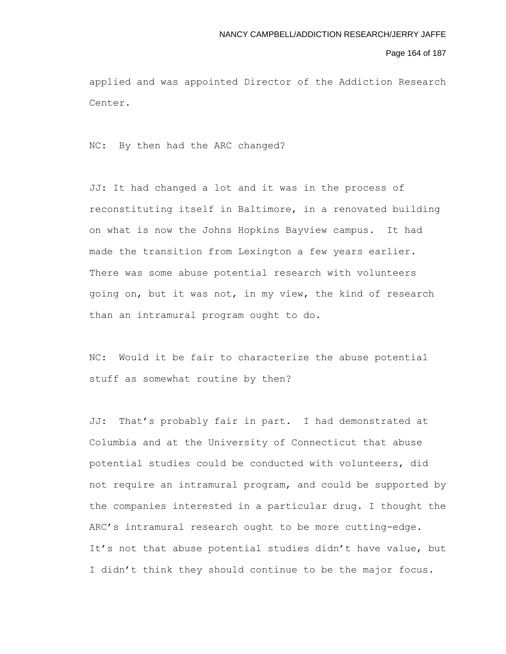#### Page 164 of 187

applied and was appointed Director of the Addiction Research Center.

NC: By then had the ARC changed?

JJ: It had changed a lot and it was in the process of reconstituting itself in Baltimore, in a renovated building on what is now the Johns Hopkins Bayview campus. It had made the transition from Lexington a few years earlier. There was some abuse potential research with volunteers going on, but it was not, in my view, the kind of research than an intramural program ought to do.

NC: Would it be fair to characterize the abuse potential stuff as somewhat routine by then?

JJ: That's probably fair in part. I had demonstrated at Columbia and at the University of Connecticut that abuse potential studies could be conducted with volunteers, did not require an intramural program, and could be supported by the companies interested in a particular drug. I thought the ARC's intramural research ought to be more cutting-edge. It's not that abuse potential studies didn't have value, but I didn't think they should continue to be the major focus.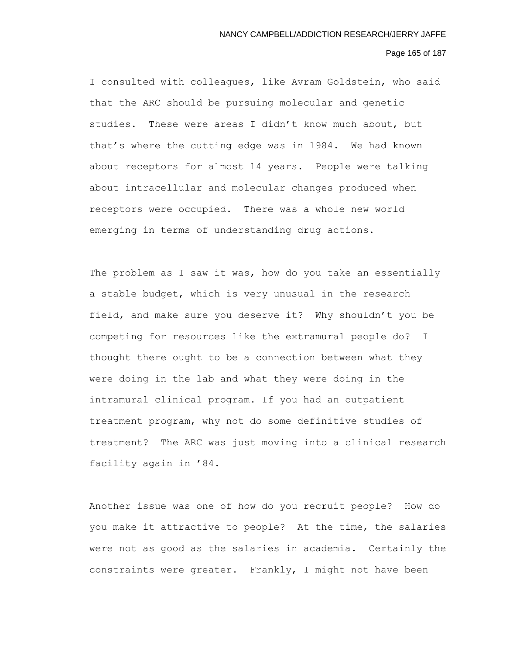# Page 165 of 187

I consulted with colleagues, like Avram Goldstein, who said that the ARC should be pursuing molecular and genetic studies. These were areas I didn't know much about, but that's where the cutting edge was in 1984. We had known about receptors for almost 14 years. People were talking about intracellular and molecular changes produced when receptors were occupied. There was a whole new world emerging in terms of understanding drug actions.

The problem as I saw it was, how do you take an essentially a stable budget, which is very unusual in the research field, and make sure you deserve it? Why shouldn't you be competing for resources like the extramural people do? I thought there ought to be a connection between what they were doing in the lab and what they were doing in the intramural clinical program. If you had an outpatient treatment program, why not do some definitive studies of treatment? The ARC was just moving into a clinical research facility again in '84.

Another issue was one of how do you recruit people? How do you make it attractive to people? At the time, the salaries were not as good as the salaries in academia. Certainly the constraints were greater. Frankly, I might not have been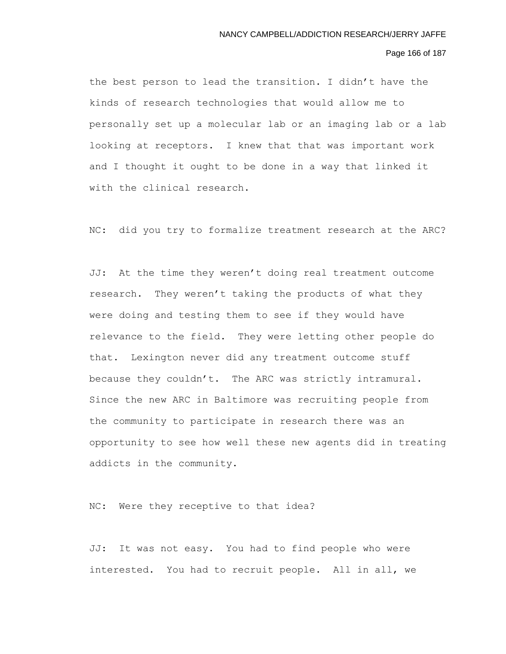### Page 166 of 187

the best person to lead the transition. I didn't have the kinds of research technologies that would allow me to personally set up a molecular lab or an imaging lab or a lab looking at receptors. I knew that that was important work and I thought it ought to be done in a way that linked it with the clinical research.

NC: did you try to formalize treatment research at the ARC?

JJ: At the time they weren't doing real treatment outcome research. They weren't taking the products of what they were doing and testing them to see if they would have relevance to the field. They were letting other people do that. Lexington never did any treatment outcome stuff because they couldn't. The ARC was strictly intramural. Since the new ARC in Baltimore was recruiting people from the community to participate in research there was an opportunity to see how well these new agents did in treating addicts in the community.

NC: Were they receptive to that idea?

JJ: It was not easy. You had to find people who were interested. You had to recruit people. All in all, we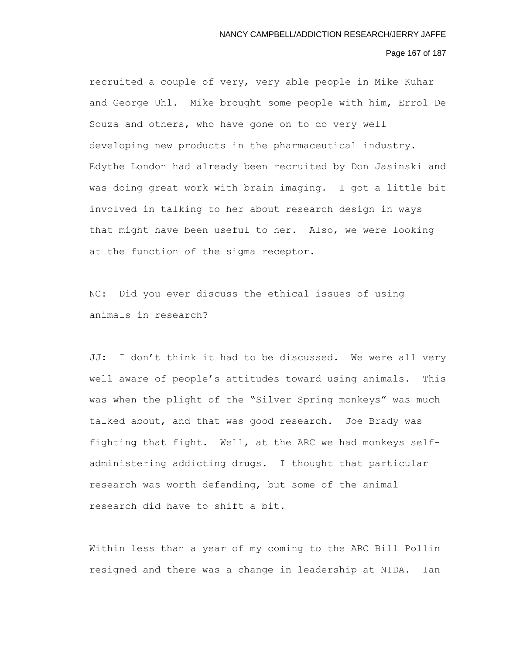# Page 167 of 187

recruited a couple of very, very able people in Mike Kuhar and George Uhl. Mike brought some people with him, Errol De Souza and others, who have gone on to do very well developing new products in the pharmaceutical industry. Edythe London had already been recruited by Don Jasinski and was doing great work with brain imaging. I got a little bit involved in talking to her about research design in ways that might have been useful to her. Also, we were looking at the function of the sigma receptor.

NC: Did you ever discuss the ethical issues of using animals in research?

JJ: I don't think it had to be discussed. We were all very well aware of people's attitudes toward using animals. This was when the plight of the "Silver Spring monkeys" was much talked about, and that was good research. Joe Brady was fighting that fight. Well, at the ARC we had monkeys selfadministering addicting drugs. I thought that particular research was worth defending, but some of the animal research did have to shift a bit.

Within less than a year of my coming to the ARC Bill Pollin resigned and there was a change in leadership at NIDA. Ian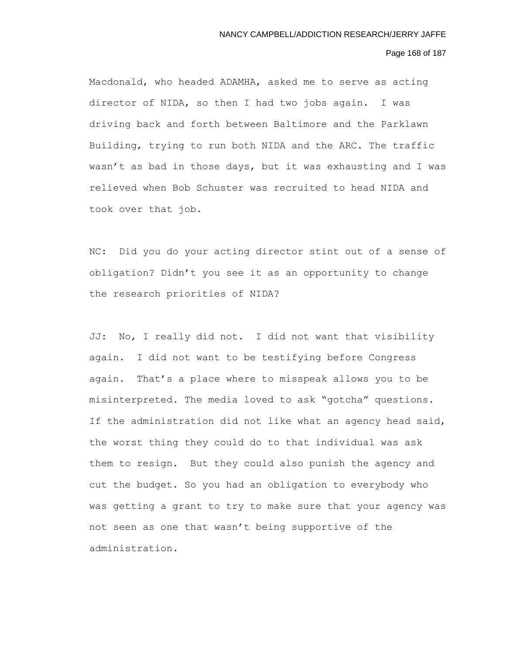### Page 168 of 187

Macdonald, who headed ADAMHA, asked me to serve as acting director of NIDA, so then I had two jobs again. I was driving back and forth between Baltimore and the Parklawn Building, trying to run both NIDA and the ARC. The traffic wasn't as bad in those days, but it was exhausting and I was relieved when Bob Schuster was recruited to head NIDA and took over that job.

NC: Did you do your acting director stint out of a sense of obligation? Didn't you see it as an opportunity to change the research priorities of NIDA?

JJ: No, I really did not. I did not want that visibility again. I did not want to be testifying before Congress again. That's a place where to misspeak allows you to be misinterpreted. The media loved to ask "gotcha" questions. If the administration did not like what an agency head said, the worst thing they could do to that individual was ask them to resign. But they could also punish the agency and cut the budget. So you had an obligation to everybody who was getting a grant to try to make sure that your agency was not seen as one that wasn't being supportive of the administration.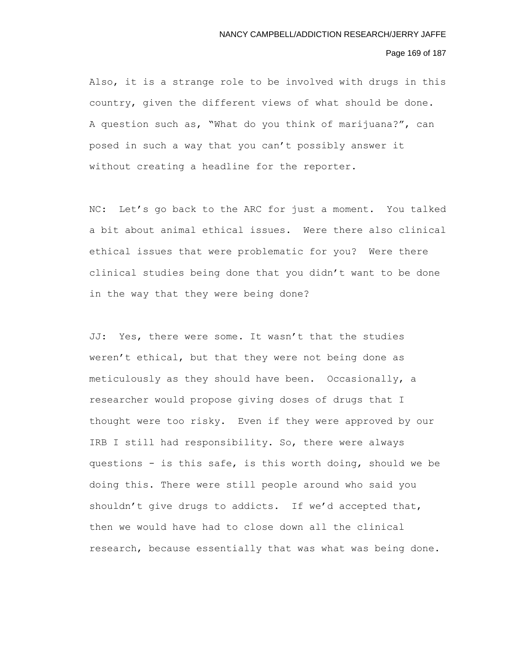# Page 169 of 187

Also, it is a strange role to be involved with drugs in this country, given the different views of what should be done. A question such as, "What do you think of marijuana?", can posed in such a way that you can't possibly answer it without creating a headline for the reporter.

NC: Let's go back to the ARC for just a moment. You talked a bit about animal ethical issues. Were there also clinical ethical issues that were problematic for you? Were there clinical studies being done that you didn't want to be done in the way that they were being done?

JJ: Yes, there were some. It wasn't that the studies weren't ethical, but that they were not being done as meticulously as they should have been. Occasionally, a researcher would propose giving doses of drugs that I thought were too risky. Even if they were approved by our IRB I still had responsibility. So, there were always questions - is this safe, is this worth doing, should we be doing this. There were still people around who said you shouldn't give drugs to addicts. If we'd accepted that, then we would have had to close down all the clinical research, because essentially that was what was being done.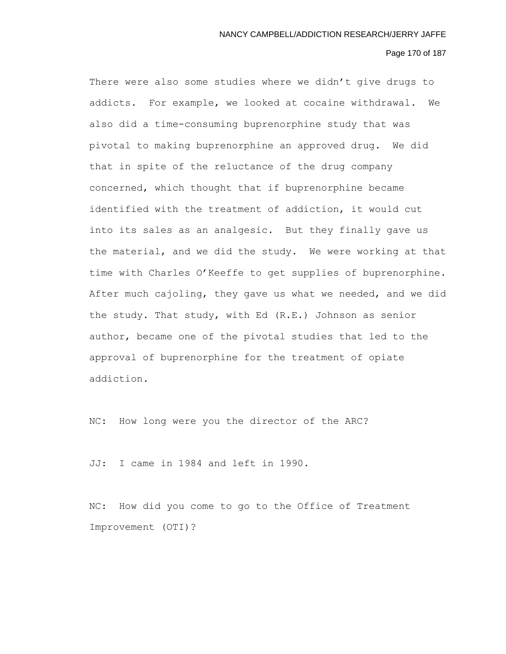# Page 170 of 187

There were also some studies where we didn't give drugs to addicts. For example, we looked at cocaine withdrawal. We also did a time-consuming buprenorphine study that was pivotal to making buprenorphine an approved drug. We did that in spite of the reluctance of the drug company concerned, which thought that if buprenorphine became identified with the treatment of addiction, it would cut into its sales as an analgesic. But they finally gave us the material, and we did the study. We were working at that time with Charles O'Keeffe to get supplies of buprenorphine. After much cajoling, they gave us what we needed, and we did the study. That study, with Ed (R.E.) Johnson as senior author, became one of the pivotal studies that led to the approval of buprenorphine for the treatment of opiate addiction.

NC: How long were you the director of the ARC?

JJ: I came in 1984 and left in 1990.

NC: How did you come to go to the Office of Treatment Improvement (OTI)?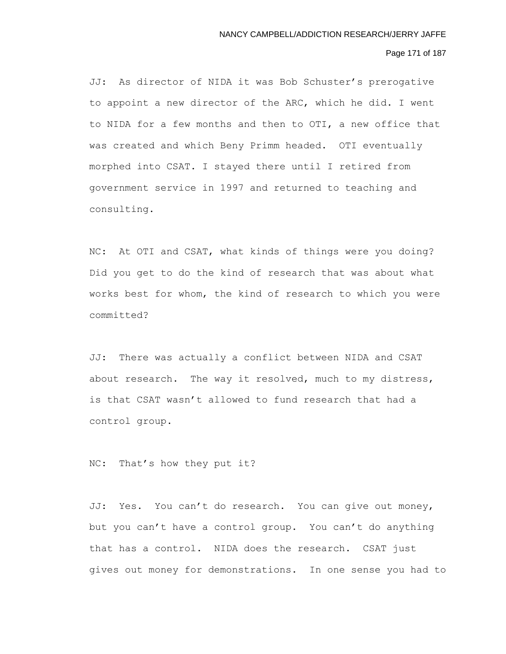# Page 171 of 187

JJ: As director of NIDA it was Bob Schuster's prerogative to appoint a new director of the ARC, which he did. I went to NIDA for a few months and then to OTI, a new office that was created and which Beny Primm headed. OTI eventually morphed into CSAT. I stayed there until I retired from government service in 1997 and returned to teaching and consulting.

NC: At OTI and CSAT, what kinds of things were you doing? Did you get to do the kind of research that was about what works best for whom, the kind of research to which you were committed?

JJ: There was actually a conflict between NIDA and CSAT about research. The way it resolved, much to my distress, is that CSAT wasn't allowed to fund research that had a control group.

NC: That's how they put it?

JJ: Yes. You can't do research. You can give out money, but you can't have a control group. You can't do anything that has a control. NIDA does the research. CSAT just gives out money for demonstrations. In one sense you had to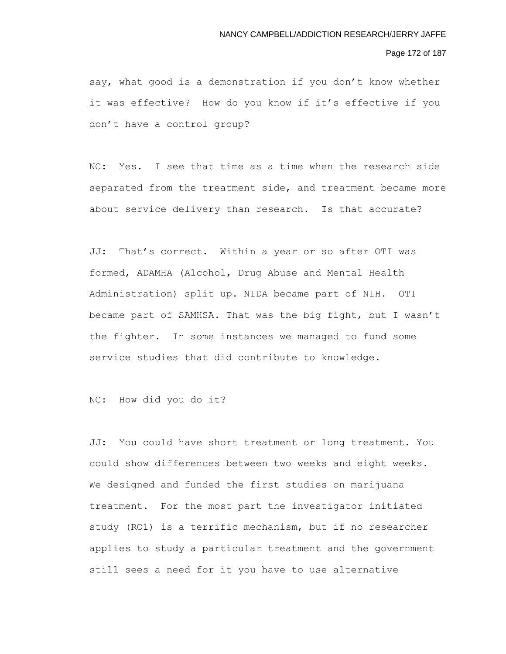## Page 172 of 187

say, what good is a demonstration if you don't know whether it was effective? How do you know if it's effective if you don't have a control group?

NC: Yes. I see that time as a time when the research side separated from the treatment side, and treatment became more about service delivery than research. Is that accurate?

JJ: That's correct. Within a year or so after OTI was formed, ADAMHA (Alcohol, Drug Abuse and Mental Health Administration) split up. NIDA became part of NIH. OTI became part of SAMHSA. That was the big fight, but I wasn't the fighter. In some instances we managed to fund some service studies that did contribute to knowledge.

NC: How did you do it?

JJ: You could have short treatment or long treatment. You could show differences between two weeks and eight weeks. We designed and funded the first studies on marijuana treatment. For the most part the investigator initiated study (RO1) is a terrific mechanism, but if no researcher applies to study a particular treatment and the government still sees a need for it you have to use alternative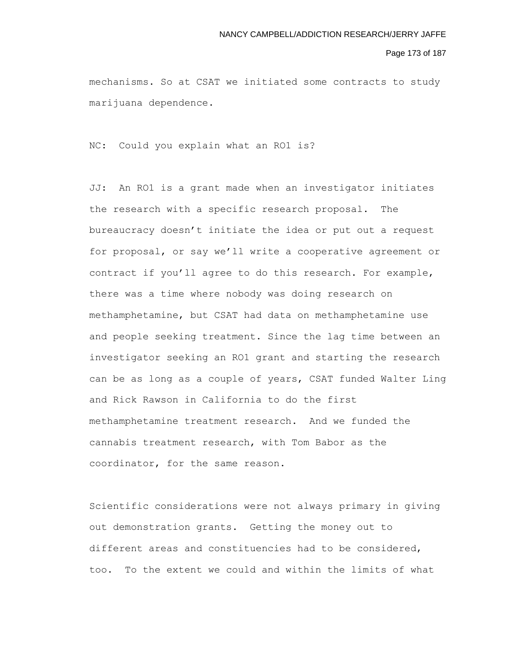### Page 173 of 187

mechanisms. So at CSAT we initiated some contracts to study marijuana dependence.

NC: Could you explain what an RO1 is?

JJ: An RO1 is a grant made when an investigator initiates the research with a specific research proposal. The bureaucracy doesn't initiate the idea or put out a request for proposal, or say we'll write a cooperative agreement or contract if you'll agree to do this research. For example, there was a time where nobody was doing research on methamphetamine, but CSAT had data on methamphetamine use and people seeking treatment. Since the lag time between an investigator seeking an RO1 grant and starting the research can be as long as a couple of years, CSAT funded Walter Ling and Rick Rawson in California to do the first methamphetamine treatment research. And we funded the cannabis treatment research, with Tom Babor as the coordinator, for the same reason.

Scientific considerations were not always primary in giving out demonstration grants. Getting the money out to different areas and constituencies had to be considered, too. To the extent we could and within the limits of what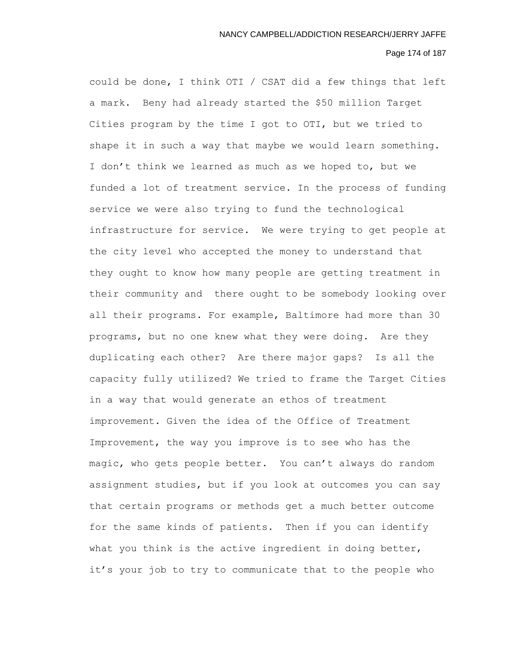# Page 174 of 187

could be done, I think OTI / CSAT did a few things that left a mark. Beny had already started the \$50 million Target Cities program by the time I got to OTI, but we tried to shape it in such a way that maybe we would learn something. I don't think we learned as much as we hoped to, but we funded a lot of treatment service. In the process of funding service we were also trying to fund the technological infrastructure for service. We were trying to get people at the city level who accepted the money to understand that they ought to know how many people are getting treatment in their community and there ought to be somebody looking over all their programs. For example, Baltimore had more than 30 programs, but no one knew what they were doing. Are they duplicating each other? Are there major gaps? Is all the capacity fully utilized? We tried to frame the Target Cities in a way that would generate an ethos of treatment improvement. Given the idea of the Office of Treatment Improvement, the way you improve is to see who has the magic, who gets people better. You can't always do random assignment studies, but if you look at outcomes you can say that certain programs or methods get a much better outcome for the same kinds of patients. Then if you can identify what you think is the active ingredient in doing better, it's your job to try to communicate that to the people who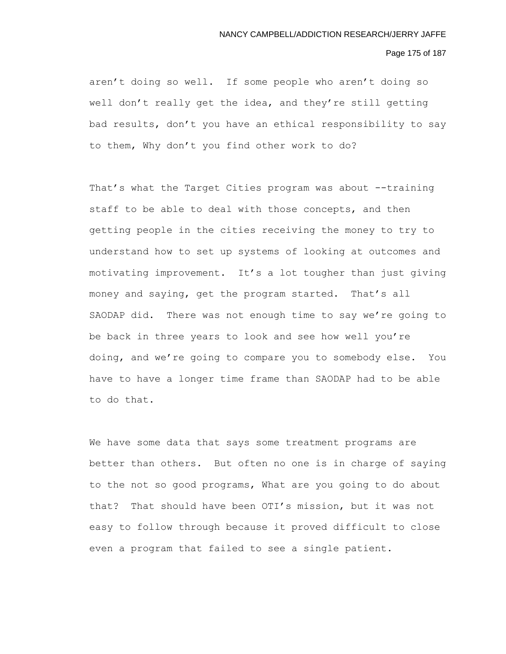# Page 175 of 187

aren't doing so well. If some people who aren't doing so well don't really get the idea, and they're still getting bad results, don't you have an ethical responsibility to say to them, Why don't you find other work to do?

That's what the Target Cities program was about --training staff to be able to deal with those concepts, and then getting people in the cities receiving the money to try to understand how to set up systems of looking at outcomes and motivating improvement. It's a lot tougher than just giving money and saying, get the program started. That's all SAODAP did. There was not enough time to say we're going to be back in three years to look and see how well you're doing, and we're going to compare you to somebody else. You have to have a longer time frame than SAODAP had to be able to do that.

We have some data that says some treatment programs are better than others. But often no one is in charge of saying to the not so good programs, What are you going to do about that? That should have been OTI's mission, but it was not easy to follow through because it proved difficult to close even a program that failed to see a single patient.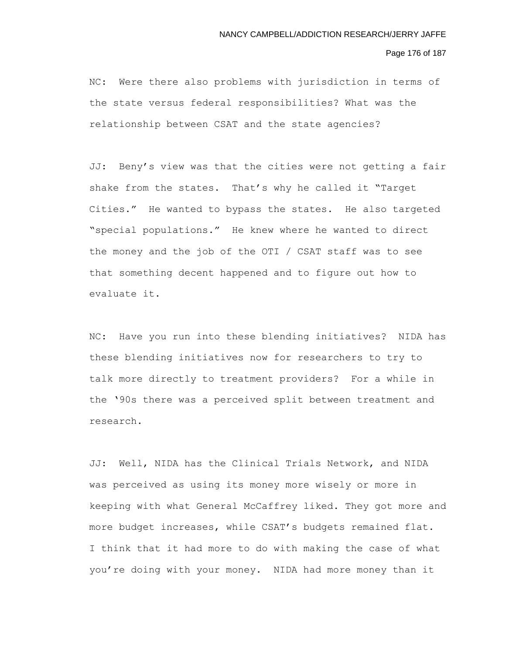### Page 176 of 187

NC: Were there also problems with jurisdiction in terms of the state versus federal responsibilities? What was the relationship between CSAT and the state agencies?

JJ: Beny's view was that the cities were not getting a fair shake from the states. That's why he called it "Target Cities." He wanted to bypass the states. He also targeted "special populations." He knew where he wanted to direct the money and the job of the OTI / CSAT staff was to see that something decent happened and to figure out how to evaluate it.

NC: Have you run into these blending initiatives? NIDA has these blending initiatives now for researchers to try to talk more directly to treatment providers? For a while in the '90s there was a perceived split between treatment and research.

JJ: Well, NIDA has the Clinical Trials Network, and NIDA was perceived as using its money more wisely or more in keeping with what General McCaffrey liked. They got more and more budget increases, while CSAT's budgets remained flat. I think that it had more to do with making the case of what you're doing with your money. NIDA had more money than it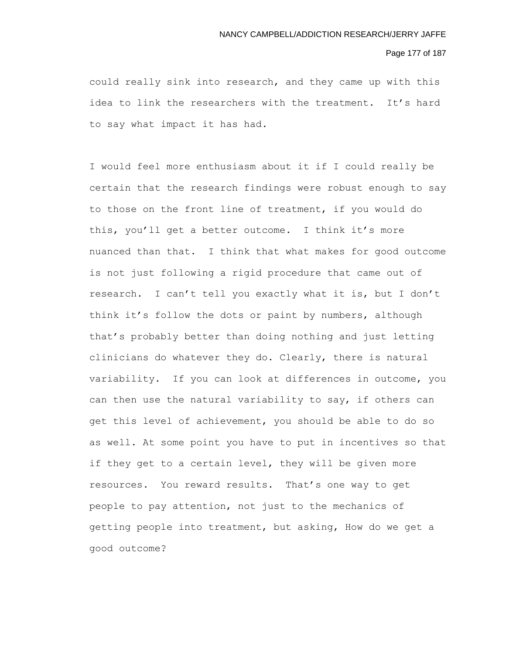# Page 177 of 187

could really sink into research, and they came up with this idea to link the researchers with the treatment. It's hard to say what impact it has had.

I would feel more enthusiasm about it if I could really be certain that the research findings were robust enough to say to those on the front line of treatment, if you would do this, you'll get a better outcome. I think it's more nuanced than that. I think that what makes for good outcome is not just following a rigid procedure that came out of research. I can't tell you exactly what it is, but I don't think it's follow the dots or paint by numbers, although that's probably better than doing nothing and just letting clinicians do whatever they do. Clearly, there is natural variability. If you can look at differences in outcome, you can then use the natural variability to say, if others can get this level of achievement, you should be able to do so as well. At some point you have to put in incentives so that if they get to a certain level, they will be given more resources. You reward results. That's one way to get people to pay attention, not just to the mechanics of getting people into treatment, but asking, How do we get a good outcome?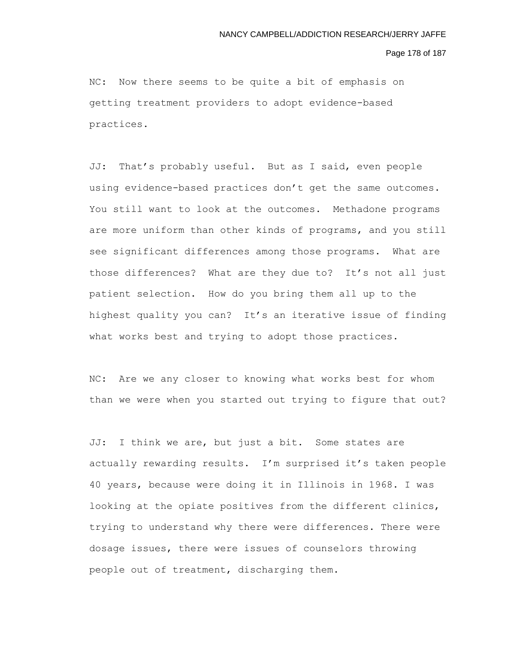Page 178 of 187

NC: Now there seems to be quite a bit of emphasis on getting treatment providers to adopt evidence-based practices.

JJ: That's probably useful. But as I said, even people using evidence-based practices don't get the same outcomes. You still want to look at the outcomes. Methadone programs are more uniform than other kinds of programs, and you still see significant differences among those programs. What are those differences? What are they due to? It's not all just patient selection. How do you bring them all up to the highest quality you can? It's an iterative issue of finding what works best and trying to adopt those practices.

NC: Are we any closer to knowing what works best for whom than we were when you started out trying to figure that out?

JJ: I think we are, but just a bit. Some states are actually rewarding results. I'm surprised it's taken people 40 years, because were doing it in Illinois in 1968. I was looking at the opiate positives from the different clinics, trying to understand why there were differences. There were dosage issues, there were issues of counselors throwing people out of treatment, discharging them.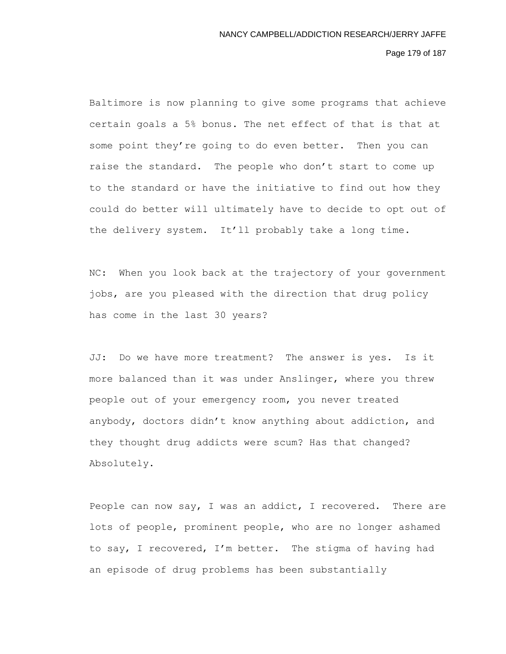Page 179 of 187

Baltimore is now planning to give some programs that achieve certain goals a 5% bonus. The net effect of that is that at some point they're going to do even better. Then you can raise the standard. The people who don't start to come up to the standard or have the initiative to find out how they could do better will ultimately have to decide to opt out of the delivery system. It'll probably take a long time.

NC: When you look back at the trajectory of your government jobs, are you pleased with the direction that drug policy has come in the last 30 years?

JJ: Do we have more treatment? The answer is yes. Is it more balanced than it was under Anslinger, where you threw people out of your emergency room, you never treated anybody, doctors didn't know anything about addiction, and they thought drug addicts were scum? Has that changed? Absolutely.

People can now say, I was an addict, I recovered. There are lots of people, prominent people, who are no longer ashamed to say, I recovered, I'm better. The stigma of having had an episode of drug problems has been substantially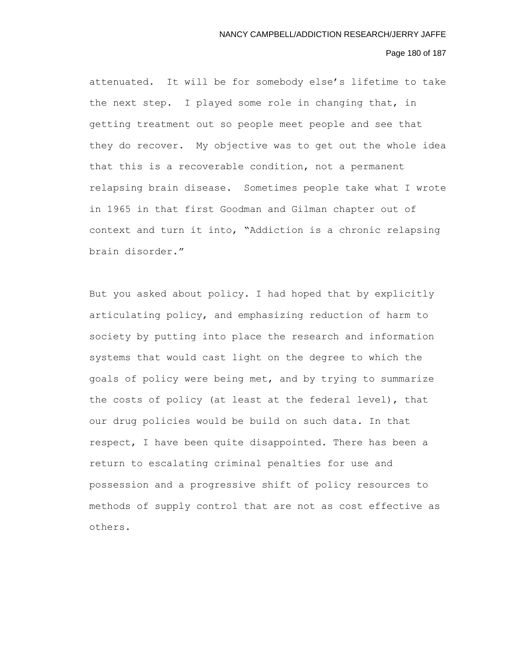# Page 180 of 187

attenuated. It will be for somebody else's lifetime to take the next step. I played some role in changing that, in getting treatment out so people meet people and see that they do recover. My objective was to get out the whole idea that this is a recoverable condition, not a permanent relapsing brain disease. Sometimes people take what I wrote in 1965 in that first Goodman and Gilman chapter out of context and turn it into, "Addiction is a chronic relapsing brain disorder."

But you asked about policy. I had hoped that by explicitly articulating policy, and emphasizing reduction of harm to society by putting into place the research and information systems that would cast light on the degree to which the goals of policy were being met, and by trying to summarize the costs of policy (at least at the federal level), that our drug policies would be build on such data. In that respect, I have been quite disappointed. There has been a return to escalating criminal penalties for use and possession and a progressive shift of policy resources to methods of supply control that are not as cost effective as others.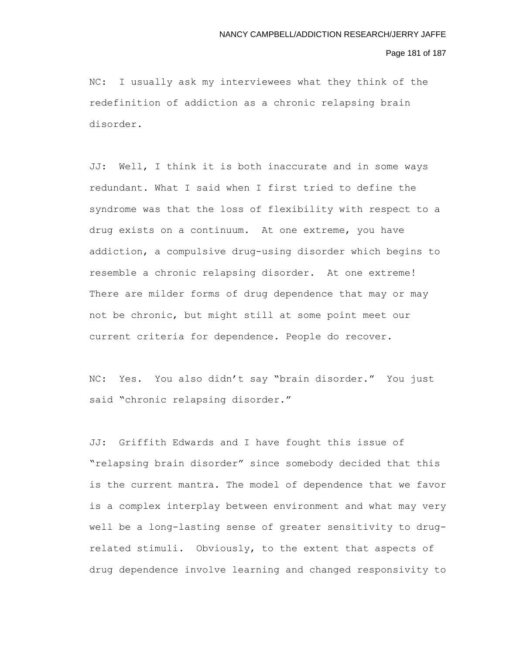### Page 181 of 187

NC: I usually ask my interviewees what they think of the redefinition of addiction as a chronic relapsing brain disorder.

JJ: Well, I think it is both inaccurate and in some ways redundant. What I said when I first tried to define the syndrome was that the loss of flexibility with respect to a drug exists on a continuum. At one extreme, you have addiction, a compulsive drug-using disorder which begins to resemble a chronic relapsing disorder. At one extreme! There are milder forms of drug dependence that may or may not be chronic, but might still at some point meet our current criteria for dependence. People do recover.

NC: Yes. You also didn't say "brain disorder." You just said "chronic relapsing disorder."

JJ: Griffith Edwards and I have fought this issue of "relapsing brain disorder" since somebody decided that this is the current mantra. The model of dependence that we favor is a complex interplay between environment and what may very well be a long-lasting sense of greater sensitivity to drugrelated stimuli. Obviously, to the extent that aspects of drug dependence involve learning and changed responsivity to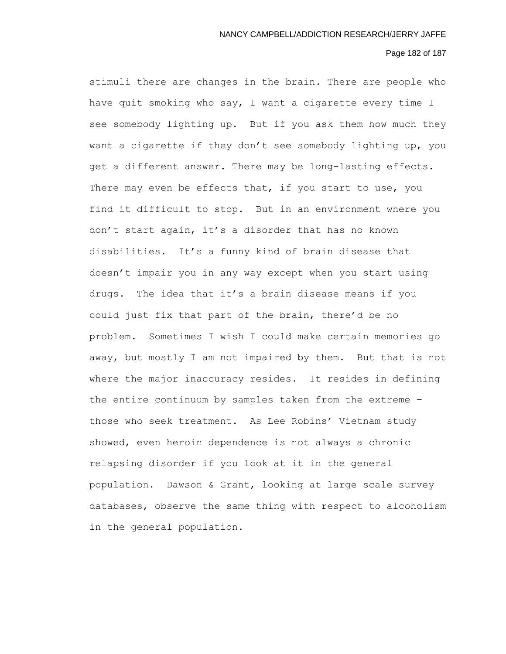# Page 182 of 187

stimuli there are changes in the brain. There are people who have quit smoking who say, I want a cigarette every time I see somebody lighting up. But if you ask them how much they want a cigarette if they don't see somebody lighting up, you get a different answer. There may be long-lasting effects. There may even be effects that, if you start to use, you find it difficult to stop. But in an environment where you don't start again, it's a disorder that has no known disabilities. It's a funny kind of brain disease that doesn't impair you in any way except when you start using drugs. The idea that it's a brain disease means if you could just fix that part of the brain, there'd be no problem. Sometimes I wish I could make certain memories go away, but mostly I am not impaired by them. But that is not where the major inaccuracy resides. It resides in defining the entire continuum by samples taken from the extreme – those who seek treatment. As Lee Robins' Vietnam study showed, even heroin dependence is not always a chronic relapsing disorder if you look at it in the general population. Dawson & Grant, looking at large scale survey databases, observe the same thing with respect to alcoholism in the general population.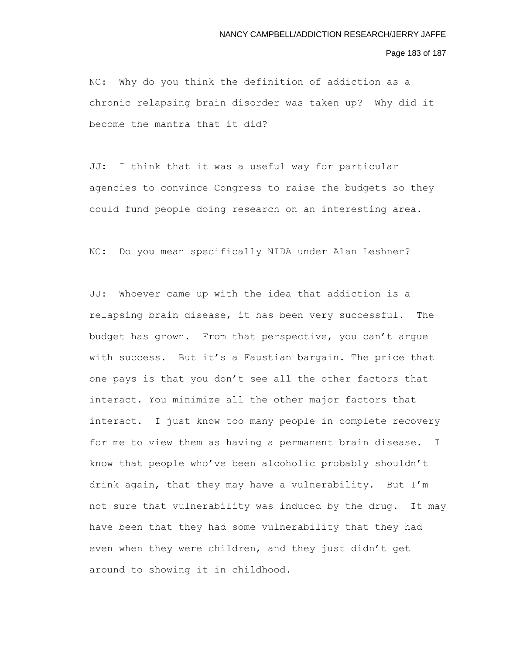### Page 183 of 187

NC: Why do you think the definition of addiction as a chronic relapsing brain disorder was taken up? Why did it become the mantra that it did?

JJ: I think that it was a useful way for particular agencies to convince Congress to raise the budgets so they could fund people doing research on an interesting area.

NC: Do you mean specifically NIDA under Alan Leshner?

JJ: Whoever came up with the idea that addiction is a relapsing brain disease, it has been very successful. The budget has grown. From that perspective, you can't argue with success. But it's a Faustian bargain. The price that one pays is that you don't see all the other factors that interact. You minimize all the other major factors that interact. I just know too many people in complete recovery for me to view them as having a permanent brain disease. I know that people who've been alcoholic probably shouldn't drink again, that they may have a vulnerability. But I'm not sure that vulnerability was induced by the drug. It may have been that they had some vulnerability that they had even when they were children, and they just didn't get around to showing it in childhood.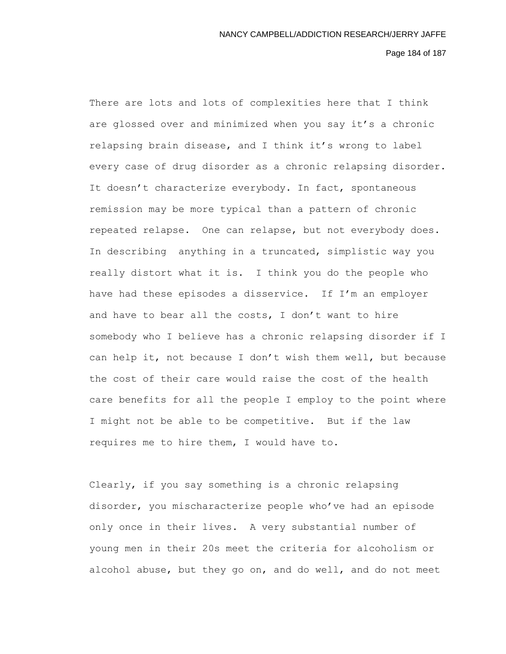Page 184 of 187

There are lots and lots of complexities here that I think are glossed over and minimized when you say it's a chronic relapsing brain disease, and I think it's wrong to label every case of drug disorder as a chronic relapsing disorder. It doesn't characterize everybody. In fact, spontaneous remission may be more typical than a pattern of chronic repeated relapse. One can relapse, but not everybody does. In describing anything in a truncated, simplistic way you really distort what it is. I think you do the people who have had these episodes a disservice. If I'm an employer and have to bear all the costs, I don't want to hire somebody who I believe has a chronic relapsing disorder if I can help it, not because I don't wish them well, but because the cost of their care would raise the cost of the health care benefits for all the people I employ to the point where I might not be able to be competitive. But if the law requires me to hire them, I would have to.

Clearly, if you say something is a chronic relapsing disorder, you mischaracterize people who've had an episode only once in their lives. A very substantial number of young men in their 20s meet the criteria for alcoholism or alcohol abuse, but they go on, and do well, and do not meet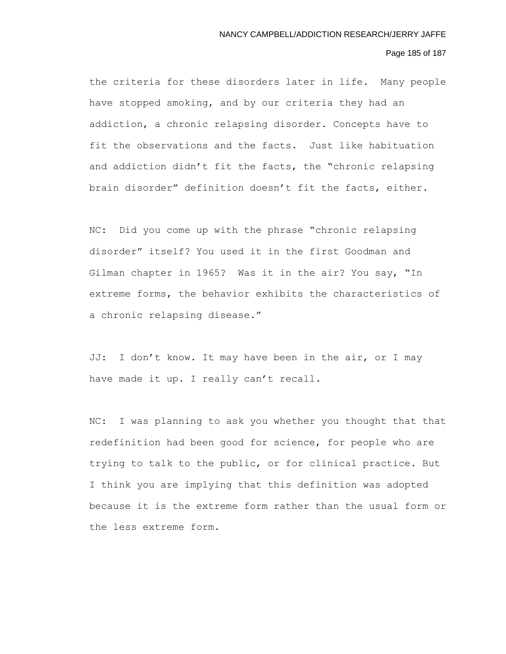### Page 185 of 187

the criteria for these disorders later in life. Many people have stopped smoking, and by our criteria they had an addiction, a chronic relapsing disorder. Concepts have to fit the observations and the facts. Just like habituation and addiction didn't fit the facts, the "chronic relapsing brain disorder" definition doesn't fit the facts, either.

NC: Did you come up with the phrase "chronic relapsing disorder" itself? You used it in the first Goodman and Gilman chapter in 1965? Was it in the air? You say, "In extreme forms, the behavior exhibits the characteristics of a chronic relapsing disease."

JJ: I don't know. It may have been in the air, or I may have made it up. I really can't recall.

NC: I was planning to ask you whether you thought that that redefinition had been good for science, for people who are trying to talk to the public, or for clinical practice. But I think you are implying that this definition was adopted because it is the extreme form rather than the usual form or the less extreme form.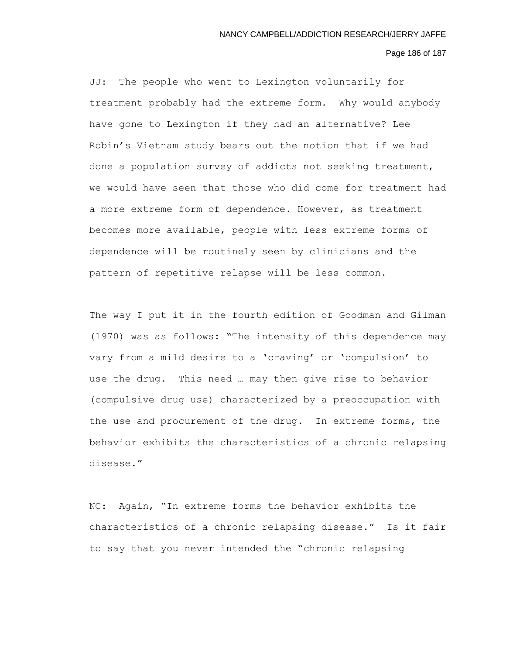# Page 186 of 187

JJ: The people who went to Lexington voluntarily for treatment probably had the extreme form. Why would anybody have gone to Lexington if they had an alternative? Lee Robin's Vietnam study bears out the notion that if we had done a population survey of addicts not seeking treatment, we would have seen that those who did come for treatment had a more extreme form of dependence. However, as treatment becomes more available, people with less extreme forms of dependence will be routinely seen by clinicians and the pattern of repetitive relapse will be less common.

The way I put it in the fourth edition of Goodman and Gilman (1970) was as follows: "The intensity of this dependence may vary from a mild desire to a 'craving' or 'compulsion' to use the drug. This need … may then give rise to behavior (compulsive drug use) characterized by a preoccupation with the use and procurement of the drug. In extreme forms, the behavior exhibits the characteristics of a chronic relapsing disease."

NC: Again, "In extreme forms the behavior exhibits the characteristics of a chronic relapsing disease." Is it fair to say that you never intended the "chronic relapsing